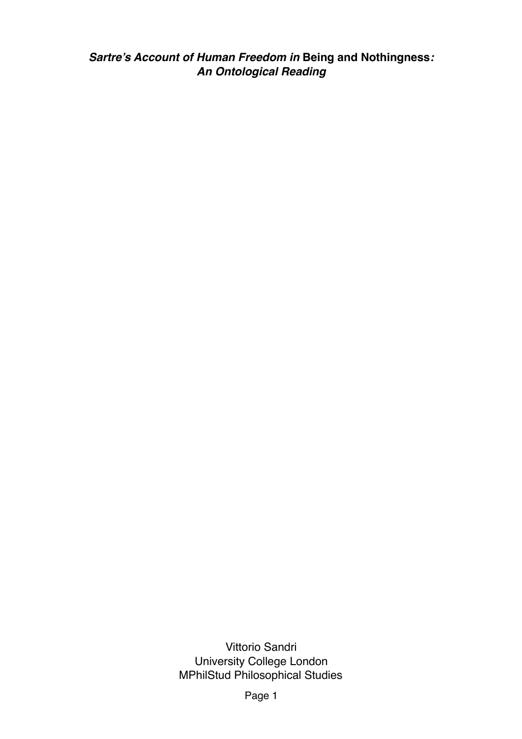*Sartre's Account of Human Freedom in* **Being and Nothingness***: An Ontological Reading*

> Vittorio Sandri University College London MPhilStud Philosophical Studies

> > Page 1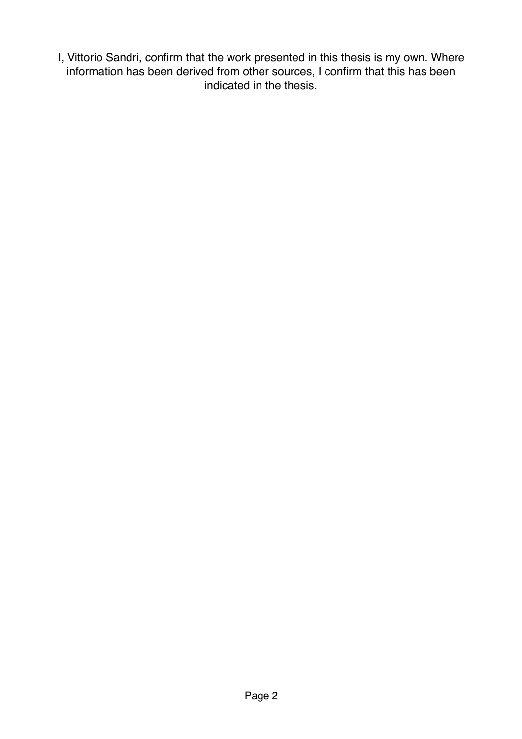I, Vittorio Sandri, confirm that the work presented in this thesis is my own. Where information has been derived from other sources, I confirm that this has been indicated in the thesis.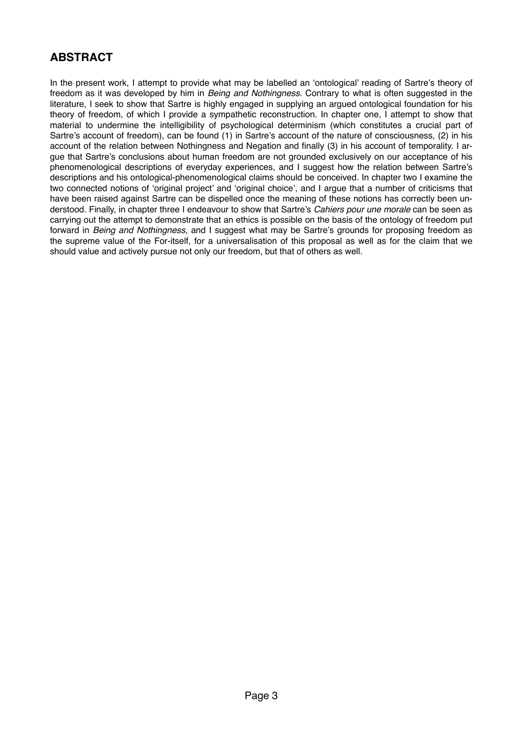# **ABSTRACT**

In the present work, I attempt to provide what may be labelled an 'ontological' reading of Sartre's theory of freedom as it was developed by him in *Being and Nothingness*. Contrary to what is often suggested in the literature, I seek to show that Sartre is highly engaged in supplying an argued ontological foundation for his theory of freedom, of which I provide a sympathetic reconstruction. In chapter one, I attempt to show that material to undermine the intelligibility of psychological determinism (which constitutes a crucial part of Sartre's account of freedom), can be found (1) in Sartre's account of the nature of consciousness, (2) in his account of the relation between Nothingness and Negation and finally (3) in his account of temporality. I argue that Sartre's conclusions about human freedom are not grounded exclusively on our acceptance of his phenomenological descriptions of everyday experiences, and I suggest how the relation between Sartre's descriptions and his ontological-phenomenological claims should be conceived. In chapter two I examine the two connected notions of 'original project' and 'original choice', and I argue that a number of criticisms that have been raised against Sartre can be dispelled once the meaning of these notions has correctly been understood. Finally, in chapter three I endeavour to show that Sartre's *Cahiers pour une morale* can be seen as carrying out the attempt to demonstrate that an ethics is possible on the basis of the ontology of freedom put forward in *Being and Nothingness*, and I suggest what may be Sartre's grounds for proposing freedom as the supreme value of the For-itself, for a universalisation of this proposal as well as for the claim that we should value and actively pursue not only our freedom, but that of others as well.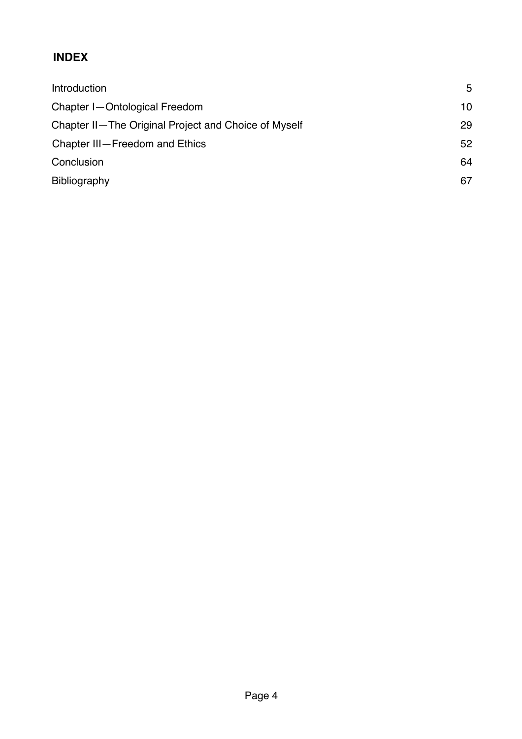# **INDEX**

| Introduction                                         | 5  |
|------------------------------------------------------|----|
| Chapter I-Ontological Freedom                        | 10 |
| Chapter II-The Original Project and Choice of Myself | 29 |
| Chapter III-Freedom and Ethics                       | 52 |
| Conclusion                                           | 64 |
| <b>Bibliography</b>                                  | 67 |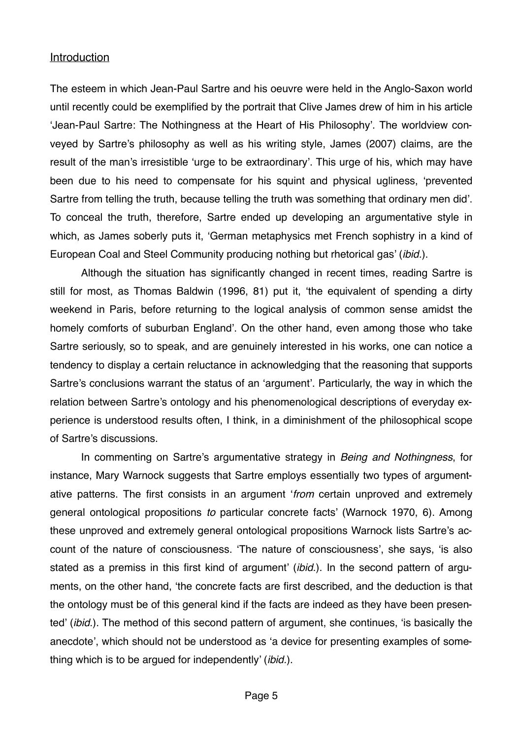#### **Introduction**

The esteem in which Jean-Paul Sartre and his oeuvre were held in the Anglo-Saxon world until recently could be exemplified by the portrait that Clive James drew of him in his article 'Jean-Paul Sartre: The Nothingness at the Heart of His Philosophy'. The worldview conveyed by Sartre's philosophy as well as his writing style, James (2007) claims, are the result of the man's irresistible 'urge to be extraordinary'. This urge of his, which may have been due to his need to compensate for his squint and physical ugliness, 'prevented Sartre from telling the truth, because telling the truth was something that ordinary men did'. To conceal the truth, therefore, Sartre ended up developing an argumentative style in which, as James soberly puts it, 'German metaphysics met French sophistry in a kind of European Coal and Steel Community producing nothing but rhetorical gas' (*ibid.*).

Although the situation has significantly changed in recent times, reading Sartre is still for most, as Thomas Baldwin (1996, 81) put it, 'the equivalent of spending a dirty weekend in Paris, before returning to the logical analysis of common sense amidst the homely comforts of suburban England'. On the other hand, even among those who take Sartre seriously, so to speak, and are genuinely interested in his works, one can notice a tendency to display a certain reluctance in acknowledging that the reasoning that supports Sartre's conclusions warrant the status of an 'argument'. Particularly, the way in which the relation between Sartre's ontology and his phenomenological descriptions of everyday experience is understood results often, I think, in a diminishment of the philosophical scope of Sartre's discussions.

In commenting on Sartre's argumentative strategy in *Being and Nothingness*, for instance, Mary Warnock suggests that Sartre employs essentially two types of argumentative patterns. The first consists in an argument '*from* certain unproved and extremely general ontological propositions *to* particular concrete facts' (Warnock 1970, 6). Among these unproved and extremely general ontological propositions Warnock lists Sartre's account of the nature of consciousness. 'The nature of consciousness', she says, 'is also stated as a premiss in this first kind of argument' (*ibid*.). In the second pattern of arguments, on the other hand, 'the concrete facts are first described, and the deduction is that the ontology must be of this general kind if the facts are indeed as they have been presented' (*ibid.*). The method of this second pattern of argument, she continues, 'is basically the anecdote', which should not be understood as 'a device for presenting examples of something which is to be argued for independently' (*ibid.*).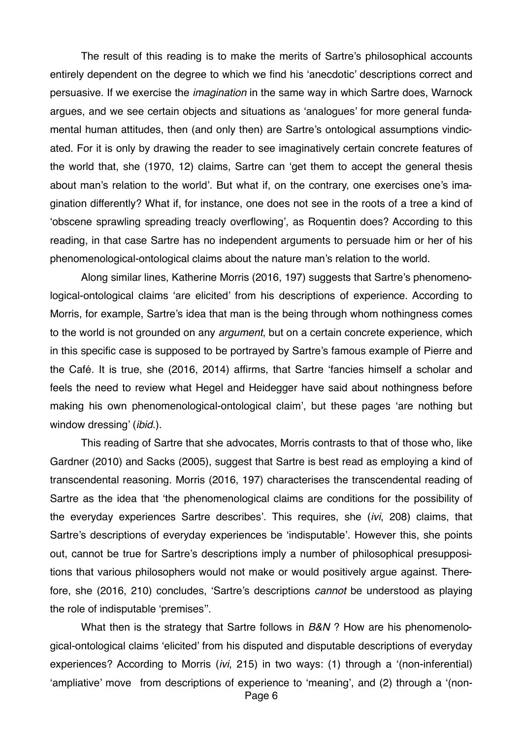The result of this reading is to make the merits of Sartre's philosophical accounts entirely dependent on the degree to which we find his 'anecdotic' descriptions correct and persuasive. If we exercise the *imagination* in the same way in which Sartre does, Warnock argues, and we see certain objects and situations as 'analogues' for more general fundamental human attitudes, then (and only then) are Sartre's ontological assumptions vindicated. For it is only by drawing the reader to see imaginatively certain concrete features of the world that, she (1970, 12) claims, Sartre can 'get them to accept the general thesis about man's relation to the world'. But what if, on the contrary, one exercises one's imagination differently? What if, for instance, one does not see in the roots of a tree a kind of 'obscene sprawling spreading treacly overflowing', as Roquentin does? According to this reading, in that case Sartre has no independent arguments to persuade him or her of his phenomenological-ontological claims about the nature man's relation to the world.

Along similar lines, Katherine Morris (2016, 197) suggests that Sartre's phenomenological-ontological claims 'are elicited' from his descriptions of experience. According to Morris, for example, Sartre's idea that man is the being through whom nothingness comes to the world is not grounded on any *argument*, but on a certain concrete experience, which in this specific case is supposed to be portrayed by Sartre's famous example of Pierre and the Café. It is true, she (2016, 2014) affirms, that Sartre 'fancies himself a scholar and feels the need to review what Hegel and Heidegger have said about nothingness before making his own phenomenological-ontological claim', but these pages 'are nothing but window dressing' (*ibid*.).

This reading of Sartre that she advocates, Morris contrasts to that of those who, like Gardner (2010) and Sacks (2005), suggest that Sartre is best read as employing a kind of transcendental reasoning. Morris (2016, 197) characterises the transcendental reading of Sartre as the idea that 'the phenomenological claims are conditions for the possibility of the everyday experiences Sartre describes'. This requires, she (*ivi*, 208) claims, that Sartre's descriptions of everyday experiences be 'indisputable'. However this, she points out, cannot be true for Sartre's descriptions imply a number of philosophical presuppositions that various philosophers would not make or would positively argue against. Therefore, she (2016, 210) concludes, 'Sartre's descriptions *cannot* be understood as playing the role of indisputable 'premises''.

What then is the strategy that Sartre follows in *B&N* ? How are his phenomenological-ontological claims 'elicited' from his disputed and disputable descriptions of everyday experiences? According to Morris (*ivi*, 215) in two ways: (1) through a '(non-inferential) 'ampliative' move from descriptions of experience to 'meaning', and (2) through a '(non-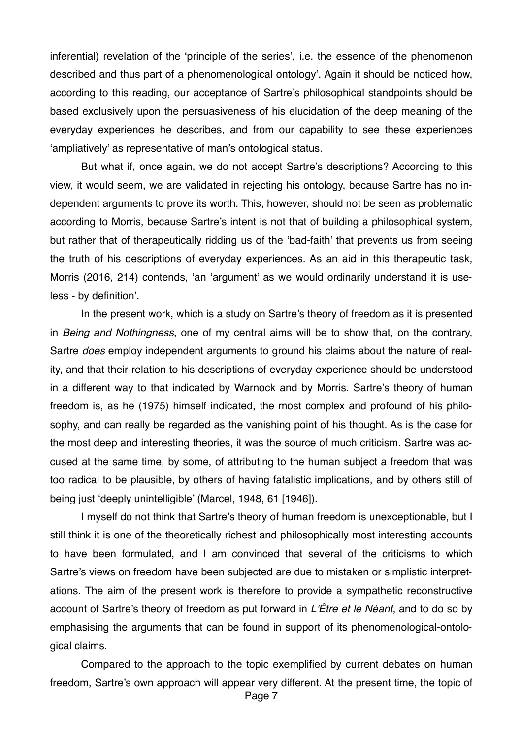inferential) revelation of the 'principle of the series', i.e. the essence of the phenomenon described and thus part of a phenomenological ontology'. Again it should be noticed how, according to this reading, our acceptance of Sartre's philosophical standpoints should be based exclusively upon the persuasiveness of his elucidation of the deep meaning of the everyday experiences he describes, and from our capability to see these experiences 'ampliatively' as representative of man's ontological status.

But what if, once again, we do not accept Sartre's descriptions? According to this view, it would seem, we are validated in rejecting his ontology, because Sartre has no independent arguments to prove its worth. This, however, should not be seen as problematic according to Morris, because Sartre's intent is not that of building a philosophical system, but rather that of therapeutically ridding us of the 'bad-faith' that prevents us from seeing the truth of his descriptions of everyday experiences. As an aid in this therapeutic task, Morris (2016, 214) contends, 'an 'argument' as we would ordinarily understand it is useless - by definition'.

In the present work, which is a study on Sartre's theory of freedom as it is presented in *Being and Nothingness*, one of my central aims will be to show that, on the contrary, Sartre *does* employ independent arguments to ground his claims about the nature of reality, and that their relation to his descriptions of everyday experience should be understood in a different way to that indicated by Warnock and by Morris. Sartre's theory of human freedom is, as he (1975) himself indicated, the most complex and profound of his philosophy, and can really be regarded as the vanishing point of his thought. As is the case for the most deep and interesting theories, it was the source of much criticism. Sartre was accused at the same time, by some, of attributing to the human subject a freedom that was too radical to be plausible, by others of having fatalistic implications, and by others still of being just 'deeply unintelligible' (Marcel, 1948, 61 [1946]).

I myself do not think that Sartre's theory of human freedom is unexceptionable, but I still think it is one of the theoretically richest and philosophically most interesting accounts to have been formulated, and I am convinced that several of the criticisms to which Sartre's views on freedom have been subjected are due to mistaken or simplistic interpretations. The aim of the present work is therefore to provide a sympathetic reconstructive account of Sartre's theory of freedom as put forward in *L'Être et le Néant*, and to do so by emphasising the arguments that can be found in support of its phenomenological-ontological claims.

Compared to the approach to the topic exemplified by current debates on human freedom, Sartre's own approach will appear very different. At the present time, the topic of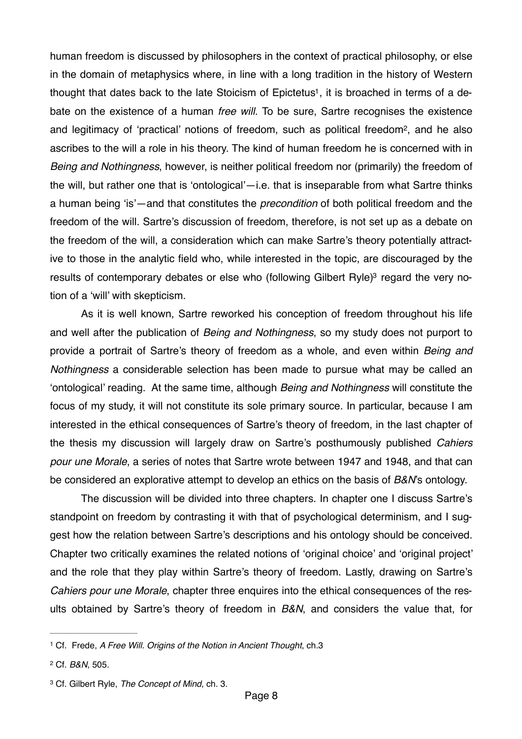<span id="page-7-4"></span><span id="page-7-3"></span>human freedom is discussed by philosophers in the context of practical philosophy, or else in the domain of metaphysics where, in line with a long tradition in the history of Western thought that dates back to the late Stoicism of Epictetus<sup>1</sup>, it is broached in terms of a debate on the existence of a human *free will.* To be sure, Sartre recognises the existence and legitimacy of 'practical' notions of freedom, such as political freedom<sup>[2](#page-7-1)</sup>, and he also ascribes to the will a role in his theory. The kind of human freedom he is concerned with in *Being and Nothingness*, however, is neither political freedom nor (primarily) the freedom of the will, but rather one that is 'ontological'—i.e. that is inseparable from what Sartre thinks a human being 'is'—and that constitutes the *precondition* of both political freedom and the freedom of the will. Sartre's discussion of freedom, therefore, is not set up as a debate on the freedom of the will, a consideration which can make Sartre's theory potentially attractive to those in the analytic field who, while interested in the topic, are discouraged by the results of contemporary debates or else who (following Gilbert Ryle)<sup>3</sup> regard the very notion of a 'will' with skepticism.

<span id="page-7-5"></span>As it is well known, Sartre reworked his conception of freedom throughout his life and well after the publication of *Being and Nothingness*, so my study does not purport to provide a portrait of Sartre's theory of freedom as a whole, and even within *Being and Nothingness* a considerable selection has been made to pursue what may be called an 'ontological' reading. At the same time, although *Being and Nothingness* will constitute the focus of my study, it will not constitute its sole primary source. In particular, because I am interested in the ethical consequences of Sartre's theory of freedom, in the last chapter of the thesis my discussion will largely draw on Sartre's posthumously published *Cahiers pour une Morale*, a series of notes that Sartre wrote between 1947 and 1948, and that can be considered an explorative attempt to develop an ethics on the basis of *B&N*'s ontology.

The discussion will be divided into three chapters. In chapter one I discuss Sartre's standpoint on freedom by contrasting it with that of psychological determinism, and I suggest how the relation between Sartre's descriptions and his ontology should be conceived. Chapter two critically examines the related notions of 'original choice' and 'original project' and the role that they play within Sartre's theory of freedom. Lastly, drawing on Sartre's *Cahiers pour une Morale*, chapter three enquires into the ethical consequences of the results obtained by Sartre's theory of freedom in *B&N*, and considers the value that, for

<span id="page-7-0"></span>Cf. Frede, *A Free Will. Origins of the Notion in Ancient Thought*, ch.3 [1](#page-7-3)

<span id="page-7-1"></span>Cf. *B&N*, 505. [2](#page-7-4)

<span id="page-7-2"></span><sup>&</sup>lt;sup>[3](#page-7-5)</sup> Cf. Gilbert Ryle, *The Concept of Mind*, ch. 3.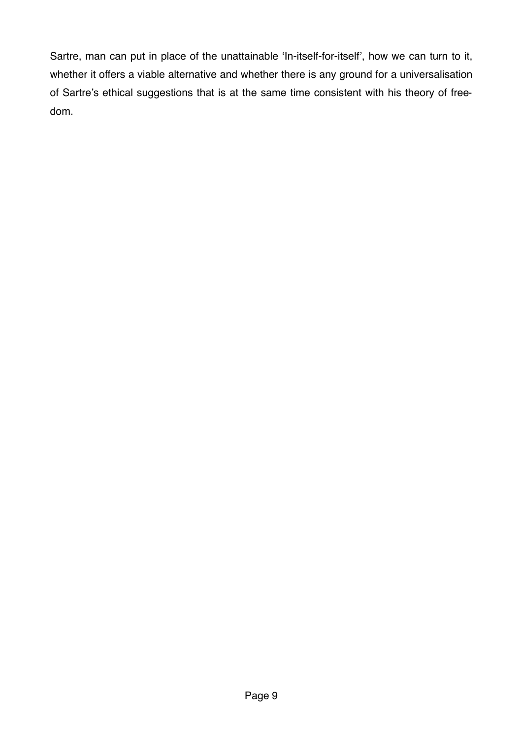Sartre, man can put in place of the unattainable 'In-itself-for-itself', how we can turn to it, whether it offers a viable alternative and whether there is any ground for a universalisation of Sartre's ethical suggestions that is at the same time consistent with his theory of freedom.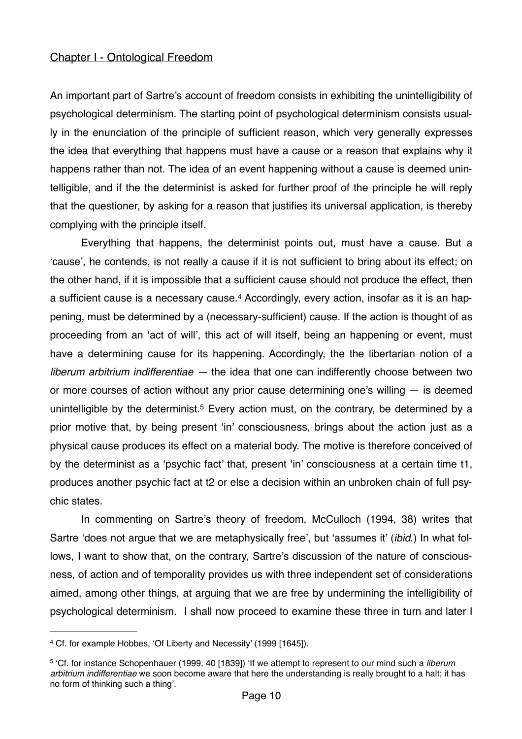## Chapter I - Ontological Freedom

An important part of Sartre's account of freedom consists in exhibiting the unintelligibility of psychological determinism. The starting point of psychological determinism consists usually in the enunciation of the principle of sufficient reason, which very generally expresses the idea that everything that happens must have a cause or a reason that explains why it happens rather than not. The idea of an event happening without a cause is deemed unintelligible, and if the the determinist is asked for further proof of the principle he will reply that the questioner, by asking for a reason that justifies its universal application, is thereby complying with the principle itself.

<span id="page-9-2"></span>Everything that happens, the determinist points out, must have a cause. But a 'cause', he contends, is not really a cause if it is not sufficient to bring about its effect; on the other hand, if it is impossible that a sufficient cause should not produce the effect, then a sufficient cause is a necessary cause.<sup>4</sup> Accordingly, every action, insofar as it is an happening, must be determined by a (necessary-sufficient) cause. If the action is thought of as proceeding from an 'act of will', this act of will itself, being an happening or event, must have a determining cause for its happening. Accordingly, the the libertarian notion of a *liberum arbitrium indifferentiae —* the idea that one can indifferently choose between two or more courses of action without any prior cause determining one's willing — is deemed unintelligible by the determinist[.](#page-9-1)<sup>[5](#page-9-1)</sup> Every action must, on the contrary, be determined by a prior motive that, by being present 'in' consciousness, brings about the action just as a physical cause produces its effect on a material body. The motive is therefore conceived of by the determinist as a 'psychic fact' that, present 'in' consciousness at a certain time t1, produces another psychic fact at t2 or else a decision within an unbroken chain of full psychic states.

<span id="page-9-3"></span> In commenting on Sartre's theory of freedom, McCulloch (1994, 38) writes that Sartre 'does not argue that we are metaphysically free', but 'assumes it' (*ibid*.) In what follows, I want to show that, on the contrary, Sartre's discussion of the nature of consciousness, of action and of temporality provides us with three independent set of considerations aimed, among other things, at arguing that we are free by undermining the intelligibility of psychological determinism. I shall now proceed to examine these three in turn and later I

<span id="page-9-0"></span>Cf. for example Hobbes, 'Of Liberty and Necessity' (1999 [1645]). [4](#page-9-2)

<span id="page-9-1"></span> <sup>&#</sup>x27;Cf. for instance Schopenhauer (1999, 40 [1839]) 'If we attempt to represent to our mind such a *liberum* [5](#page-9-3) *arbitrium indifferentiae* we soon become aware that here the understanding is really brought to a halt; it has no form of thinking such a thing'.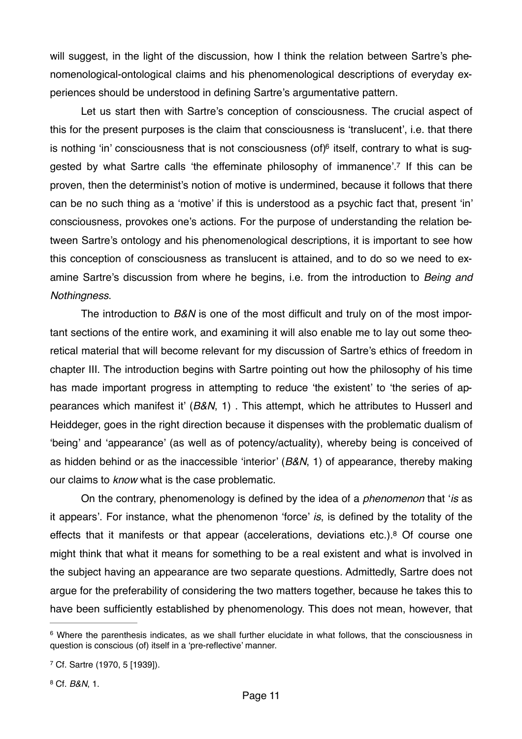will suggest, in the light of the discussion, how I think the relation between Sartre's phenomenological-ontological claims and his phenomenological descriptions of everyday experiences should be understood in defining Sartre's argumentative pattern.

<span id="page-10-4"></span><span id="page-10-3"></span>Let us start then with Sartre's conception of consciousness. The crucial aspect of this for the present purposes is the claim that consciousness is 'translucent', i.e. that there is nothing 'in' consciousness that is not consciousness (of) $6$  itself, contrary to what is sug-gested by what Sartre calls 'the effeminate philosophy of immanence'[.](#page-10-1)<sup>[7](#page-10-1)</sup> If this can be proven, then the determinist's notion of motive is undermined, because it follows that there can be no such thing as a 'motive' if this is understood as a psychic fact that, present 'in' consciousness, provokes one's actions. For the purpose of understanding the relation between Sartre's ontology and his phenomenological descriptions, it is important to see how this conception of consciousness as translucent is attained, and to do so we need to examine Sartre's discussion from where he begins, i.e. from the introduction to *Being and Nothingness*.

The introduction to *B&N* is one of the most difficult and truly on of the most important sections of the entire work, and examining it will also enable me to lay out some theoretical material that will become relevant for my discussion of Sartre's ethics of freedom in chapter III. The introduction begins with Sartre pointing out how the philosophy of his time has made important progress in attempting to reduce 'the existent' to 'the series of appearances which manifest it' (*B&N*, 1) . This attempt, which he attributes to Husserl and Heiddeger, goes in the right direction because it dispenses with the problematic dualism of 'being' and 'appearance' (as well as of potency/actuality), whereby being is conceived of as hidden behind or as the inaccessible 'interior' (*B&N*, 1) of appearance, thereby making our claims to *know* what is the case problematic.

<span id="page-10-5"></span>On the contrary, phenomenology is defined by the idea of a *phenomenon* that '*is* as it appears'. For instance, what the phenomenon 'force' *is*, is defined by the totality of the effects that it manifests or that appear (accelerations, deviations etc[.](#page-10-2)).<sup>[8](#page-10-2)</sup> Of course one might think that what it means for something to be a real existent and what is involved in the subject having an appearance are two separate questions. Admittedly, Sartre does not argue for the preferability of considering the two matters together, because he takes this to have been sufficiently established by phenomenology. This does not mean, however, that

<span id="page-10-0"></span><sup>&</sup>lt;sup>[6](#page-10-3)</sup> Where the parenthesis indicates, as we shall further elucidate in what follows, that the consciousness in question is conscious (of) itself in a 'pre-reflective' manner.

<span id="page-10-1"></span><sup>&</sup>lt;sup>[7](#page-10-4)</sup> Cf. Sartre (1970, 5 [1939]).

<span id="page-10-2"></span><sup>&</sup>lt;sup>[8](#page-10-5)</sup> Cf. *B&N*, 1.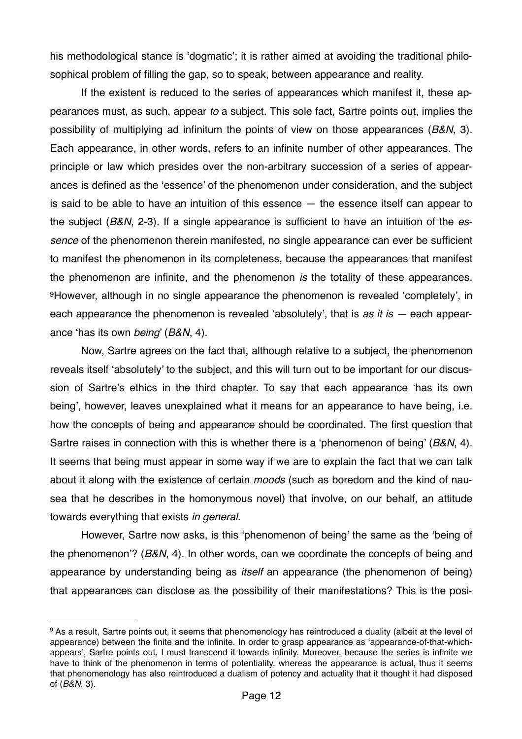his methodological stance is 'dogmatic'; it is rather aimed at avoiding the traditional philosophical problem of filling the gap, so to speak, between appearance and reality.

If the existent is reduced to the series of appearances which manifest it, these appearances must, as such, appear *to* a subject. This sole fact, Sartre points out, implies the possibility of multiplying ad infinitum the points of view on those appearances (*B&N*, 3). Each appearance, in other words, refers to an infinite number of other appearances. The principle or law which presides over the non-arbitrary succession of a series of appearances is defined as the 'essence' of the phenomenon under consideration, and the subject is said to be able to have an intuition of this essence — the essence itself can appear to the subject (*B&N*, 2-3). If a single appearance is sufficient to have an intuition of the *essence* of the phenomenon therein manifested, no single appearance can ever be sufficient to manifest the phenomenon in its completeness, because the appearances that manifest the phenomenon are infinite, and the phenomenon *is* the totality of these appearances. However, although in no single appearance the phenomenon is revealed 'completely', in [9](#page-11-0) each appearance the phenomenon is revealed 'absolutely', that is *as it is —* each appearance 'has its own *being*' (*B&N*, 4).

<span id="page-11-1"></span>Now, Sartre agrees on the fact that, although relative to a subject, the phenomenon reveals itself 'absolutely' to the subject, and this will turn out to be important for our discussion of Sartre's ethics in the third chapter. To say that each appearance 'has its own being', however, leaves unexplained what it means for an appearance to have being, i.e. how the concepts of being and appearance should be coordinated. The first question that Sartre raises in connection with this is whether there is a 'phenomenon of being' (*B&N*, 4). It seems that being must appear in some way if we are to explain the fact that we can talk about it along with the existence of certain *moods* (such as boredom and the kind of nausea that he describes in the homonymous novel) that involve, on our behalf, an attitude towards everything that exists *in general*.

However, Sartre now asks, is this 'phenomenon of being' the same as the 'being of the phenomenon'? (*B&N*, 4). In other words, can we coordinate the concepts of being and appearance by understanding being as *itself* an appearance (the phenomenon of being) that appearances can disclose as the possibility of their manifestations? This is the posi-

<span id="page-11-0"></span><sup>&</sup>lt;sup>[9](#page-11-1)</sup> As a result. Sartre points out, it seems that phenomenology has reintroduced a duality (albeit at the level of appearance) between the finite and the infinite. In order to grasp appearance as 'appearance-of-that-whichappears', Sartre points out, I must transcend it towards infinity. Moreover, because the series is infinite we have to think of the phenomenon in terms of potentiality, whereas the appearance is actual, thus it seems that phenomenology has also reintroduced a dualism of potency and actuality that it thought it had disposed of (*B&N*, 3).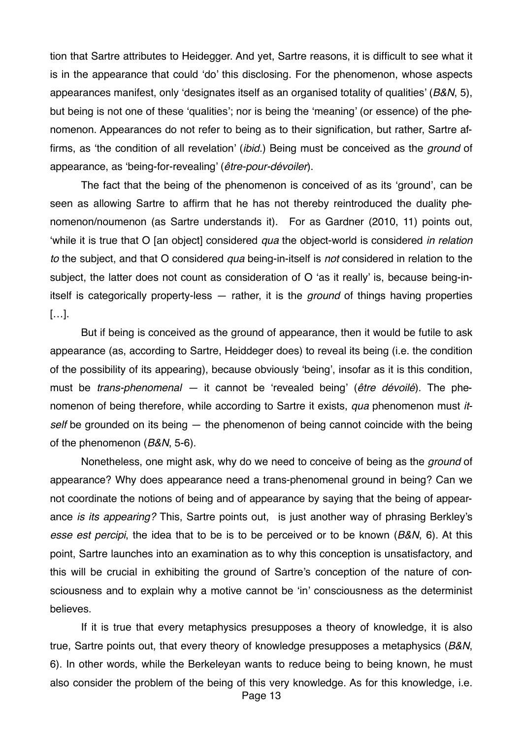tion that Sartre attributes to Heidegger. And yet, Sartre reasons, it is difficult to see what it is in the appearance that could 'do' this disclosing. For the phenomenon, whose aspects appearances manifest, only 'designates itself as an organised totality of qualities' (*B&N*, 5), but being is not one of these 'qualities'; nor is being the 'meaning' (or essence) of the phenomenon. Appearances do not refer to being as to their signification, but rather, Sartre affirms, as 'the condition of all revelation' (*ibid.*) Being must be conceived as the *ground* of appearance, as 'being-for-revealing' (*être-pour-dévoiler*).

The fact that the being of the phenomenon is conceived of as its 'ground', can be seen as allowing Sartre to affirm that he has not thereby reintroduced the duality phenomenon/noumenon (as Sartre understands it). For as Gardner (2010, 11) points out, 'while it is true that O [an object] considered *qua* the object-world is considered *in relation to* the subject, and that O considered *qua* being-in-itself is *not* considered in relation to the subject, the latter does not count as consideration of O 'as it really' is, because being-initself is categorically property-less — rather, it is the *ground* of things having properties […].

But if being is conceived as the ground of appearance, then it would be futile to ask appearance (as, according to Sartre, Heiddeger does) to reveal its being (i.e. the condition of the possibility of its appearing), because obviously 'being', insofar as it is this condition, must be *trans-phenomenal —* it cannot be 'revealed being' (*être dévoilé*). The phenomenon of being therefore, while according to Sartre it exists, *qua* phenomenon must *itself* be grounded on its being — the phenomenon of being cannot coincide with the being of the phenomenon (*B&N*, 5-6).

Nonetheless, one might ask, why do we need to conceive of being as the *ground* of appearance? Why does appearance need a trans-phenomenal ground in being? Can we not coordinate the notions of being and of appearance by saying that the being of appearance *is its appearing?* This, Sartre points out, is just another way of phrasing Berkley's *esse est percipi*, the idea that to be is to be perceived or to be known (*B&N*, 6). At this point, Sartre launches into an examination as to why this conception is unsatisfactory, and this will be crucial in exhibiting the ground of Sartre's conception of the nature of consciousness and to explain why a motive cannot be 'in' consciousness as the determinist believes.

If it is true that every metaphysics presupposes a theory of knowledge, it is also true, Sartre points out, that every theory of knowledge presupposes a metaphysics (*B&N*, 6). In other words, while the Berkeleyan wants to reduce being to being known, he must also consider the problem of the being of this very knowledge. As for this knowledge, i.e.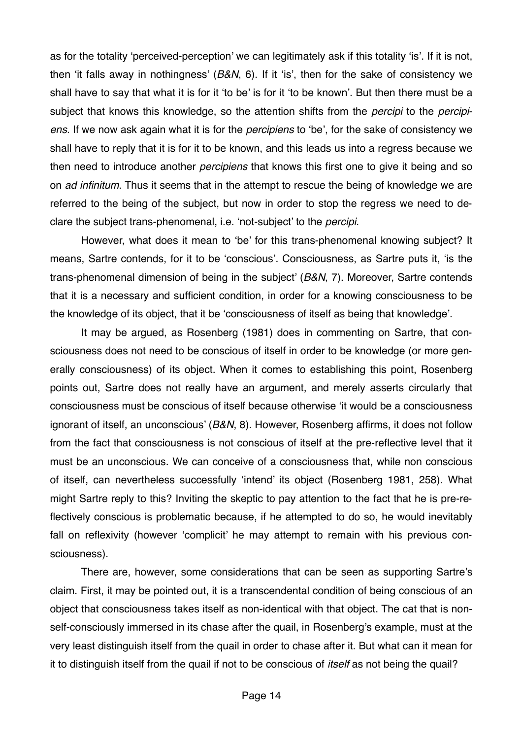as for the totality 'perceived-perception' we can legitimately ask if this totality 'is'. If it is not, then 'it falls away in nothingness' (*B&N*, 6). If it 'is', then for the sake of consistency we shall have to say that what it is for it 'to be' is for it 'to be known'. But then there must be a subject that knows this knowledge, so the attention shifts from the *percipi* to the *percipiens*. If we now ask again what it is for the *percipiens* to 'be', for the sake of consistency we shall have to reply that it is for it to be known, and this leads us into a regress because we then need to introduce another *percipiens* that knows this first one to give it being and so on *ad infinitum*. Thus it seems that in the attempt to rescue the being of knowledge we are referred to the being of the subject, but now in order to stop the regress we need to declare the subject trans-phenomenal, i.e. 'not-subject' to the *percipi*.

However, what does it mean to 'be' for this trans-phenomenal knowing subject? It means, Sartre contends, for it to be 'conscious'. Consciousness, as Sartre puts it, 'is the trans-phenomenal dimension of being in the subject' (*B&N*, 7). Moreover, Sartre contends that it is a necessary and sufficient condition, in order for a knowing consciousness to be the knowledge of its object, that it be 'consciousness of itself as being that knowledge'.

It may be argued, as Rosenberg (1981) does in commenting on Sartre, that consciousness does not need to be conscious of itself in order to be knowledge (or more generally consciousness) of its object. When it comes to establishing this point, Rosenberg points out, Sartre does not really have an argument, and merely asserts circularly that consciousness must be conscious of itself because otherwise 'it would be a consciousness ignorant of itself, an unconscious' (*B&N*, 8). However, Rosenberg affirms, it does not follow from the fact that consciousness is not conscious of itself at the pre-reflective level that it must be an unconscious. We can conceive of a consciousness that, while non conscious of itself, can nevertheless successfully 'intend' its object (Rosenberg 1981, 258). What might Sartre reply to this? Inviting the skeptic to pay attention to the fact that he is pre-reflectively conscious is problematic because, if he attempted to do so, he would inevitably fall on reflexivity (however 'complicit' he may attempt to remain with his previous consciousness).

There are, however, some considerations that can be seen as supporting Sartre's claim. First, it may be pointed out, it is a transcendental condition of being conscious of an object that consciousness takes itself as non-identical with that object. The cat that is nonself-consciously immersed in its chase after the quail, in Rosenberg's example, must at the very least distinguish itself from the quail in order to chase after it. But what can it mean for it to distinguish itself from the quail if not to be conscious of *itself* as not being the quail?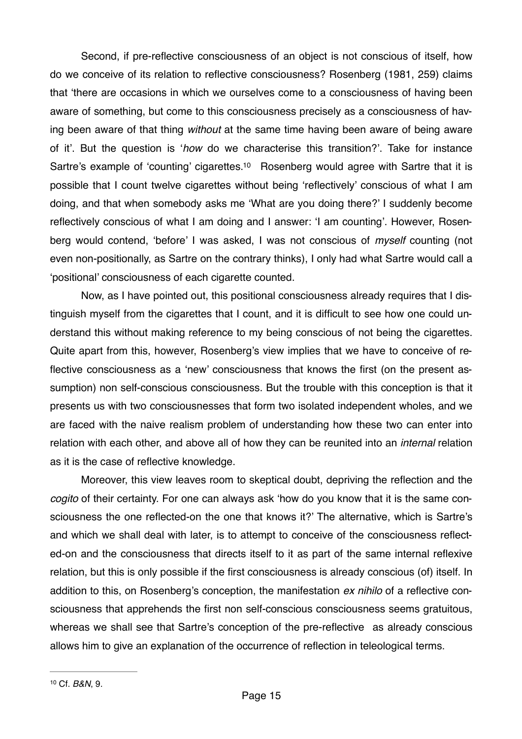<span id="page-14-1"></span>Second, if pre-reflective consciousness of an object is not conscious of itself, how do we conceive of its relation to reflective consciousness? Rosenberg (1981, 259) claims that 'there are occasions in which we ourselves come to a consciousness of having been aware of something, but come to this consciousness precisely as a consciousness of having been aware of that thing *without* at the same time having been aware of being aware of it'. But the question is '*how* do we characterise this transition?'. Take for instance Sartre's example of 'counting' cigarettes[.](#page-14-0)<sup>[10](#page-14-0)</sup> Rosenberg would agree with Sartre that it is possible that I count twelve cigarettes without being 'reflectively' conscious of what I am doing, and that when somebody asks me 'What are you doing there?' I suddenly become reflectively conscious of what I am doing and I answer: 'I am counting'. However, Rosenberg would contend, 'before' I was asked, I was not conscious of *myself* counting (not even non-positionally, as Sartre on the contrary thinks), I only had what Sartre would call a 'positional' consciousness of each cigarette counted.

Now, as I have pointed out, this positional consciousness already requires that I distinguish myself from the cigarettes that I count, and it is difficult to see how one could understand this without making reference to my being conscious of not being the cigarettes. Quite apart from this, however, Rosenberg's view implies that we have to conceive of reflective consciousness as a 'new' consciousness that knows the first (on the present assumption) non self-conscious consciousness. But the trouble with this conception is that it presents us with two consciousnesses that form two isolated independent wholes, and we are faced with the naive realism problem of understanding how these two can enter into relation with each other, and above all of how they can be reunited into an *internal* relation as it is the case of reflective knowledge.

<span id="page-14-0"></span>Moreover, this view leaves room to skeptical doubt, depriving the reflection and the *cogito* of their certainty. For one can always ask 'how do you know that it is the same consciousness the one reflected-on the one that knows it?' The alternative, which is Sartre's and which we shall deal with later, is to attempt to conceive of the consciousness reflected-on and the consciousness that directs itself to it as part of the same internal reflexive relation, but this is only possible if the first consciousness is already conscious (of) itself. In addition to this, on Rosenberg's conception, the manifestation *ex nihilo* of a reflective consciousness that apprehends the first non self-conscious consciousness seems gratuitous, whereas we shall see that Sartre's conception of the pre-reflective as already conscious allows him to give an explanation of the occurrence of reflection in teleological terms.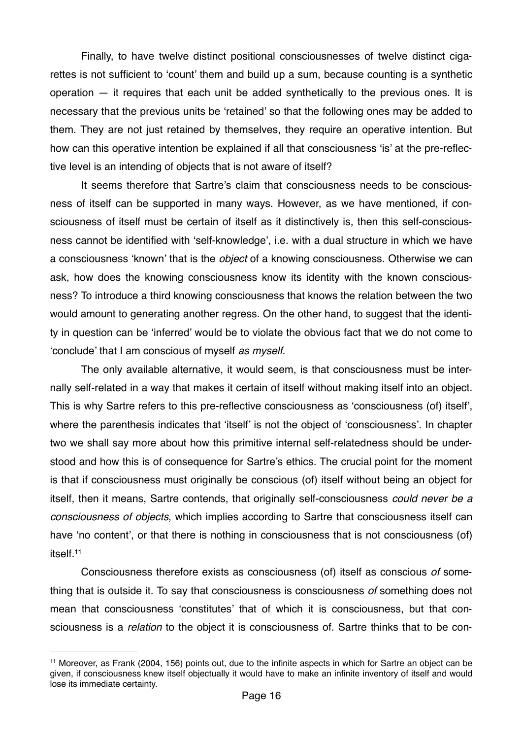Finally, to have twelve distinct positional consciousnesses of twelve distinct cigarettes is not sufficient to 'count' them and build up a sum, because counting is a synthetic operation — it requires that each unit be added synthetically to the previous ones. It is necessary that the previous units be 'retained' so that the following ones may be added to them. They are not just retained by themselves, they require an operative intention. But how can this operative intention be explained if all that consciousness 'is' at the pre-reflective level is an intending of objects that is not aware of itself?

It seems therefore that Sartre's claim that consciousness needs to be consciousness of itself can be supported in many ways. However, as we have mentioned, if consciousness of itself must be certain of itself as it distinctively is, then this self-consciousness cannot be identified with 'self-knowledge', i.e. with a dual structure in which we have a consciousness 'known' that is the *object* of a knowing consciousness. Otherwise we can ask, how does the knowing consciousness know its identity with the known consciousness? To introduce a third knowing consciousness that knows the relation between the two would amount to generating another regress. On the other hand, to suggest that the identity in question can be 'inferred' would be to violate the obvious fact that we do not come to 'conclude' that I am conscious of myself *as myself*.

The only available alternative, it would seem, is that consciousness must be internally self-related in a way that makes it certain of itself without making itself into an object. This is why Sartre refers to this pre-reflective consciousness as 'consciousness (of) itself', where the parenthesis indicates that 'itself' is not the object of 'consciousness'. In chapter two we shall say more about how this primitive internal self-relatedness should be understood and how this is of consequence for Sartre's ethics. The crucial point for the moment is that if consciousness must originally be conscious (of) itself without being an object for itself, then it means, Sartre contends, that originally self-consciousness *could never be a consciousness of objects*, which implies according to Sartre that consciousness itself can have 'no content', or that there is nothing in consciousness that is not consciousness (of) itself[.11](#page-15-0)

<span id="page-15-1"></span>Consciousness therefore exists as consciousness (of) itself as conscious *of* something that is outside it. To say that consciousness is consciousness *of* something does not mean that consciousness 'constitutes' that of which it is consciousness, but that consciousness is a *relation* to the object it is consciousness of. Sartre thinks that to be con-

<span id="page-15-0"></span> $11$ Moreover, as Frank (2004, 156) points out, due to the infinite aspects in which for Sartre an object can be given, if consciousness knew itself objectually it would have to make an infinite inventory of itself and would lose its immediate certainty.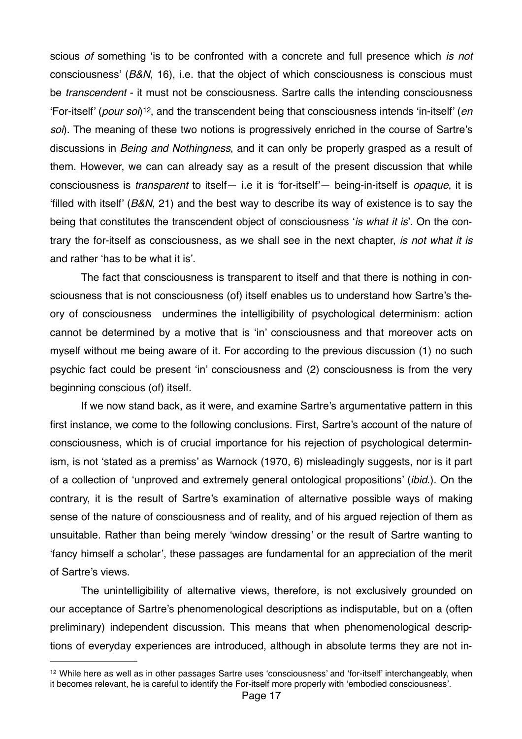<span id="page-16-1"></span>scious *of* something 'is to be confronted with a concrete and full presence which *is not*  consciousness' (*B&N*, 16), i.e. that the object of which consciousness is conscious must be *transcendent* - it must not be consciousness. Sartre calls the intending consciousness 'For-itself' (*pour soi*)<sup>[12](#page-16-0)</sup>, and the transcendent being that consciousness intends 'in-itself' (*en soi*). The meaning of these two notions is progressively enriched in the course of Sartre's discussions in *Being and Nothingness*, and it can only be properly grasped as a result of them. However, we can can already say as a result of the present discussion that while consciousness is *transparent* to itself— i.e it is 'for-itself'— being-in-itself is *opaque*, it is 'filled with itself' (*B&N*, 21) and the best way to describe its way of existence is to say the being that constitutes the transcendent object of consciousness '*is what it is*'. On the contrary the for-itself as consciousness, as we shall see in the next chapter, *is not what it is*  and rather 'has to be what it is'.

The fact that consciousness is transparent to itself and that there is nothing in consciousness that is not consciousness (of) itself enables us to understand how Sartre's theory of consciousness undermines the intelligibility of psychological determinism: action cannot be determined by a motive that is 'in' consciousness and that moreover acts on myself without me being aware of it. For according to the previous discussion (1) no such psychic fact could be present 'in' consciousness and (2) consciousness is from the very beginning conscious (of) itself.

If we now stand back, as it were, and examine Sartre's argumentative pattern in this first instance, we come to the following conclusions. First, Sartre's account of the nature of consciousness, which is of crucial importance for his rejection of psychological determinism, is not 'stated as a premiss' as Warnock (1970, 6) misleadingly suggests, nor is it part of a collection of 'unproved and extremely general ontological propositions' (*ibid*.). On the contrary, it is the result of Sartre's examination of alternative possible ways of making sense of the nature of consciousness and of reality, and of his argued rejection of them as unsuitable. Rather than being merely 'window dressing' or the result of Sartre wanting to 'fancy himself a scholar', these passages are fundamental for an appreciation of the merit of Sartre's views.

The unintelligibility of alternative views, therefore, is not exclusively grounded on our acceptance of Sartre's phenomenological descriptions as indisputable, but on a (often preliminary) independent discussion. This means that when phenomenological descriptions of everyday experiences are introduced, although in absolute terms they are not in-

<span id="page-16-0"></span><sup>&</sup>lt;sup>[12](#page-16-1)</sup> While here as well as in other passages Sartre uses 'consciousness' and 'for-itself' interchangeably, when it becomes relevant, he is careful to identify the For-itself more properly with 'embodied consciousness'.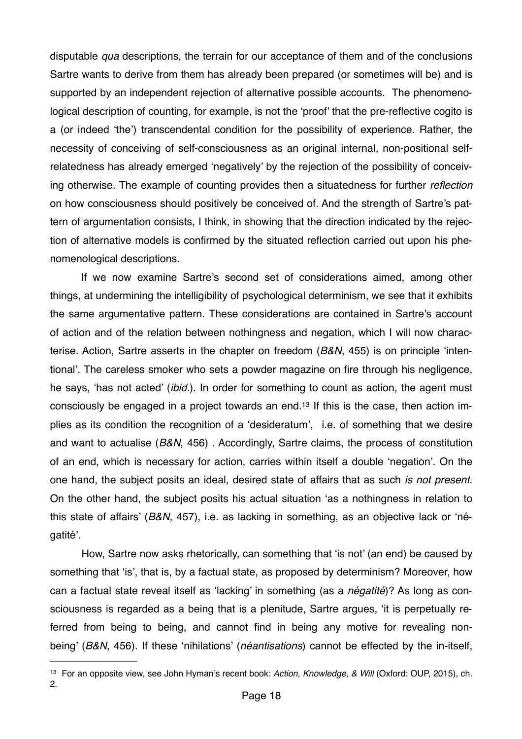disputable *qua* descriptions, the terrain for our acceptance of them and of the conclusions Sartre wants to derive from them has already been prepared (or sometimes will be) and is supported by an independent rejection of alternative possible accounts. The phenomenological description of counting, for example, is not the 'proof' that the pre-reflective cogito is a (or indeed 'the') transcendental condition for the possibility of experience. Rather, the necessity of conceiving of self-consciousness as an original internal, non-positional selfrelatedness has already emerged 'negatively' by the rejection of the possibility of conceiving otherwise. The example of counting provides then a situatedness for further *reflection*  on how consciousness should positively be conceived of. And the strength of Sartre's pattern of argumentation consists, I think, in showing that the direction indicated by the rejection of alternative models is confirmed by the situated reflection carried out upon his phenomenological descriptions.

<span id="page-17-1"></span>If we now examine Sartre's second set of considerations aimed, among other things, at undermining the intelligibility of psychological determinism, we see that it exhibits the same argumentative pattern. These considerations are contained in Sartre's account of action and of the relation between nothingness and negation, which I will now characterise. Action, Sartre asserts in the chapter on freedom (*B&N*, 455) is on principle 'intentional'. The careless smoker who sets a powder magazine on fire through his negligence, he says, 'has not acted' (*ibid*.). In order for something to count as action, the agent must consciously be engaged in a project towards an end[.13](#page-17-0) If this is the case, then action implies as its condition the recognition of a 'desideratum', i.e. of something that we desire and want to actualise (*B&N*, 456) . Accordingly, Sartre claims, the process of constitution of an end, which is necessary for action, carries within itself a double 'negation'. On the one hand, the subject posits an ideal, desired state of affairs that as such *is not present*. On the other hand, the subject posits his actual situation 'as a nothingness in relation to this state of affairs' (*B&N*, 457), i.e. as lacking in something, as an objective lack or 'négatité'.

How, Sartre now asks rhetorically, can something that 'is not' (an end) be caused by something that 'is', that is, by a factual state, as proposed by determinism? Moreover, how can a factual state reveal itself as 'lacking' in something (as a *négatité*)? As long as consciousness is regarded as a being that is a plenitude, Sartre argues, 'it is perpetually referred from being to being, and cannot find in being any motive for revealing nonbeing' (*B&N*, 456). If these 'nihilations' (*néantisations*) cannot be effected by the in-itself,

<span id="page-17-0"></span><sup>&</sup>lt;sup>[13](#page-17-1)</sup> For an opposite view, see John Hyman's recent book: Action, Knowledge, & Will (Oxford: OUP, 2015), ch. 2.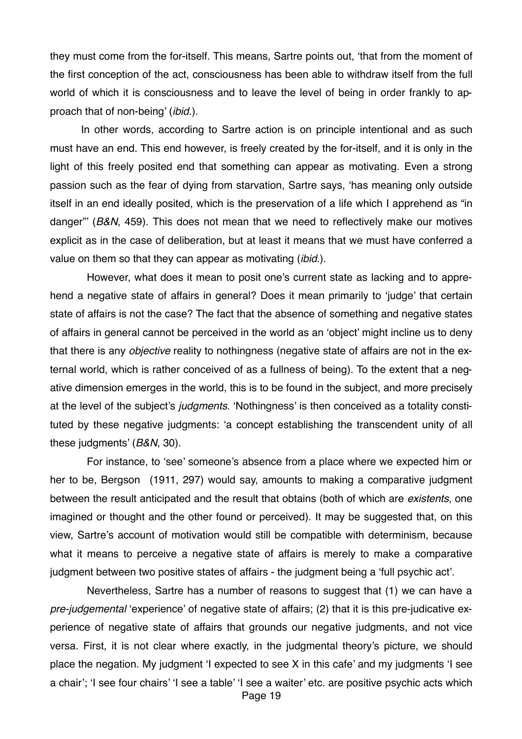they must come from the for-itself. This means, Sartre points out, 'that from the moment of the first conception of the act, consciousness has been able to withdraw itself from the full world of which it is consciousness and to leave the level of being in order frankly to approach that of non-being' (*ibid*.).

In other words, according to Sartre action is on principle intentional and as such must have an end. This end however, is freely created by the for-itself, and it is only in the light of this freely posited end that something can appear as motivating. Even a strong passion such as the fear of dying from starvation, Sartre says, 'has meaning only outside itself in an end ideally posited, which is the preservation of a life which I apprehend as "in danger"' (*B&N*, 459). This does not mean that we need to reflectively make our motives explicit as in the case of deliberation, but at least it means that we must have conferred a value on them so that they can appear as motivating (*ibid*.).

However, what does it mean to posit one's current state as lacking and to apprehend a negative state of affairs in general? Does it mean primarily to 'judge' that certain state of affairs is not the case? The fact that the absence of something and negative states of affairs in general cannot be perceived in the world as an 'object' might incline us to deny that there is any *objective* reality to nothingness (negative state of affairs are not in the external world, which is rather conceived of as a fullness of being). To the extent that a negative dimension emerges in the world, this is to be found in the subject, and more precisely at the level of the subject's *judgments.* 'Nothingness' is then conceived as a totality constituted by these negative judgments: 'a concept establishing the transcendent unity of all these judgments' (*B&N*, 30).

For instance, to 'see' someone's absence from a place where we expected him or her to be, Bergson (1911, 297) would say, amounts to making a comparative judgment between the result anticipated and the result that obtains (both of which are *existents*, one imagined or thought and the other found or perceived). It may be suggested that, on this view, Sartre's account of motivation would still be compatible with determinism, because what it means to perceive a negative state of affairs is merely to make a comparative judgment between two positive states of affairs - the judgment being a 'full psychic act'.

Nevertheless, Sartre has a number of reasons to suggest that (1) we can have a *pre-judgemental* 'experience' of negative state of affairs; (2) that it is this pre-judicative experience of negative state of affairs that grounds our negative judgments, and not vice versa. First, it is not clear where exactly, in the judgmental theory's picture, we should place the negation. My judgment 'I expected to see X in this cafe' and my judgments 'I see a chair'; 'I see four chairs' 'I see a table' 'I see a waiter' etc. are positive psychic acts which Page 19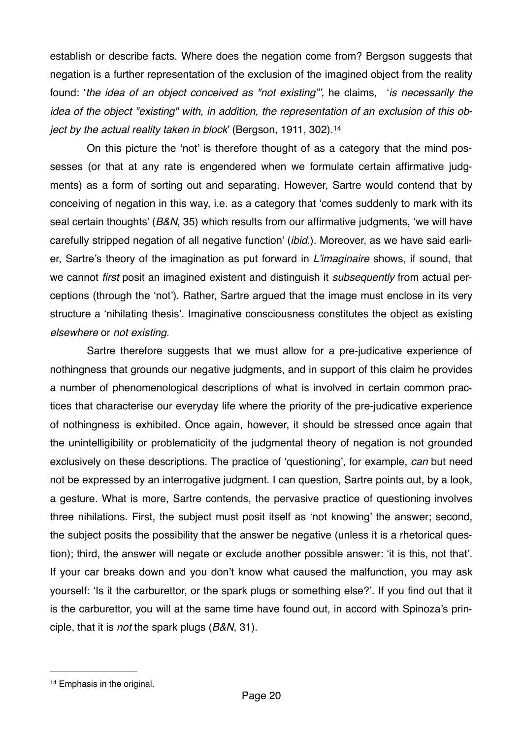establish or describe facts. Where does the negation come from? Bergson suggests that negation is a further representation of the exclusion of the imagined object from the reality found: '*the idea of an object conceived as "not existing"',* he claims, '*is necessarily the idea of the object "existing" with, in addition, the representation of an exclusion of this object by the actual reality taken in block*' (Bergson, 1911, 302).[14](#page-19-0)

<span id="page-19-1"></span>On this picture the 'not' is therefore thought of as a category that the mind possesses (or that at any rate is engendered when we formulate certain affirmative judgments) as a form of sorting out and separating. However, Sartre would contend that by conceiving of negation in this way, i.e. as a category that 'comes suddenly to mark with its seal certain thoughts' (*B&N*, 35) which results from our affirmative judgments, 'we will have carefully stripped negation of all negative function' (*ibid*.). Moreover, as we have said earlier, Sartre's theory of the imagination as put forward in *L'imaginaire* shows, if sound, that we cannot *first* posit an imagined existent and distinguish it *subsequently* from actual perceptions (through the 'not'). Rather, Sartre argued that the image must enclose in its very structure a 'nihilating thesis'. Imaginative consciousness constitutes the object as existing *elsewhere* or *not existing*.

Sartre therefore suggests that we must allow for a pre-judicative experience of nothingness that grounds our negative judgments, and in support of this claim he provides a number of phenomenological descriptions of what is involved in certain common practices that characterise our everyday life where the priority of the pre-judicative experience of nothingness is exhibited. Once again, however, it should be stressed once again that the unintelligibility or problematicity of the judgmental theory of negation is not grounded exclusively on these descriptions. The practice of 'questioning', for example, *can* but need not be expressed by an interrogative judgment. I can question, Sartre points out, by a look, a gesture. What is more, Sartre contends, the pervasive practice of questioning involves three nihilations. First, the subject must posit itself as 'not knowing' the answer; second, the subject posits the possibility that the answer be negative (unless it is a rhetorical question); third, the answer will negate or exclude another possible answer: 'it is this, not that'. If your car breaks down and you don't know what caused the malfunction, you may ask yourself: 'Is it the carburettor, or the spark plugs or something else?'. If you find out that it is the carburettor, you will at the same time have found out, in accord with Spinoza's principle, that it is *not* the spark plugs (*B&N*, 31).

<span id="page-19-0"></span><sup>&</sup>lt;sup>[14](#page-19-1)</sup> Emphasis in the original.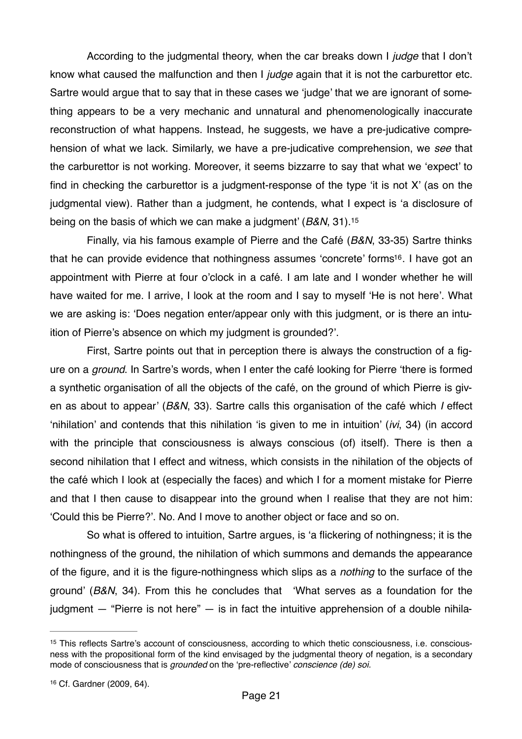According to the judgmental theory, when the car breaks down I *judge* that I don't know what caused the malfunction and then I *judge* again that it is not the carburettor etc. Sartre would argue that to say that in these cases we 'judge' that we are ignorant of something appears to be a very mechanic and unnatural and phenomenologically inaccurate reconstruction of what happens. Instead, he suggests, we have a pre-judicative comprehension of what we lack. Similarly, we have a pre-judicative comprehension, we *see* that the carburettor is not working. Moreover, it seems bizzarre to say that what we 'expect' to find in checking the carburettor is a judgment-response of the type 'it is not X' (as on the judgmental view). Rather than a judgment, he contends, what I expect is 'a disclosure of being on the basis of which we can make a judgment' (*B&N*, 31)[.15](#page-20-0)

<span id="page-20-3"></span><span id="page-20-2"></span>Finally, via his famous example of Pierre and the Café (*B&N*, 33-35) Sartre thinks that he can provide evidence that nothingness assumes 'concrete' forms<sup>[16](#page-20-1)</sup>. I have got an appointment with Pierre at four o'clock in a café. I am late and I wonder whether he will have waited for me. I arrive, I look at the room and I say to myself 'He is not here'. What we are asking is: 'Does negation enter/appear only with this judgment, or is there an intuition of Pierre's absence on which my judgment is grounded?'.

First, Sartre points out that in perception there is always the construction of a figure on a *ground*. In Sartre's words, when I enter the café looking for Pierre 'there is formed a synthetic organisation of all the objects of the café, on the ground of which Pierre is given as about to appear' (*B&N*, 33). Sartre calls this organisation of the café which *I* effect 'nihilation' and contends that this nihilation 'is given to me in intuition' (*ivi*, 34) (in accord with the principle that consciousness is always conscious (of) itself). There is then a second nihilation that I effect and witness, which consists in the nihilation of the objects of the café which I look at (especially the faces) and which I for a moment mistake for Pierre and that I then cause to disappear into the ground when I realise that they are not him: 'Could this be Pierre?'. No. And I move to another object or face and so on.

So what is offered to intuition, Sartre argues, is 'a flickering of nothingness; it is the nothingness of the ground, the nihilation of which summons and demands the appearance of the figure, and it is the figure-nothingness which slips as a *nothing* to the surface of the ground' (*B&N*, 34). From this he concludes that 'What serves as a foundation for the judgment  $-$  "Pierre is not here"  $-$  is in fact the intuitive apprehension of a double nihila-

<span id="page-20-0"></span><sup>&</sup>lt;sup>[15](#page-20-2)</sup> This reflects Sartre's account of consciousness, according to which thetic consciousness, i.e. consciousness with the propositional form of the kind envisaged by the judgmental theory of negation, is a secondary mode of consciousness that is *grounded* on the 'pre-reflective' *conscience (de) soi.*

<span id="page-20-1"></span><sup>&</sup>lt;sup>[16](#page-20-3)</sup> Cf. Gardner (2009, 64).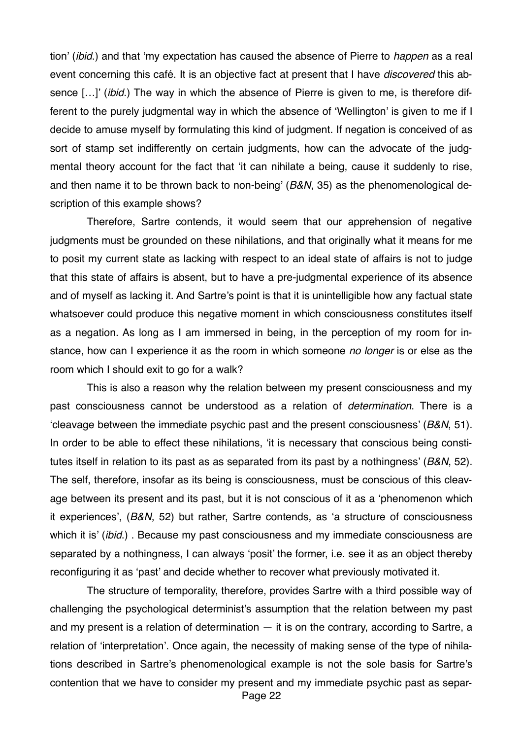tion' (*ibid*.) and that 'my expectation has caused the absence of Pierre to *happen* as a real event concerning this café. It is an objective fact at present that I have *discovered* this absence […]' (*ibid*.) The way in which the absence of Pierre is given to me, is therefore different to the purely judgmental way in which the absence of 'Wellington' is given to me if I decide to amuse myself by formulating this kind of judgment. If negation is conceived of as sort of stamp set indifferently on certain judgments, how can the advocate of the judgmental theory account for the fact that 'it can nihilate a being, cause it suddenly to rise, and then name it to be thrown back to non-being' (*B&N*, 35) as the phenomenological description of this example shows?

Therefore, Sartre contends, it would seem that our apprehension of negative judgments must be grounded on these nihilations, and that originally what it means for me to posit my current state as lacking with respect to an ideal state of affairs is not to judge that this state of affairs is absent, but to have a pre-judgmental experience of its absence and of myself as lacking it. And Sartre's point is that it is unintelligible how any factual state whatsoever could produce this negative moment in which consciousness constitutes itself as a negation. As long as I am immersed in being, in the perception of my room for instance, how can I experience it as the room in which someone *no longer* is or else as the room which I should exit to go for a walk?

This is also a reason why the relation between my present consciousness and my past consciousness cannot be understood as a relation of *determination*. There is a 'cleavage between the immediate psychic past and the present consciousness' (*B&N*, 51). In order to be able to effect these nihilations, 'it is necessary that conscious being constitutes itself in relation to its past as as separated from its past by a nothingness' (*B&N*, 52). The self, therefore, insofar as its being is consciousness, must be conscious of this cleavage between its present and its past, but it is not conscious of it as a 'phenomenon which it experiences', (*B&N*, 52) but rather, Sartre contends, as 'a structure of consciousness which it is' (*ibid*.) . Because my past consciousness and my immediate consciousness are separated by a nothingness, I can always 'posit' the former, i.e. see it as an object thereby reconfiguring it as 'past' and decide whether to recover what previously motivated it.

The structure of temporality, therefore, provides Sartre with a third possible way of challenging the psychological determinist's assumption that the relation between my past and my present is a relation of determination  $-$  it is on the contrary, according to Sartre, a relation of 'interpretation'. Once again, the necessity of making sense of the type of nihilations described in Sartre's phenomenological example is not the sole basis for Sartre's contention that we have to consider my present and my immediate psychic past as separ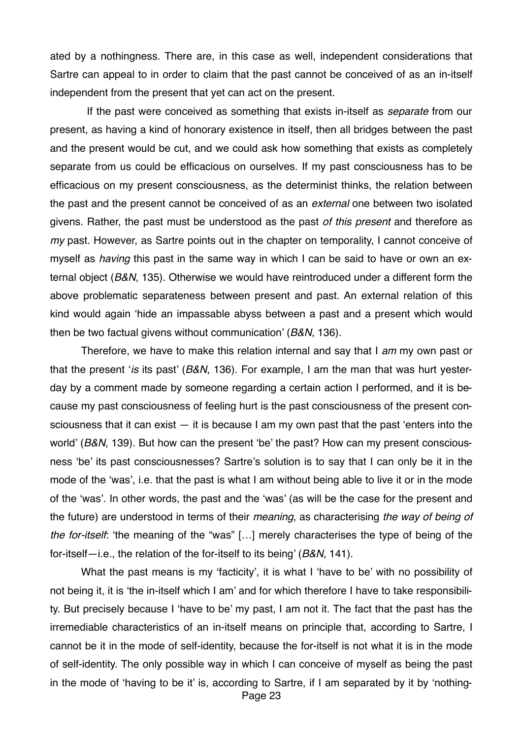ated by a nothingness. There are, in this case as well, independent considerations that Sartre can appeal to in order to claim that the past cannot be conceived of as an in-itself independent from the present that yet can act on the present.

If the past were conceived as something that exists in-itself as *separate* from our present, as having a kind of honorary existence in itself, then all bridges between the past and the present would be cut, and we could ask how something that exists as completely separate from us could be efficacious on ourselves. If my past consciousness has to be efficacious on my present consciousness, as the determinist thinks, the relation between the past and the present cannot be conceived of as an *external* one between two isolated givens. Rather, the past must be understood as the past *of this present* and therefore as *my* past. However, as Sartre points out in the chapter on temporality, I cannot conceive of myself as *having* this past in the same way in which I can be said to have or own an external object (*B&N*, 135). Otherwise we would have reintroduced under a different form the above problematic separateness between present and past. An external relation of this kind would again 'hide an impassable abyss between a past and a present which would then be two factual givens without communication' (*B&N*, 136).

Therefore, we have to make this relation internal and say that I *am* my own past or that the present '*is* its past' (*B&N*, 136). For example, I am the man that was hurt yesterday by a comment made by someone regarding a certain action I performed, and it is because my past consciousness of feeling hurt is the past consciousness of the present consciousness that it can exist  $-$  it is because I am my own past that the past 'enters into the world' (*B&N*, 139). But how can the present 'be' the past? How can my present consciousness 'be' its past consciousnesses? Sartre's solution is to say that I can only be it in the mode of the 'was', i.e. that the past is what I am without being able to live it or in the mode of the 'was'. In other words, the past and the 'was' (as will be the case for the present and the future) are understood in terms of their *meaning*, as characterising *the way of being of the for-itself*: 'the meaning of the "was" […] merely characterises the type of being of the for-itself—i.e., the relation of the for-itself to its being' (*B&N*, 141).

What the past means is my 'facticity', it is what I 'have to be' with no possibility of not being it, it is 'the in-itself which I am' and for which therefore I have to take responsibility. But precisely because I 'have to be' my past, I am not it. The fact that the past has the irremediable characteristics of an in-itself means on principle that, according to Sartre, I cannot be it in the mode of self-identity, because the for-itself is not what it is in the mode of self-identity. The only possible way in which I can conceive of myself as being the past in the mode of 'having to be it' is, according to Sartre, if I am separated by it by 'nothing-Page 23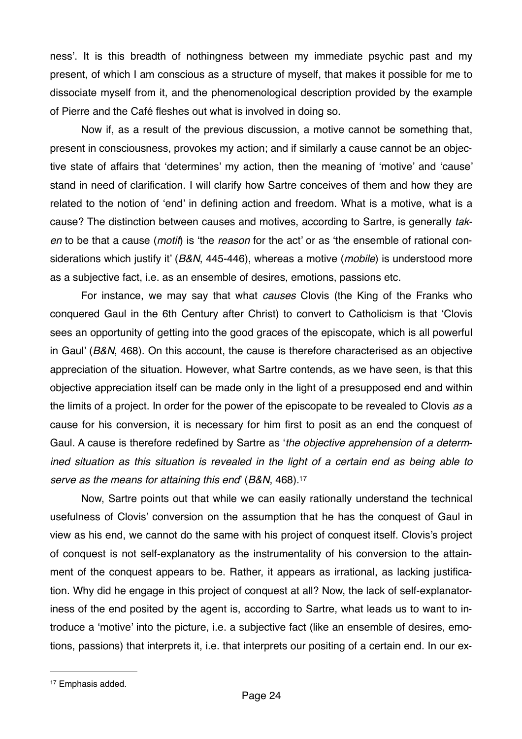ness'. It is this breadth of nothingness between my immediate psychic past and my present, of which I am conscious as a structure of myself, that makes it possible for me to dissociate myself from it, and the phenomenological description provided by the example of Pierre and the Café fleshes out what is involved in doing so.

Now if, as a result of the previous discussion, a motive cannot be something that, present in consciousness, provokes my action; and if similarly a cause cannot be an objective state of affairs that 'determines' my action, then the meaning of 'motive' and 'cause' stand in need of clarification. I will clarify how Sartre conceives of them and how they are related to the notion of 'end' in defining action and freedom. What is a motive, what is a cause? The distinction between causes and motives, according to Sartre, is generally *taken* to be that a cause (*motif*) is 'the *reason* for the act' or as 'the ensemble of rational considerations which justify it' (*B&N*, 445-446), whereas a motive (*mobile*) is understood more as a subjective fact, i.e. as an ensemble of desires, emotions, passions etc.

For instance, we may say that what *causes* Clovis (the King of the Franks who conquered Gaul in the 6th Century after Christ) to convert to Catholicism is that 'Clovis sees an opportunity of getting into the good graces of the episcopate, which is all powerful in Gaul' (*B&N*, 468). On this account, the cause is therefore characterised as an objective appreciation of the situation. However, what Sartre contends, as we have seen, is that this objective appreciation itself can be made only in the light of a presupposed end and within the limits of a project. In order for the power of the episcopate to be revealed to Clovis *as* a cause for his conversion, it is necessary for him first to posit as an end the conquest of Gaul. A cause is therefore redefined by Sartre as '*the objective apprehension of a determined situation as this situation is revealed in the light of a certain end as being able to serve as the means for attaining this end*' (*B&N*, 468)[.17](#page-23-0)

<span id="page-23-1"></span>Now, Sartre points out that while we can easily rationally understand the technical usefulness of Clovis' conversion on the assumption that he has the conquest of Gaul in view as his end, we cannot do the same with his project of conquest itself. Clovis's project of conquest is not self-explanatory as the instrumentality of his conversion to the attainment of the conquest appears to be. Rather, it appears as irrational, as lacking justification. Why did he engage in this project of conquest at all? Now, the lack of self-explanatoriness of the end posited by the agent is, according to Sartre, what leads us to want to introduce a 'motive' into the picture, i.e. a subjective fact (like an ensemble of desires, emotions, passions) that interprets it, i.e. that interprets our positing of a certain end. In our ex-

<span id="page-23-0"></span><sup>&</sup>lt;sup>[17](#page-23-1)</sup> Emphasis added.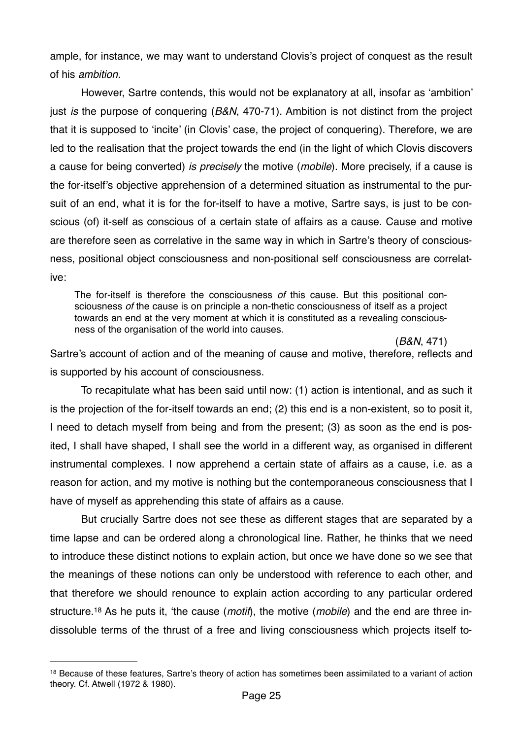ample, for instance, we may want to understand Clovis's project of conquest as the result of his *ambition*.

However, Sartre contends, this would not be explanatory at all, insofar as 'ambition' just *is* the purpose of conquering (*B&N*, 470-71). Ambition is not distinct from the project that it is supposed to 'incite' (in Clovis' case, the project of conquering). Therefore, we are led to the realisation that the project towards the end (in the light of which Clovis discovers a cause for being converted) *is precisely* the motive (*mobile*). More precisely, if a cause is the for-itself's objective apprehension of a determined situation as instrumental to the pursuit of an end, what it is for the for-itself to have a motive, Sartre says, is just to be conscious (of) it-self as conscious of a certain state of affairs as a cause. Cause and motive are therefore seen as correlative in the same way in which in Sartre's theory of consciousness, positional object consciousness and non-positional self consciousness are correlative:

The for-itself is therefore the consciousness *of* this cause. But this positional consciousness *of* the cause is on principle a non-thetic consciousness of itself as a project towards an end at the very moment at which it is constituted as a revealing consciousness of the organisation of the world into causes.

(*B&N*, 471) Sartre's account of action and of the meaning of cause and motive, therefore, reflects and is supported by his account of consciousness.

To recapitulate what has been said until now: (1) action is intentional, and as such it is the projection of the for-itself towards an end; (2) this end is a non-existent, so to posit it, I need to detach myself from being and from the present; (3) as soon as the end is posited, I shall have shaped, I shall see the world in a different way, as organised in different instrumental complexes. I now apprehend a certain state of affairs as a cause, i.e. as a reason for action, and my motive is nothing but the contemporaneous consciousness that I have of myself as apprehending this state of affairs as a cause.

But crucially Sartre does not see these as different stages that are separated by a time lapse and can be ordered along a chronological line. Rather, he thinks that we need to introduce these distinct notions to explain action, but once we have done so we see that the meanings of these notions can only be understood with reference to each other, and that therefore we should renounce to explain action according to any particular ordered structure[.18](#page-24-0) As he puts it, 'the cause (*motif*), the motive (*mobile*) and the end are three indissoluble terms of the thrust of a free and living consciousness which projects itself to-

<span id="page-24-1"></span><span id="page-24-0"></span> $18$  Because of these features, Sartre's theory of action has sometimes been assimilated to a variant of action theory. Cf. Atwell (1972 & 1980).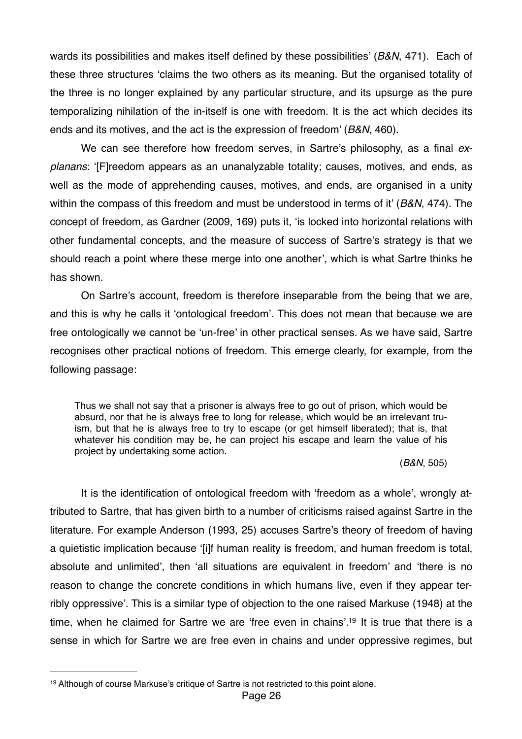wards its possibilities and makes itself defined by these possibilities' (*B&N*, 471). Each of these three structures 'claims the two others as its meaning. But the organised totality of the three is no longer explained by any particular structure, and its upsurge as the pure temporalizing nihilation of the in-itself is one with freedom. It is the act which decides its ends and its motives, and the act is the expression of freedom' (*B&N*, 460).

We can see therefore how freedom serves, in Sartre's philosophy, as a final *explanans*: '[F]reedom appears as an unanalyzable totality; causes, motives, and ends, as well as the mode of apprehending causes, motives, and ends, are organised in a unity within the compass of this freedom and must be understood in terms of it' (*B&N*, 474). The concept of freedom, as Gardner (2009, 169) puts it, 'is locked into horizontal relations with other fundamental concepts, and the measure of success of Sartre's strategy is that we should reach a point where these merge into one another', which is what Sartre thinks he has shown.

On Sartre's account, freedom is therefore inseparable from the being that we are, and this is why he calls it 'ontological freedom'. This does not mean that because we are free ontologically we cannot be 'un-free' in other practical senses. As we have said, Sartre recognises other practical notions of freedom. This emerge clearly, for example, from the following passage:

Thus we shall not say that a prisoner is always free to go out of prison, which would be absurd, nor that he is always free to long for release, which would be an irrelevant truism, but that he is always free to try to escape (or get himself liberated); that is, that whatever his condition may be, he can project his escape and learn the value of his project by undertaking some action.

#### <span id="page-25-1"></span>(*B&N*, 505)

It is the identification of ontological freedom with 'freedom as a whole', wrongly attributed to Sartre, that has given birth to a number of criticisms raised against Sartre in the literature. For example Anderson (1993, 25) accuses Sartre's theory of freedom of having a quietistic implication because '[i]f human reality is freedom, and human freedom is total, absolute and unlimited', then 'all situations are equivalent in freedom' and 'there is no reason to change the concrete conditions in which humans live, even if they appear terribly oppressive'. This is a similar type of objection to the one raised Markuse (1948) at the time, when he claimed for Sartre we are 'free even in chains'[.](#page-25-0)<sup>[19](#page-25-0)</sup> It is true that there is a sense in which for Sartre we are free even in chains and under oppressive regimes, but

<span id="page-25-0"></span><sup>&</sup>lt;sup>[19](#page-25-1)</sup> Although of course Markuse's critique of Sartre is not restricted to this point alone.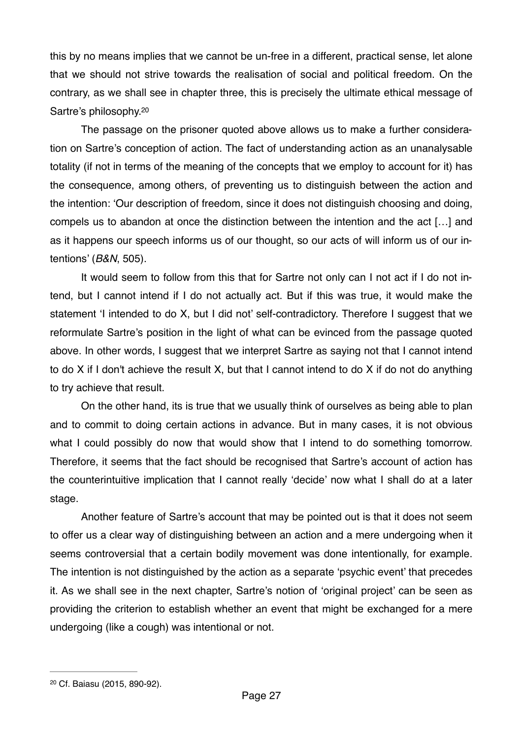this by no means implies that we cannot be un-free in a different, practical sense, let alone that we should not strive towards the realisation of social and political freedom. On the contrary, as we shall see in chapter three, this is precisely the ultimate ethical message of Sartre's philosophy[.20](#page-26-0)

<span id="page-26-1"></span>The passage on the prisoner quoted above allows us to make a further consideration on Sartre's conception of action. The fact of understanding action as an unanalysable totality (if not in terms of the meaning of the concepts that we employ to account for it) has the consequence, among others, of preventing us to distinguish between the action and the intention: 'Our description of freedom, since it does not distinguish choosing and doing, compels us to abandon at once the distinction between the intention and the act […] and as it happens our speech informs us of our thought, so our acts of will inform us of our intentions' (*B&N*, 505).

It would seem to follow from this that for Sartre not only can I not act if I do not intend, but I cannot intend if I do not actually act. But if this was true, it would make the statement 'I intended to do X, but I did not' self-contradictory. Therefore I suggest that we reformulate Sartre's position in the light of what can be evinced from the passage quoted above. In other words, I suggest that we interpret Sartre as saying not that I cannot intend to do X if I don't achieve the result X, but that I cannot intend to do X if do not do anything to try achieve that result.

On the other hand, its is true that we usually think of ourselves as being able to plan and to commit to doing certain actions in advance. But in many cases, it is not obvious what I could possibly do now that would show that I intend to do something tomorrow. Therefore, it seems that the fact should be recognised that Sartre's account of action has the counterintuitive implication that I cannot really 'decide' now what I shall do at a later stage.

Another feature of Sartre's account that may be pointed out is that it does not seem to offer us a clear way of distinguishing between an action and a mere undergoing when it seems controversial that a certain bodily movement was done intentionally, for example. The intention is not distinguished by the action as a separate 'psychic event' that precedes it. As we shall see in the next chapter, Sartre's notion of 'original project' can be seen as providing the criterion to establish whether an event that might be exchanged for a mere undergoing (like a cough) was intentional or not.

<span id="page-26-0"></span><sup>&</sup>lt;sup>[20](#page-26-1)</sup> Cf. Baiasu (2015, 890-92).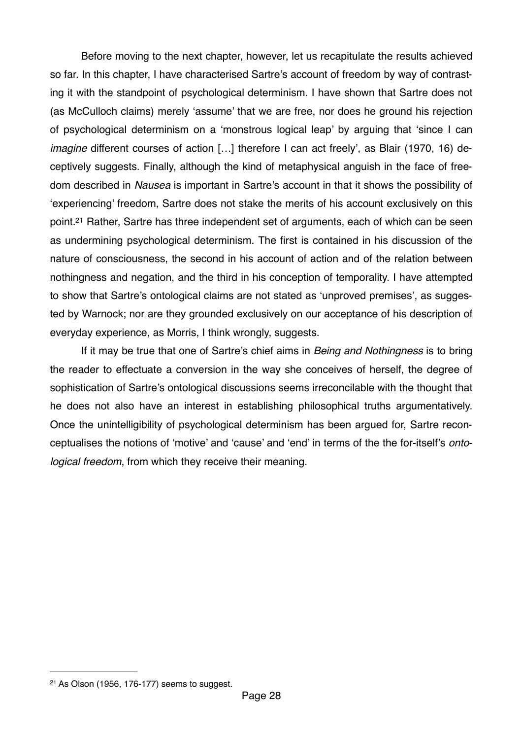Before moving to the next chapter, however, let us recapitulate the results achieved so far. In this chapter, I have characterised Sartre's account of freedom by way of contrasting it with the standpoint of psychological determinism. I have shown that Sartre does not (as McCulloch claims) merely 'assume' that we are free, nor does he ground his rejection of psychological determinism on a 'monstrous logical leap' by arguing that 'since I can *imagine* different courses of action […] therefore I can act freely', as Blair (1970, 16) deceptively suggests. Finally, although the kind of metaphysical anguish in the face of freedom described in *Nausea* is important in Sartre's account in that it shows the possibility of 'experiencing' freedom, Sartre does not stake the merits of his account exclusively on this point[.](#page-27-0)<sup>[21](#page-27-0)</sup> Rather, Sartre has three independent set of arguments, each of which can be seen as undermining psychological determinism. The first is contained in his discussion of the nature of consciousness, the second in his account of action and of the relation between nothingness and negation, and the third in his conception of temporality. I have attempted to show that Sartre's ontological claims are not stated as 'unproved premises', as suggested by Warnock; nor are they grounded exclusively on our acceptance of his description of everyday experience, as Morris, I think wrongly, suggests.

<span id="page-27-1"></span>If it may be true that one of Sartre's chief aims in *Being and Nothingness* is to bring the reader to effectuate a conversion in the way she conceives of herself, the degree of sophistication of Sartre's ontological discussions seems irreconcilable with the thought that he does not also have an interest in establishing philosophical truths argumentatively. Once the unintelligibility of psychological determinism has been argued for, Sartre reconceptualises the notions of 'motive' and 'cause' and 'end' in terms of the the for-itself's *ontological freedom*, from which they receive their meaning.

<span id="page-27-0"></span> $21$  As Olson (1956, 176-177) seems to suggest.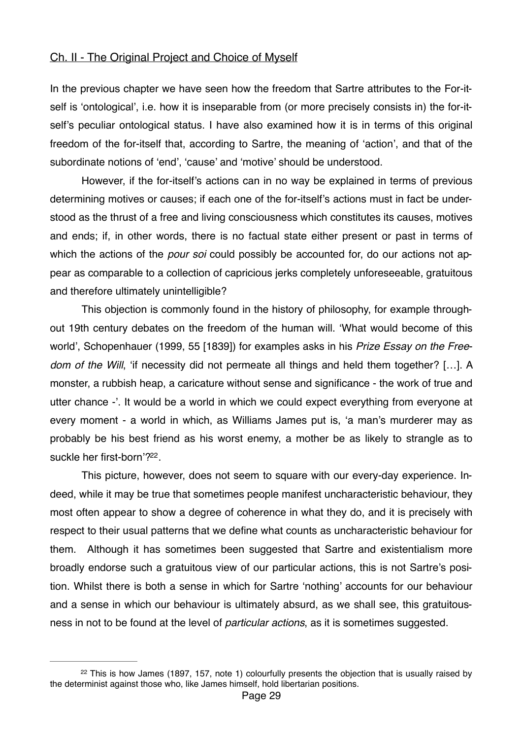### Ch. II - The Original Project and Choice of Myself

In the previous chapter we have seen how the freedom that Sartre attributes to the For-itself is 'ontological', i.e. how it is inseparable from (or more precisely consists in) the for-itself's peculiar ontological status. I have also examined how it is in terms of this original freedom of the for-itself that, according to Sartre, the meaning of 'action', and that of the subordinate notions of 'end', 'cause' and 'motive' should be understood.

However, if the for-itself's actions can in no way be explained in terms of previous determining motives or causes; if each one of the for-itself's actions must in fact be understood as the thrust of a free and living consciousness which constitutes its causes, motives and ends; if, in other words, there is no factual state either present or past in terms of which the actions of the *pour soi* could possibly be accounted for, do our actions not appear as comparable to a collection of capricious jerks completely unforeseeable, gratuitous and therefore ultimately unintelligible?

This objection is commonly found in the history of philosophy, for example throughout 19th century debates on the freedom of the human will. 'What would become of this world', Schopenhauer (1999, 55 [1839]) for examples asks in his *Prize Essay on the Freedom of the Will*, 'if necessity did not permeate all things and held them together? […]. A monster, a rubbish heap, a caricature without sense and significance - the work of true and utter chance -'. It would be a world in which we could expect everything from everyone at every moment - a world in which, as Williams James put is, 'a man's murderer may as probably be his best friend as his worst enemy, a mother be as likely to strangle as to suckle her first-born'?<sup>[22](#page-28-0)</sup>.

<span id="page-28-1"></span>This picture, however, does not seem to square with our every-day experience. Indeed, while it may be true that sometimes people manifest uncharacteristic behaviour, they most often appear to show a degree of coherence in what they do, and it is precisely with respect to their usual patterns that we define what counts as uncharacteristic behaviour for them. Although it has sometimes been suggested that Sartre and existentialism more broadly endorse such a gratuitous view of our particular actions, this is not Sartre's position. Whilst there is both a sense in which for Sartre 'nothing' accounts for our behaviour and a sense in which our behaviour is ultimately absurd, as we shall see, this gratuitousness in not to be found at the level of *particular actions*, as it is sometimes suggested.

<span id="page-28-0"></span> $22$ This is how James (1897, 157, note 1) colourfully presents the objection that is usually raised by the determinist against those who, like James himself, hold libertarian positions.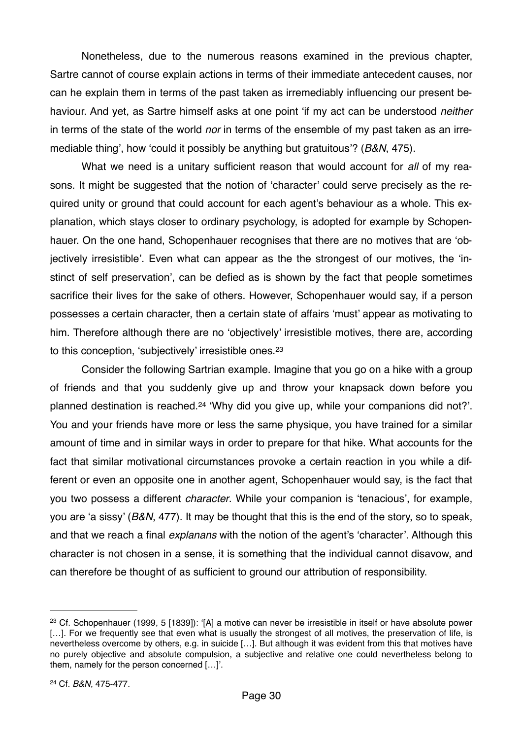Nonetheless, due to the numerous reasons examined in the previous chapter, Sartre cannot of course explain actions in terms of their immediate antecedent causes, nor can he explain them in terms of the past taken as irremediably influencing our present behaviour. And yet, as Sartre himself asks at one point 'if my act can be understood *neither*  in terms of the state of the world *nor* in terms of the ensemble of my past taken as an irremediable thing', how 'could it possibly be anything but gratuitous'? (*B&N*, 475).

What we need is a unitary sufficient reason that would account for *all* of my reasons. It might be suggested that the notion of 'character' could serve precisely as the required unity or ground that could account for each agent's behaviour as a whole. This explanation, which stays closer to ordinary psychology, is adopted for example by Schopenhauer. On the one hand, Schopenhauer recognises that there are no motives that are 'objectively irresistible'. Even what can appear as the the strongest of our motives, the 'instinct of self preservation', can be defied as is shown by the fact that people sometimes sacrifice their lives for the sake of others. However, Schopenhauer would say, if a person possesses a certain character, then a certain state of affairs 'must' appear as motivating to him. Therefore although there are no 'objectively' irresistible motives, there are, according to this conception, 'subjectively' irresistible ones.<sup>23</sup>

<span id="page-29-3"></span><span id="page-29-2"></span>Consider the following Sartrian example. Imagine that you go on a hike with a group of friends and that you suddenly give up and throw your knapsack down before you planned destination is reached.<sup>[24](#page-29-1)</sup> 'Why did you give up, while your companions did not?'. You and your friends have more or less the same physique, you have trained for a similar amount of time and in similar ways in order to prepare for that hike. What accounts for the fact that similar motivational circumstances provoke a certain reaction in you while a different or even an opposite one in another agent, Schopenhauer would say, is the fact that you two possess a different *character*. While your companion is 'tenacious', for example, you are 'a sissy' (*B&N*, 477). It may be thought that this is the end of the story, so to speak, and that we reach a final *explanans* with the notion of the agent's 'character'. Although this character is not chosen in a sense, it is something that the individual cannot disavow, and can therefore be thought of as sufficient to ground our attribution of responsibility.

<span id="page-29-1"></span><span id="page-29-0"></span><sup>&</sup>lt;sup>[23](#page-29-2)</sup> Cf. Schopenhauer (1999, 5 [1839]): '[A] a motive can never be irresistible in itself or have absolute power [...]. For we frequently see that even what is usually the strongest of all motives, the preservation of life, is nevertheless overcome by others, e.g. in suicide […]. But although it was evident from this that motives have no purely objective and absolute compulsion, a subjective and relative one could nevertheless belong to them, namely for the person concerned […]'.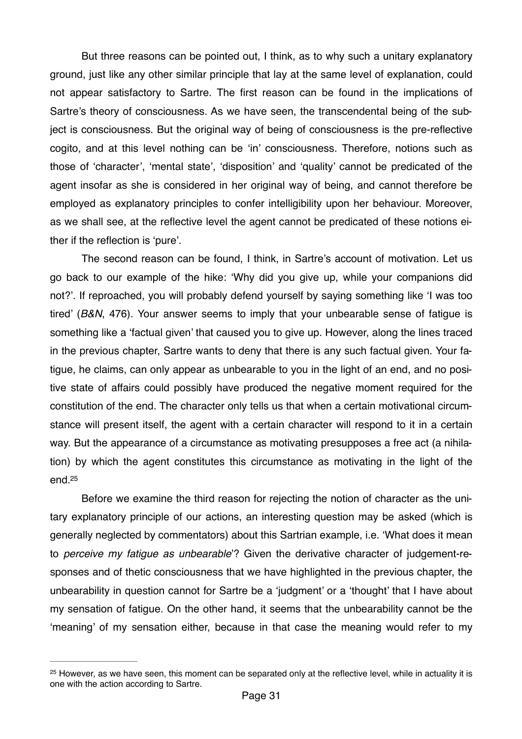But three reasons can be pointed out, I think, as to why such a unitary explanatory ground, just like any other similar principle that lay at the same level of explanation, could not appear satisfactory to Sartre. The first reason can be found in the implications of Sartre's theory of consciousness. As we have seen, the transcendental being of the subject is consciousness. But the original way of being of consciousness is the pre-reflective cogito, and at this level nothing can be 'in' consciousness. Therefore, notions such as those of 'character', 'mental state', 'disposition' and 'quality' cannot be predicated of the agent insofar as she is considered in her original way of being, and cannot therefore be employed as explanatory principles to confer intelligibility upon her behaviour. Moreover, as we shall see, at the reflective level the agent cannot be predicated of these notions either if the reflection is 'pure'.

The second reason can be found, I think, in Sartre's account of motivation. Let us go back to our example of the hike: 'Why did you give up, while your companions did not?'. If reproached, you will probably defend yourself by saying something like 'I was too tired' (*B&N*, 476). Your answer seems to imply that your unbearable sense of fatigue is something like a 'factual given' that caused you to give up. However, along the lines traced in the previous chapter, Sartre wants to deny that there is any such factual given. Your fatigue, he claims, can only appear as unbearable to you in the light of an end, and no positive state of affairs could possibly have produced the negative moment required for the constitution of the end. The character only tells us that when a certain motivational circumstance will present itself, the agent with a certain character will respond to it in a certain way. But the appearance of a circumstance as motivating presupposes a free act (a nihilation) by which the agent constitutes this circumstance as motivating in the light of the end[.25](#page-30-0)

<span id="page-30-1"></span>Before we examine the third reason for rejecting the notion of character as the unitary explanatory principle of our actions, an interesting question may be asked (which is generally neglected by commentators) about this Sartrian example, i.e. 'What does it mean to *perceive my fatigue as unbearable*'? Given the derivative character of judgement-responses and of thetic consciousness that we have highlighted in the previous chapter, the unbearability in question cannot for Sartre be a 'judgment' or a 'thought' that I have about my sensation of fatigue. On the other hand, it seems that the unbearability cannot be the 'meaning' of my sensation either, because in that case the meaning would refer to my

<span id="page-30-0"></span> $25$  However, as we have seen, this moment can be separated only at the reflective level, while in actuality it is one with the action according to Sartre.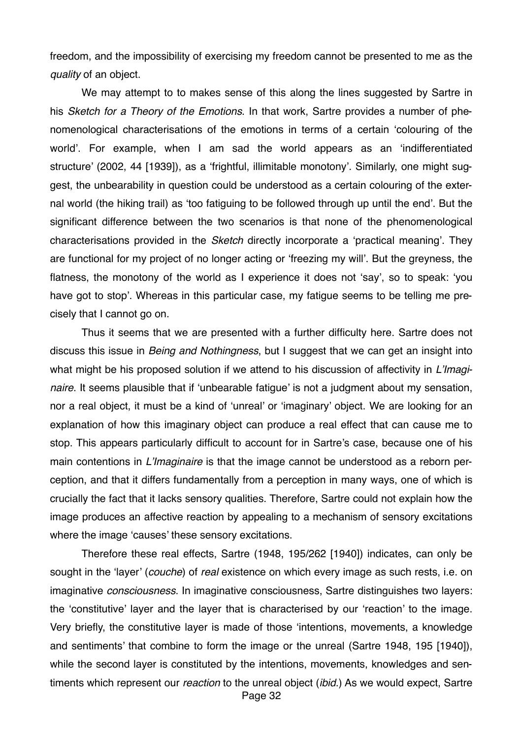freedom, and the impossibility of exercising my freedom cannot be presented to me as the *quality* of an object.

We may attempt to to makes sense of this along the lines suggested by Sartre in his *Sketch for a Theory of the Emotions*. In that work, Sartre provides a number of phenomenological characterisations of the emotions in terms of a certain 'colouring of the world'. For example, when I am sad the world appears as an 'indifferentiated structure' (2002, 44 [1939]), as a 'frightful, illimitable monotony'. Similarly, one might suggest, the unbearability in question could be understood as a certain colouring of the external world (the hiking trail) as 'too fatiguing to be followed through up until the end'. But the significant difference between the two scenarios is that none of the phenomenological characterisations provided in the *Sketch* directly incorporate a 'practical meaning'. They are functional for my project of no longer acting or 'freezing my will'. But the greyness, the flatness, the monotony of the world as I experience it does not 'say', so to speak: 'you have got to stop'. Whereas in this particular case, my fatigue seems to be telling me precisely that I cannot go on.

Thus it seems that we are presented with a further difficulty here. Sartre does not discuss this issue in *Being and Nothingness*, but I suggest that we can get an insight into what might be his proposed solution if we attend to his discussion of affectivity in *L'Imaginaire*. It seems plausible that if 'unbearable fatigue' is not a judgment about my sensation, nor a real object, it must be a kind of 'unreal' or 'imaginary' object. We are looking for an explanation of how this imaginary object can produce a real effect that can cause me to stop. This appears particularly difficult to account for in Sartre's case, because one of his main contentions in *L'Imaginaire* is that the image cannot be understood as a reborn perception, and that it differs fundamentally from a perception in many ways, one of which is crucially the fact that it lacks sensory qualities. Therefore, Sartre could not explain how the image produces an affective reaction by appealing to a mechanism of sensory excitations where the image 'causes' these sensory excitations.

Therefore these real effects, Sartre (1948, 195/262 [1940]) indicates, can only be sought in the 'layer' (*couche*) of *real* existence on which every image as such rests, i.e. on imaginative *consciousness*. In imaginative consciousness, Sartre distinguishes two layers: the 'constitutive' layer and the layer that is characterised by our 'reaction' to the image. Very briefly, the constitutive layer is made of those 'intentions, movements, a knowledge and sentiments' that combine to form the image or the unreal (Sartre 1948, 195 [1940]), while the second layer is constituted by the intentions, movements, knowledges and sentiments which represent our *reaction* to the unreal object (*ibid*.) As we would expect, Sartre Page 32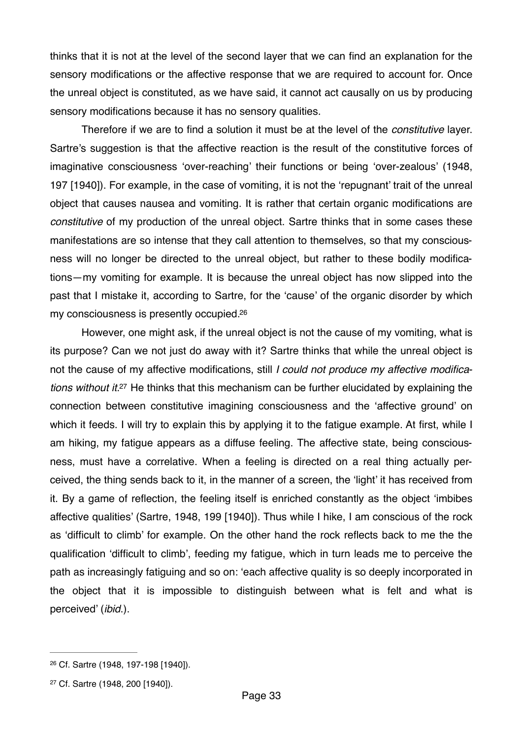thinks that it is not at the level of the second layer that we can find an explanation for the sensory modifications or the affective response that we are required to account for. Once the unreal object is constituted, as we have said, it cannot act causally on us by producing sensory modifications because it has no sensory qualities.

Therefore if we are to find a solution it must be at the level of the *constitutive* layer. Sartre's suggestion is that the affective reaction is the result of the constitutive forces of imaginative consciousness 'over-reaching' their functions or being 'over-zealous' (1948, 197 [1940]). For example, in the case of vomiting, it is not the 'repugnant' trait of the unreal object that causes nausea and vomiting. It is rather that certain organic modifications are *constitutive* of my production of the unreal object. Sartre thinks that in some cases these manifestations are so intense that they call attention to themselves, so that my consciousness will no longer be directed to the unreal object, but rather to these bodily modifications—my vomiting for example. It is because the unreal object has now slipped into the past that I mistake it, according to Sartre, for the 'cause' of the organic disorder by which my consciousness is presently occupied[.26](#page-32-0)

<span id="page-32-3"></span><span id="page-32-2"></span>However, one might ask, if the unreal object is not the cause of my vomiting, what is its purpose? Can we not just do away with it? Sartre thinks that while the unreal object is not the cause of my affective modifications, still *I could not produce my affective modifica-tions without it[.](#page-32-1)*<sup>[27](#page-32-1)</sup> He thinks that this mechanism can be further elucidated by explaining the connection between constitutive imagining consciousness and the 'affective ground' on which it feeds. I will try to explain this by applying it to the fatigue example. At first, while I am hiking, my fatigue appears as a diffuse feeling. The affective state, being consciousness, must have a correlative. When a feeling is directed on a real thing actually perceived, the thing sends back to it, in the manner of a screen, the 'light' it has received from it. By a game of reflection, the feeling itself is enriched constantly as the object 'imbibes affective qualities' (Sartre, 1948, 199 [1940]). Thus while I hike, I am conscious of the rock as 'difficult to climb' for example. On the other hand the rock reflects back to me the the qualification 'difficult to climb', feeding my fatigue, which in turn leads me to perceive the path as increasingly fatiguing and so on: 'each affective quality is so deeply incorporated in the object that it is impossible to distinguish between what is felt and what is perceived' (*ibid*.).

<span id="page-32-0"></span><sup>&</sup>lt;sup>[26](#page-32-2)</sup> Cf. Sartre (1948, 197-198 [1940]).

<span id="page-32-1"></span><sup>&</sup>lt;sup>[27](#page-32-3)</sup> Cf. Sartre (1948, 200 [1940]).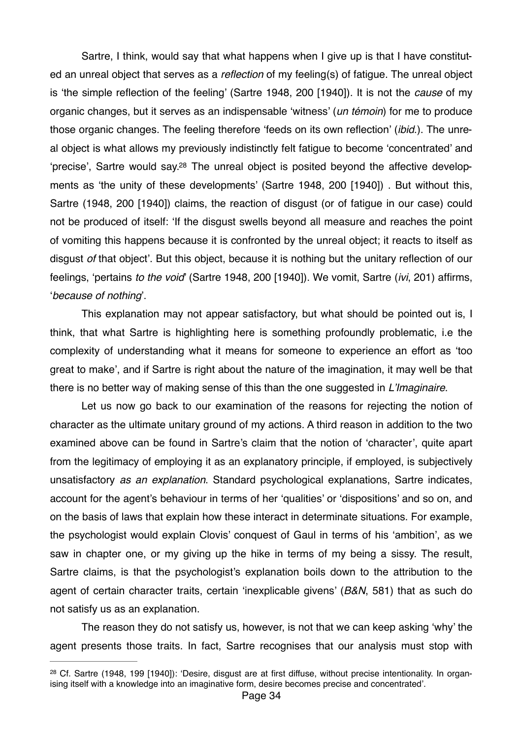<span id="page-33-1"></span>Sartre, I think, would say that what happens when I give up is that I have constituted an unreal object that serves as a *reflection* of my feeling(s) of fatigue. The unreal object is 'the simple reflection of the feeling' (Sartre 1948, 200 [1940]). It is not the *cause* of my organic changes, but it serves as an indispensable 'witness' (*un témoin*) for me to produce those organic changes. The feeling therefore 'feeds on its own reflection' (*ibid*.). The unreal object is what allows my previously indistinctly felt fatigue to become 'concentrated' and 'precise', Sartre would say[.28](#page-33-0) The unreal object is posited beyond the affective developments as 'the unity of these developments' (Sartre 1948, 200 [1940]) . But without this, Sartre (1948, 200 [1940]) claims, the reaction of disgust (or of fatigue in our case) could not be produced of itself: 'If the disgust swells beyond all measure and reaches the point of vomiting this happens because it is confronted by the unreal object; it reacts to itself as disgust *of* that object'. But this object, because it is nothing but the unitary reflection of our feelings, 'pertains *to the void*' (Sartre 1948, 200 [1940]). We vomit, Sartre (*ivi*, 201) affirms, '*because of nothing*'.

This explanation may not appear satisfactory, but what should be pointed out is, I think, that what Sartre is highlighting here is something profoundly problematic, i.e the complexity of understanding what it means for someone to experience an effort as 'too great to make', and if Sartre is right about the nature of the imagination, it may well be that there is no better way of making sense of this than the one suggested in *L'Imaginaire*.

Let us now go back to our examination of the reasons for rejecting the notion of character as the ultimate unitary ground of my actions. A third reason in addition to the two examined above can be found in Sartre's claim that the notion of 'character', quite apart from the legitimacy of employing it as an explanatory principle, if employed, is subjectively unsatisfactory *as an explanation*. Standard psychological explanations, Sartre indicates, account for the agent's behaviour in terms of her 'qualities' or 'dispositions' and so on, and on the basis of laws that explain how these interact in determinate situations. For example, the psychologist would explain Clovis' conquest of Gaul in terms of his 'ambition', as we saw in chapter one, or my giving up the hike in terms of my being a sissy. The result, Sartre claims, is that the psychologist's explanation boils down to the attribution to the agent of certain character traits, certain 'inexplicable givens' (*B&N*, 581) that as such do not satisfy us as an explanation.

The reason they do not satisfy us, however, is not that we can keep asking 'why' the agent presents those traits. In fact, Sartre recognises that our analysis must stop with

<span id="page-33-0"></span><sup>&</sup>lt;sup>[28](#page-33-1)</sup> Cf. Sartre (1948, 199 [1940]): 'Desire, disgust are at first diffuse, without precise intentionality. In organising itself with a knowledge into an imaginative form, desire becomes precise and concentrated'.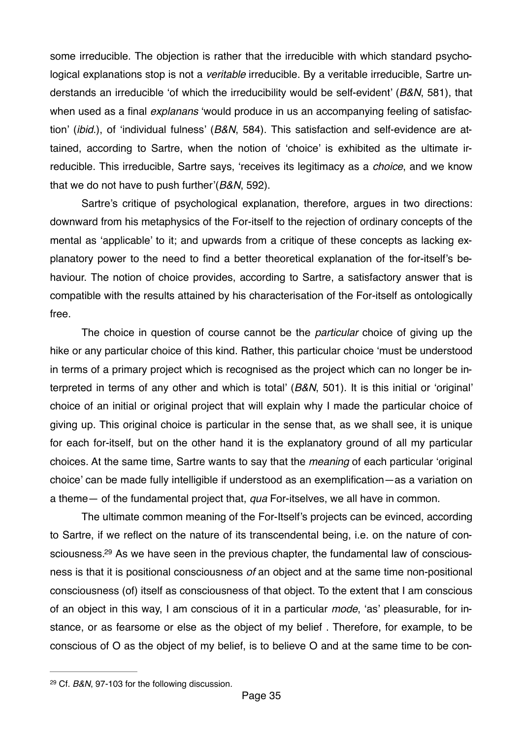some irreducible. The objection is rather that the irreducible with which standard psychological explanations stop is not a *veritable* irreducible. By a veritable irreducible, Sartre understands an irreducible 'of which the irreducibility would be self-evident' (*B&N*, 581), that when used as a final *explanans* 'would produce in us an accompanying feeling of satisfaction' (*ibid*.), of 'individual fulness' (*B&N*, 584). This satisfaction and self-evidence are attained, according to Sartre, when the notion of 'choice' is exhibited as the ultimate irreducible. This irreducible, Sartre says, 'receives its legitimacy as a *choice*, and we know that we do not have to push further'(*B&N*, 592).

Sartre's critique of psychological explanation, therefore, argues in two directions: downward from his metaphysics of the For-itself to the rejection of ordinary concepts of the mental as 'applicable' to it; and upwards from a critique of these concepts as lacking explanatory power to the need to find a better theoretical explanation of the for-itself's behaviour. The notion of choice provides, according to Sartre, a satisfactory answer that is compatible with the results attained by his characterisation of the For-itself as ontologically free.

The choice in question of course cannot be the *particular* choice of giving up the hike or any particular choice of this kind. Rather, this particular choice 'must be understood in terms of a primary project which is recognised as the project which can no longer be interpreted in terms of any other and which is total' (*B&N*, 501). It is this initial or 'original' choice of an initial or original project that will explain why I made the particular choice of giving up. This original choice is particular in the sense that, as we shall see, it is unique for each for-itself, but on the other hand it is the explanatory ground of all my particular choices. At the same time, Sartre wants to say that the *meaning* of each particular 'original choice' can be made fully intelligible if understood as an exemplification—as a variation on a theme— of the fundamental project that, *qua* For-itselves, we all have in common.

<span id="page-34-1"></span>The ultimate common meaning of the For-Itself's projects can be evinced, according to Sartre, if we reflect on the nature of its transcendental being, i.e. on the nature of consciousness.<sup>29</sup> As we have seen in the previous chapter, the fundamental law of consciousness is that it is positional consciousness *of* an object and at the same time non-positional consciousness (of) itself as consciousness of that object. To the extent that I am conscious of an object in this way, I am conscious of it in a particular *mode*, 'as' pleasurable, for instance, or as fearsome or else as the object of my belief . Therefore, for example, to be conscious of O as the object of my belief, is to believe O and at the same time to be con-

<span id="page-34-0"></span><sup>&</sup>lt;sup>[29](#page-34-1)</sup> Cf. *B&N*, 97-103 for the following discussion.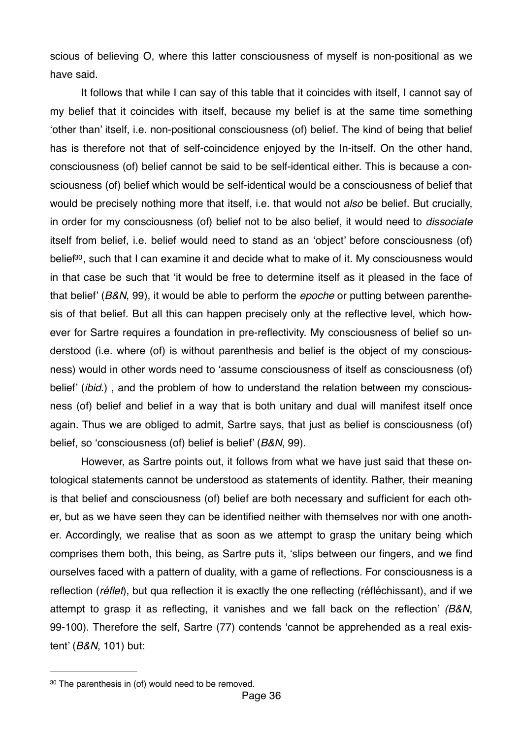scious of believing O, where this latter consciousness of myself is non-positional as we have said.

<span id="page-35-1"></span>It follows that while I can say of this table that it coincides with itself, I cannot say of my belief that it coincides with itself, because my belief is at the same time something 'other than' itself, i.e. non-positional consciousness (of) belief. The kind of being that belief has is therefore not that of self-coincidence enjoyed by the In-itself. On the other hand, consciousness (of) belief cannot be said to be self-identical either. This is because a consciousness (of) belief which would be self-identical would be a consciousness of belief that would be precisely nothing more that itself, i.e. that would not *also* be belief. But crucially, in order for my consciousness (of) belief not to be also belief, it would need to *dissociate* itself from belief, i.e. belief would need to stand as an 'object' before consciousness (of) belief<sup>[30](#page-35-0)</sup>, such that I can examine it and decide what to make of it. My consciousness would in that case be such that 'it would be free to determine itself as it pleased in the face of that belief' (*B&N*, 99), it would be able to perform the *epoche* or putting between parenthesis of that belief. But all this can happen precisely only at the reflective level, which however for Sartre requires a foundation in pre-reflectivity. My consciousness of belief so understood (i.e. where (of) is without parenthesis and belief is the object of my consciousness) would in other words need to 'assume consciousness of itself as consciousness (of) belief' (*ibid*.) , and the problem of how to understand the relation between my consciousness (of) belief and belief in a way that is both unitary and dual will manifest itself once again. Thus we are obliged to admit, Sartre says, that just as belief is consciousness (of) belief, so 'consciousness (of) belief is belief' (*B&N*, 99).

However, as Sartre points out, it follows from what we have just said that these ontological statements cannot be understood as statements of identity. Rather, their meaning is that belief and consciousness (of) belief are both necessary and sufficient for each other, but as we have seen they can be identified neither with themselves nor with one another. Accordingly, we realise that as soon as we attempt to grasp the unitary being which comprises them both, this being, as Sartre puts it, 'slips between our fingers, and we find ourselves faced with a pattern of duality, with a game of reflections. For consciousness is a reflection (*réflet*), but qua reflection it is exactly the one reflecting (réfléchissant), and if we attempt to grasp it as reflecting, it vanishes and we fall back on the reflection' *(B&N*, 99-100). Therefore the self, Sartre (77) contends 'cannot be apprehended as a real existent' (*B&N*, 101) but:

<span id="page-35-0"></span> $30$  The parenthesis in (of) would need to be removed.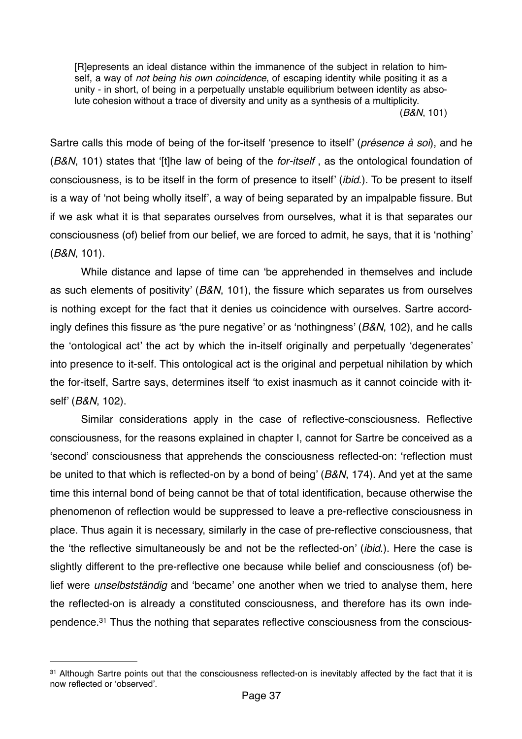[R]epresents an ideal distance within the immanence of the subject in relation to himself, a way of *not being his own coincidence*, of escaping identity while positing it as a unity - in short, of being in a perpetually unstable equilibrium between identity as absolute cohesion without a trace of diversity and unity as a synthesis of a multiplicity. (*B&N*, 101)

Sartre calls this mode of being of the for-itself 'presence to itself' (*présence à soi*), and he (*B&N*, 101) states that '[t]he law of being of the *for-itself* , as the ontological foundation of consciousness, is to be itself in the form of presence to itself' (*ibid*.). To be present to itself is a way of 'not being wholly itself', a way of being separated by an impalpable fissure. But if we ask what it is that separates ourselves from ourselves, what it is that separates our consciousness (of) belief from our belief, we are forced to admit, he says, that it is 'nothing' (*B&N*, 101).

While distance and lapse of time can 'be apprehended in themselves and include as such elements of positivity' (*B&N*, 101), the fissure which separates us from ourselves is nothing except for the fact that it denies us coincidence with ourselves. Sartre accordingly defines this fissure as 'the pure negative' or as 'nothingness' (*B&N*, 102), and he calls the 'ontological act' the act by which the in-itself originally and perpetually 'degenerates' into presence to it-self. This ontological act is the original and perpetual nihilation by which the for-itself, Sartre says, determines itself 'to exist inasmuch as it cannot coincide with itself' (*B&N*, 102).

Similar considerations apply in the case of reflective-consciousness. Reflective consciousness, for the reasons explained in chapter I, cannot for Sartre be conceived as a 'second' consciousness that apprehends the consciousness reflected-on: 'reflection must be united to that which is reflected-on by a bond of being' (*B&N*, 174). And yet at the same time this internal bond of being cannot be that of total identification, because otherwise the phenomenon of reflection would be suppressed to leave a pre-reflective consciousness in place. Thus again it is necessary, similarly in the case of pre-reflective consciousness, that the 'the reflective simultaneously be and not be the reflected-on' (*ibid*.). Here the case is slightly different to the pre-reflective one because while belief and consciousness (of) belief were *unselbstständig* and 'became' one another when we tried to analyse them, here the reflected-on is already a constituted consciousness, and therefore has its own independence[.31](#page-36-0) Thus the nothing that separates reflective consciousness from the conscious-

<span id="page-36-1"></span><span id="page-36-0"></span><sup>&</sup>lt;sup>[31](#page-36-1)</sup> Although Sartre points out that the consciousness reflected-on is inevitably affected by the fact that it is now reflected or 'observed'.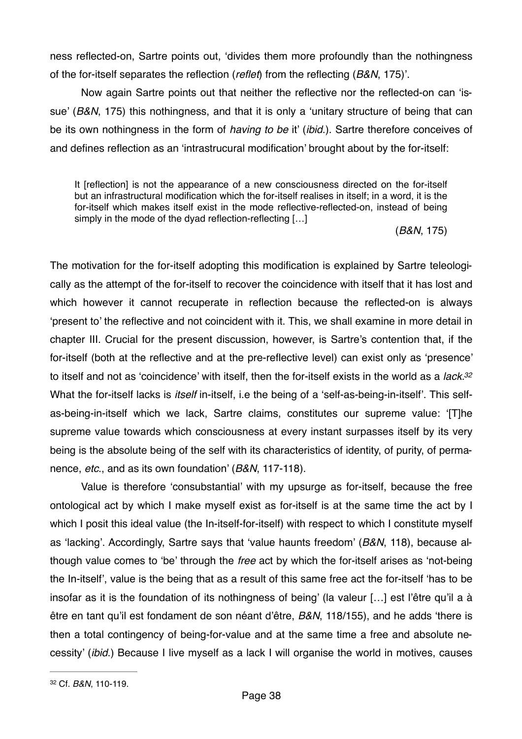ness reflected-on, Sartre points out, 'divides them more profoundly than the nothingness of the for-itself separates the reflection (*reflet*) from the reflecting (*B&N*, 175)'.

Now again Sartre points out that neither the reflective nor the reflected-on can 'issue' (*B&N*, 175) this nothingness, and that it is only a 'unitary structure of being that can be its own nothingness in the form of *having to be* it' (*ibid*.). Sartre therefore conceives of and defines reflection as an 'intrastrucural modification' brought about by the for-itself:

It [reflection] is not the appearance of a new consciousness directed on the for-itself but an infrastructural modification which the for-itself realises in itself; in a word, it is the for-itself which makes itself exist in the mode reflective-reflected-on, instead of being simply in the mode of the dyad reflection-reflecting […]

<span id="page-37-1"></span>(*B&N*, 175)

The motivation for the for-itself adopting this modification is explained by Sartre teleologically as the attempt of the for-itself to recover the coincidence with itself that it has lost and which however it cannot recuperate in reflection because the reflected-on is always 'present to' the reflective and not coincident with it. This, we shall examine in more detail in chapter III. Crucial for the present discussion, however, is Sartre's contention that, if the for-itself (both at the reflective and at the pre-reflective level) can exist only as 'presence' to itself and not as 'coincidence' with itself, then the for-itself exists in the world as a *lack[.32](#page-37-0)* What the for-itself lacks is *itself* in-itself, i.e the being of a 'self-as-being-in-itself'. This selfas-being-in-itself which we lack, Sartre claims, constitutes our supreme value: '[T]he supreme value towards which consciousness at every instant surpasses itself by its very being is the absolute being of the self with its characteristics of identity, of purity, of permanence, *etc*., and as its own foundation' (*B&N*, 117-118).

Value is therefore 'consubstantial' with my upsurge as for-itself, because the free ontological act by which I make myself exist as for-itself is at the same time the act by I which I posit this ideal value (the In-itself-for-itself) with respect to which I constitute myself as 'lacking'. Accordingly, Sartre says that 'value haunts freedom' (*B&N*, 118), because although value comes to 'be' through the *free* act by which the for-itself arises as 'not-being the In-itself', value is the being that as a result of this same free act the for-itself 'has to be insofar as it is the foundation of its nothingness of being' (la valeur […] est l'être qu'il a à être en tant qu'il est fondament de son néant d'être, *B&N*, 118/155), and he adds 'there is then a total contingency of being-for-value and at the same time a free and absolute necessity' (*ibid*.) Because I live myself as a lack I will organise the world in motives, causes

<span id="page-37-0"></span>Cf. *B&N*, 110-119. [32](#page-37-1)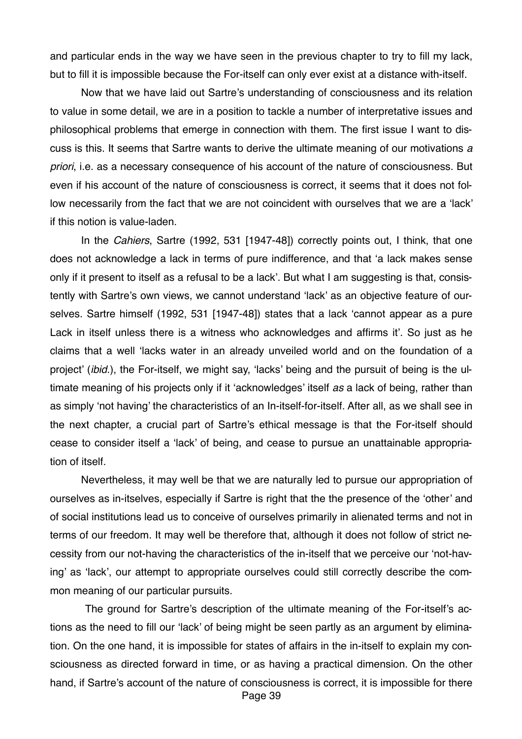and particular ends in the way we have seen in the previous chapter to try to fill my lack, but to fill it is impossible because the For-itself can only ever exist at a distance with-itself.

 Now that we have laid out Sartre's understanding of consciousness and its relation to value in some detail, we are in a position to tackle a number of interpretative issues and philosophical problems that emerge in connection with them. The first issue I want to discuss is this. It seems that Sartre wants to derive the ultimate meaning of our motivations *a priori*, i.e. as a necessary consequence of his account of the nature of consciousness. But even if his account of the nature of consciousness is correct, it seems that it does not follow necessarily from the fact that we are not coincident with ourselves that we are a 'lack' if this notion is value-laden.

In the *Cahiers*, Sartre (1992, 531 [1947-48]) correctly points out, I think, that one does not acknowledge a lack in terms of pure indifference, and that 'a lack makes sense only if it present to itself as a refusal to be a lack'. But what I am suggesting is that, consistently with Sartre's own views, we cannot understand 'lack' as an objective feature of ourselves. Sartre himself (1992, 531 [1947-48]) states that a lack 'cannot appear as a pure Lack in itself unless there is a witness who acknowledges and affirms it'. So just as he claims that a well 'lacks water in an already unveiled world and on the foundation of a project' (*ibid*.), the For-itself, we might say, 'lacks' being and the pursuit of being is the ultimate meaning of his projects only if it 'acknowledges' itself *as* a lack of being, rather than as simply 'not having' the characteristics of an In-itself-for-itself. After all, as we shall see in the next chapter, a crucial part of Sartre's ethical message is that the For-itself should cease to consider itself a 'lack' of being, and cease to pursue an unattainable appropriation of itself.

Nevertheless, it may well be that we are naturally led to pursue our appropriation of ourselves as in-itselves, especially if Sartre is right that the the presence of the 'other' and of social institutions lead us to conceive of ourselves primarily in alienated terms and not in terms of our freedom. It may well be therefore that, although it does not follow of strict necessity from our not-having the characteristics of the in-itself that we perceive our 'not-having' as 'lack', our attempt to appropriate ourselves could still correctly describe the common meaning of our particular pursuits.

 The ground for Sartre's description of the ultimate meaning of the For-itself's actions as the need to fill our 'lack' of being might be seen partly as an argument by elimination. On the one hand, it is impossible for states of affairs in the in-itself to explain my consciousness as directed forward in time, or as having a practical dimension. On the other hand, if Sartre's account of the nature of consciousness is correct, it is impossible for there Page 39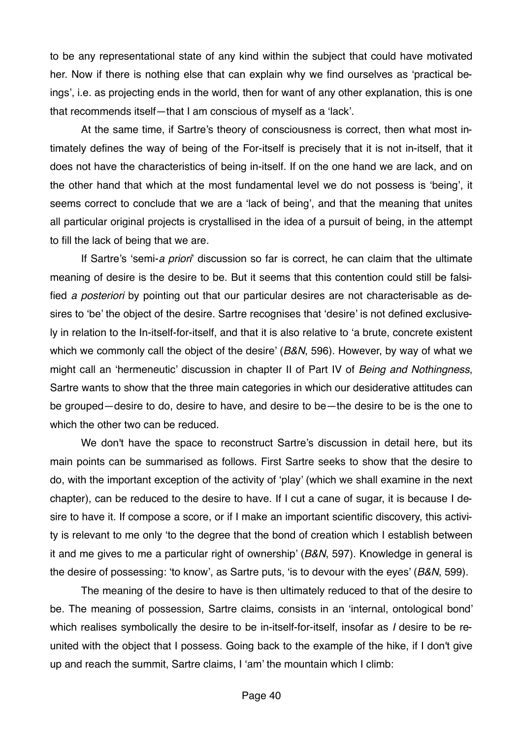to be any representational state of any kind within the subject that could have motivated her. Now if there is nothing else that can explain why we find ourselves as 'practical beings', i.e. as projecting ends in the world, then for want of any other explanation, this is one that recommends itself—that I am conscious of myself as a 'lack'.

At the same time, if Sartre's theory of consciousness is correct, then what most intimately defines the way of being of the For-itself is precisely that it is not in-itself, that it does not have the characteristics of being in-itself. If on the one hand we are lack, and on the other hand that which at the most fundamental level we do not possess is 'being', it seems correct to conclude that we are a 'lack of being', and that the meaning that unites all particular original projects is crystallised in the idea of a pursuit of being, in the attempt to fill the lack of being that we are.

If Sartre's 'semi-*a priori*' discussion so far is correct, he can claim that the ultimate meaning of desire is the desire to be. But it seems that this contention could still be falsified *a posteriori* by pointing out that our particular desires are not characterisable as desires to 'be' the object of the desire. Sartre recognises that 'desire' is not defined exclusively in relation to the In-itself-for-itself, and that it is also relative to 'a brute, concrete existent which we commonly call the object of the desire' (*B&N*, 596). However, by way of what we might call an 'hermeneutic' discussion in chapter II of Part IV of *Being and Nothingness*, Sartre wants to show that the three main categories in which our desiderative attitudes can be grouped—desire to do, desire to have, and desire to be—the desire to be is the one to which the other two can be reduced.

We don't have the space to reconstruct Sartre's discussion in detail here, but its main points can be summarised as follows. First Sartre seeks to show that the desire to do, with the important exception of the activity of 'play' (which we shall examine in the next chapter), can be reduced to the desire to have. If I cut a cane of sugar, it is because I desire to have it. If compose a score, or if I make an important scientific discovery, this activity is relevant to me only 'to the degree that the bond of creation which I establish between it and me gives to me a particular right of ownership' (*B&N*, 597). Knowledge in general is the desire of possessing: 'to know', as Sartre puts, 'is to devour with the eyes' (*B&N*, 599).

The meaning of the desire to have is then ultimately reduced to that of the desire to be. The meaning of possession, Sartre claims, consists in an 'internal, ontological bond' which realises symbolically the desire to be in-itself-for-itself, insofar as *I* desire to be reunited with the object that I possess. Going back to the example of the hike, if I don't give up and reach the summit, Sartre claims, I 'am' the mountain which I climb: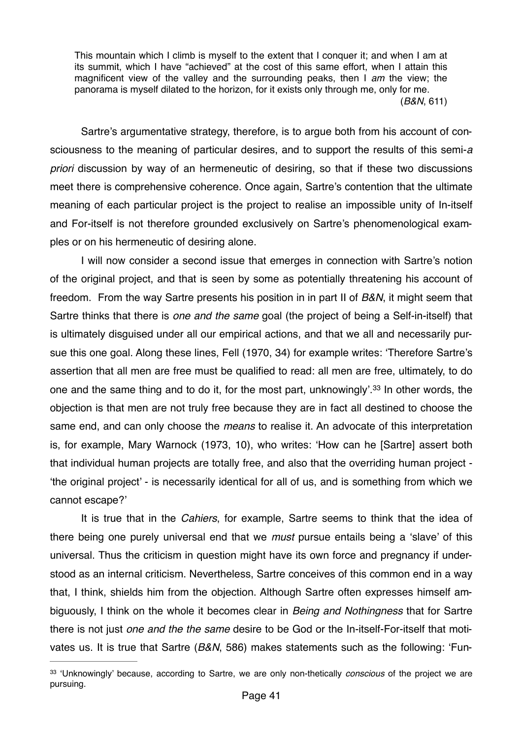This mountain which I climb is myself to the extent that I conquer it; and when I am at its summit, which I have "achieved" at the cost of this same effort, when I attain this magnificent view of the valley and the surrounding peaks, then I *am* the view; the panorama is myself dilated to the horizon, for it exists only through me, only for me. (*B&N*, 611)

Sartre's argumentative strategy, therefore, is to argue both from his account of consciousness to the meaning of particular desires, and to support the results of this semi-*a priori* discussion by way of an hermeneutic of desiring, so that if these two discussions meet there is comprehensive coherence. Once again, Sartre's contention that the ultimate meaning of each particular project is the project to realise an impossible unity of In-itself and For-itself is not therefore grounded exclusively on Sartre's phenomenological examples or on his hermeneutic of desiring alone.

I will now consider a second issue that emerges in connection with Sartre's notion of the original project, and that is seen by some as potentially threatening his account of freedom. From the way Sartre presents his position in in part II of *B&N*, it might seem that Sartre thinks that there is *one and the same* goal (the project of being a Self-in-itself) that is ultimately disguised under all our empirical actions, and that we all and necessarily pursue this one goal. Along these lines, Fell (1970, 34) for example writes: 'Therefore Sartre's assertion that all men are free must be qualified to read: all men are free, ultimately, to do one and the same thing and to do it, for the most part, unknowingly'.<sup>[33](#page-40-0)</sup> In other words, the objection is that men are not truly free because they are in fact all destined to choose the same end, and can only choose the *means* to realise it. An advocate of this interpretation is, for example, Mary Warnock (1973, 10), who writes: 'How can he [Sartre] assert both that individual human projects are totally free, and also that the overriding human project - 'the original project' - is necessarily identical for all of us, and is something from which we cannot escape?'

<span id="page-40-1"></span>It is true that in the *Cahiers*, for example, Sartre seems to think that the idea of there being one purely universal end that we *must* pursue entails being a 'slave' of this universal. Thus the criticism in question might have its own force and pregnancy if understood as an internal criticism. Nevertheless, Sartre conceives of this common end in a way that, I think, shields him from the objection. Although Sartre often expresses himself ambiguously, I think on the whole it becomes clear in *Being and Nothingness* that for Sartre there is not just *one and the the same* desire to be God or the In-itself-For-itself that motivates us. It is true that Sartre (*B&N*, 586) makes statements such as the following: 'Fun-

<span id="page-40-0"></span><sup>&</sup>lt;sup>[33](#page-40-1)</sup> 'Unknowingly' because, according to Sartre, we are only non-thetically *conscious* of the project we are pursuing.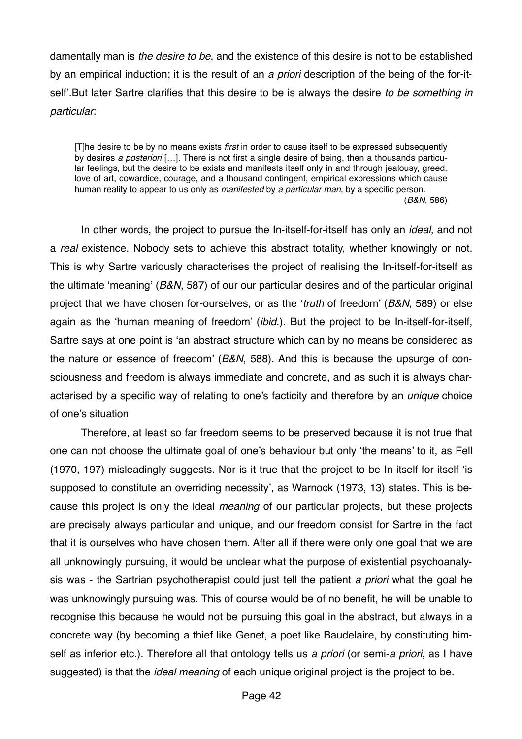damentally man is *the desire to be*, and the existence of this desire is not to be established by an empirical induction; it is the result of an *a priori* description of the being of the for-itself'.But later Sartre clarifies that this desire to be is always the desire *to be something in particular*:

[T]he desire to be by no means exists *first* in order to cause itself to be expressed subsequently by desires *a posteriori* […]. There is not first a single desire of being, then a thousands particular feelings, but the desire to be exists and manifests itself only in and through jealousy, greed, love of art, cowardice, courage, and a thousand contingent, empirical expressions which cause human reality to appear to us only as *manifested* by *a particular man*, by a specific person. (*B&N*, 586)

In other words, the project to pursue the In-itself-for-itself has only an *ideal*, and not a *real* existence. Nobody sets to achieve this abstract totality, whether knowingly or not. This is why Sartre variously characterises the project of realising the In-itself-for-itself as the ultimate 'meaning' (*B&N*, 587) of our our particular desires and of the particular original project that we have chosen for-ourselves, or as the '*truth* of freedom' (*B&N*, 589) or else again as the 'human meaning of freedom' (*ibid*.). But the project to be In-itself-for-itself, Sartre says at one point is 'an abstract structure which can by no means be considered as the nature or essence of freedom' (*B&N*, 588). And this is because the upsurge of consciousness and freedom is always immediate and concrete, and as such it is always characterised by a specific way of relating to one's facticity and therefore by an *unique* choice of one's situation

Therefore, at least so far freedom seems to be preserved because it is not true that one can not choose the ultimate goal of one's behaviour but only 'the means' to it, as Fell (1970, 197) misleadingly suggests. Nor is it true that the project to be In-itself-for-itself 'is supposed to constitute an overriding necessity', as Warnock (1973, 13) states. This is because this project is only the ideal *meaning* of our particular projects, but these projects are precisely always particular and unique, and our freedom consist for Sartre in the fact that it is ourselves who have chosen them. After all if there were only one goal that we are all unknowingly pursuing, it would be unclear what the purpose of existential psychoanalysis was - the Sartrian psychotherapist could just tell the patient *a priori* what the goal he was unknowingly pursuing was. This of course would be of no benefit, he will be unable to recognise this because he would not be pursuing this goal in the abstract, but always in a concrete way (by becoming a thief like Genet, a poet like Baudelaire, by constituting himself as inferior etc.). Therefore all that ontology tells us *a priori* (or semi-*a priori*, as I have suggested) is that the *ideal meaning* of each unique original project is the project to be.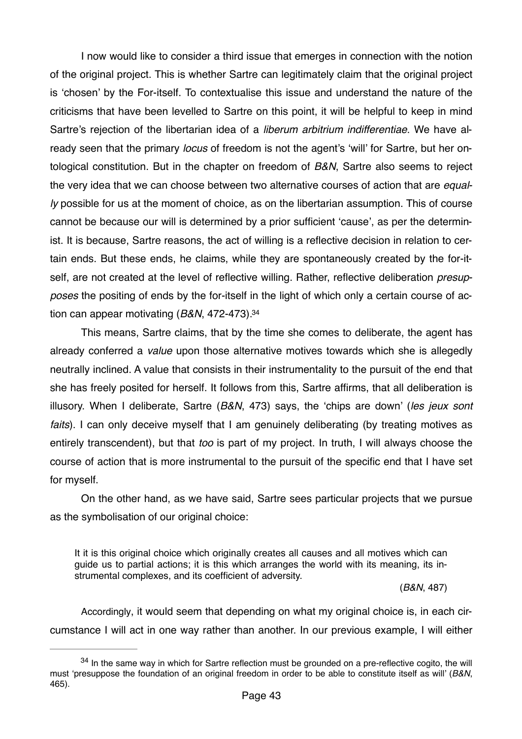I now would like to consider a third issue that emerges in connection with the notion of the original project. This is whether Sartre can legitimately claim that the original project is 'chosen' by the For-itself. To contextualise this issue and understand the nature of the criticisms that have been levelled to Sartre on this point, it will be helpful to keep in mind Sartre's rejection of the libertarian idea of a *liberum arbitrium indifferentiae*. We have already seen that the primary *locus* of freedom is not the agent's 'will' for Sartre, but her ontological constitution. But in the chapter on freedom of *B&N*, Sartre also seems to reject the very idea that we can choose between two alternative courses of action that are *equally* possible for us at the moment of choice, as on the libertarian assumption. This of course cannot be because our will is determined by a prior sufficient 'cause', as per the determinist. It is because, Sartre reasons, the act of willing is a reflective decision in relation to certain ends. But these ends, he claims, while they are spontaneously created by the for-itself, are not created at the level of reflective willing. Rather, reflective deliberation *presupposes* the positing of ends by the for-itself in the light of which only a certain course of action can appear motivating (*B&N*, 472-473).[34](#page-42-0)

<span id="page-42-1"></span>This means, Sartre claims, that by the time she comes to deliberate, the agent has already conferred a *value* upon those alternative motives towards which she is allegedly neutrally inclined. A value that consists in their instrumentality to the pursuit of the end that she has freely posited for herself. It follows from this, Sartre affirms, that all deliberation is illusory. When I deliberate, Sartre (*B&N*, 473) says, the 'chips are down' (*les jeux sont faits*). I can only deceive myself that I am genuinely deliberating (by treating motives as entirely transcendent), but that *too* is part of my project. In truth, I will always choose the course of action that is more instrumental to the pursuit of the specific end that I have set for myself.

On the other hand, as we have said, Sartre sees particular projects that we pursue as the symbolisation of our original choice:

It it is this original choice which originally creates all causes and all motives which can guide us to partial actions; it is this which arranges the world with its meaning, its instrumental complexes, and its coefficient of adversity.

(*B&N*, 487)

Accordingly, it would seem that depending on what my original choice is, in each circumstance I will act in one way rather than another. In our previous example, I will either

<span id="page-42-0"></span> $34$ In the same way in which for Sartre reflection must be grounded on a pre-reflective cogito, the will must 'presuppose the foundation of an original freedom in order to be able to constitute itself as will' (*B&N*, 465).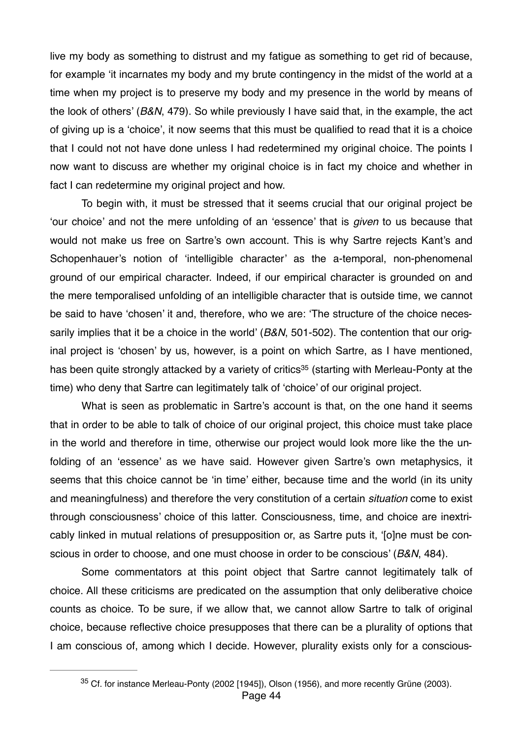live my body as something to distrust and my fatigue as something to get rid of because, for example 'it incarnates my body and my brute contingency in the midst of the world at a time when my project is to preserve my body and my presence in the world by means of the look of others' (*B&N*, 479). So while previously I have said that, in the example, the act of giving up is a 'choice', it now seems that this must be qualified to read that it is a choice that I could not not have done unless I had redetermined my original choice. The points I now want to discuss are whether my original choice is in fact my choice and whether in fact I can redetermine my original project and how.

To begin with, it must be stressed that it seems crucial that our original project be 'our choice' and not the mere unfolding of an 'essence' that is *given* to us because that would not make us free on Sartre's own account. This is why Sartre rejects Kant's and Schopenhauer's notion of 'intelligible character' as the a-temporal, non-phenomenal ground of our empirical character. Indeed, if our empirical character is grounded on and the mere temporalised unfolding of an intelligible character that is outside time, we cannot be said to have 'chosen' it and, therefore, who we are: 'The structure of the choice necessarily implies that it be a choice in the world' (*B&N*, 501-502). The contention that our original project is 'chosen' by us, however, is a point on which Sartre, as I have mentioned, hasbeen quite strongly attacked by a variety of critics<sup>[35](#page-43-0)</sup> (starting with Merleau-Ponty at the time) who deny that Sartre can legitimately talk of 'choice' of our original project.

<span id="page-43-1"></span>What is seen as problematic in Sartre's account is that, on the one hand it seems that in order to be able to talk of choice of our original project, this choice must take place in the world and therefore in time, otherwise our project would look more like the the unfolding of an 'essence' as we have said. However given Sartre's own metaphysics, it seems that this choice cannot be 'in time' either, because time and the world (in its unity and meaningfulness) and therefore the very constitution of a certain *situation* come to exist through consciousness' choice of this latter. Consciousness, time, and choice are inextricably linked in mutual relations of presupposition or, as Sartre puts it, '[o]ne must be conscious in order to choose, and one must choose in order to be conscious' (*B&N*, 484).

Some commentators at this point object that Sartre cannot legitimately talk of choice. All these criticisms are predicated on the assumption that only deliberative choice counts as choice. To be sure, if we allow that, we cannot allow Sartre to talk of original choice, because reflective choice presupposes that there can be a plurality of options that I am conscious of, among which I decide. However, plurality exists only for a conscious-

<span id="page-43-0"></span> $35$  Cf. for instance Merleau-Ponty (2002 [1945]), Olson (1956), and more recently Grüne (2003). Page 44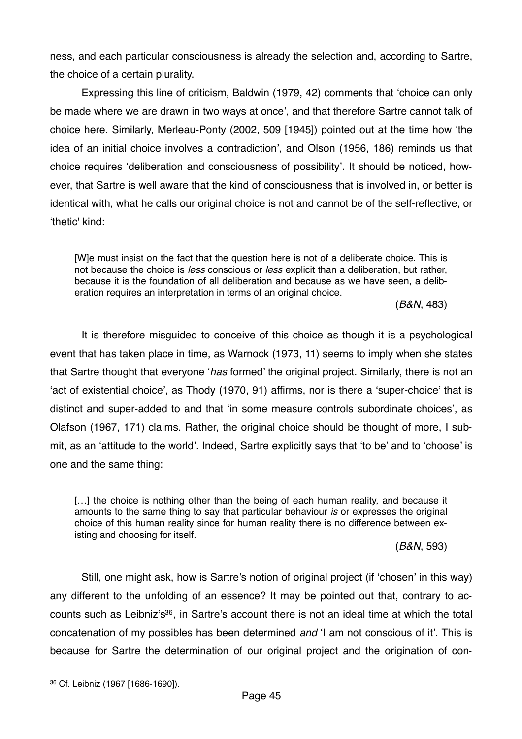ness, and each particular consciousness is already the selection and, according to Sartre, the choice of a certain plurality.

Expressing this line of criticism, Baldwin (1979, 42) comments that 'choice can only be made where we are drawn in two ways at once', and that therefore Sartre cannot talk of choice here. Similarly, Merleau-Ponty (2002, 509 [1945]) pointed out at the time how 'the idea of an initial choice involves a contradiction', and Olson (1956, 186) reminds us that choice requires 'deliberation and consciousness of possibility'. It should be noticed, however, that Sartre is well aware that the kind of consciousness that is involved in, or better is identical with, what he calls our original choice is not and cannot be of the self-reflective, or 'thetic' kind:

[W]e must insist on the fact that the question here is not of a deliberate choice. This is not because the choice is *less* conscious or *less* explicit than a deliberation, but rather, because it is the foundation of all deliberation and because as we have seen, a deliberation requires an interpretation in terms of an original choice.

(*B&N*, 483)

It is therefore misguided to conceive of this choice as though it is a psychological event that has taken place in time, as Warnock (1973, 11) seems to imply when she states that Sartre thought that everyone '*has* formed' the original project. Similarly, there is not an 'act of existential choice', as Thody (1970, 91) affirms, nor is there a 'super-choice' that is distinct and super-added to and that 'in some measure controls subordinate choices', as Olafson (1967, 171) claims. Rather, the original choice should be thought of more, I submit, as an 'attitude to the world'. Indeed, Sartre explicitly says that 'to be' and to 'choose' is one and the same thing:

[...] the choice is nothing other than the being of each human reality, and because it amounts to the same thing to say that particular behaviour *is* or expresses the original choice of this human reality since for human reality there is no difference between existing and choosing for itself.

(*B&N*, 593)

<span id="page-44-1"></span>Still, one might ask, how is Sartre's notion of original project (if 'chosen' in this way) any different to the unfolding of an essence? It may be pointed out that, contrary to ac-counts such as Leibniz's<sup>[36](#page-44-0)</sup>, in Sartre's account there is not an ideal time at which the total concatenation of my possibles has been determined *and* 'I am not conscious of it'. This is because for Sartre the determination of our original project and the origination of con-

<span id="page-44-0"></span>Cf. Leibniz (1967 [1686-1690]). [36](#page-44-1)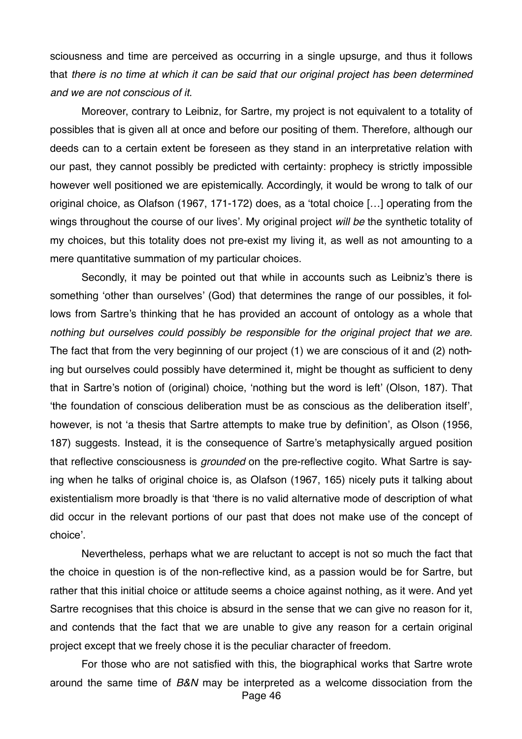sciousness and time are perceived as occurring in a single upsurge, and thus it follows that *there is no time at which it can be said that our original project has been determined and we are not conscious of it*.

Moreover, contrary to Leibniz, for Sartre, my project is not equivalent to a totality of possibles that is given all at once and before our positing of them. Therefore, although our deeds can to a certain extent be foreseen as they stand in an interpretative relation with our past, they cannot possibly be predicted with certainty: prophecy is strictly impossible however well positioned we are epistemically. Accordingly, it would be wrong to talk of our original choice, as Olafson (1967, 171-172) does, as a 'total choice […] operating from the wings throughout the course of our lives'. My original project *will be* the synthetic totality of my choices, but this totality does not pre-exist my living it, as well as not amounting to a mere quantitative summation of my particular choices.

Secondly, it may be pointed out that while in accounts such as Leibniz's there is something 'other than ourselves' (God) that determines the range of our possibles, it follows from Sartre's thinking that he has provided an account of ontology as a whole that *nothing but ourselves could possibly be responsible for the original project that we are*. The fact that from the very beginning of our project (1) we are conscious of it and (2) nothing but ourselves could possibly have determined it, might be thought as sufficient to deny that in Sartre's notion of (original) choice, 'nothing but the word is left' (Olson, 187). That 'the foundation of conscious deliberation must be as conscious as the deliberation itself', however, is not 'a thesis that Sartre attempts to make true by definition', as Olson (1956, 187) suggests. Instead, it is the consequence of Sartre's metaphysically argued position that reflective consciousness is *grounded* on the pre-reflective cogito. What Sartre is saying when he talks of original choice is, as Olafson (1967, 165) nicely puts it talking about existentialism more broadly is that 'there is no valid alternative mode of description of what did occur in the relevant portions of our past that does not make use of the concept of choice'.

Nevertheless, perhaps what we are reluctant to accept is not so much the fact that the choice in question is of the non-reflective kind, as a passion would be for Sartre, but rather that this initial choice or attitude seems a choice against nothing, as it were. And yet Sartre recognises that this choice is absurd in the sense that we can give no reason for it, and contends that the fact that we are unable to give any reason for a certain original project except that we freely chose it is the peculiar character of freedom.

For those who are not satisfied with this, the biographical works that Sartre wrote around the same time of *B&N* may be interpreted as a welcome dissociation from the Page 46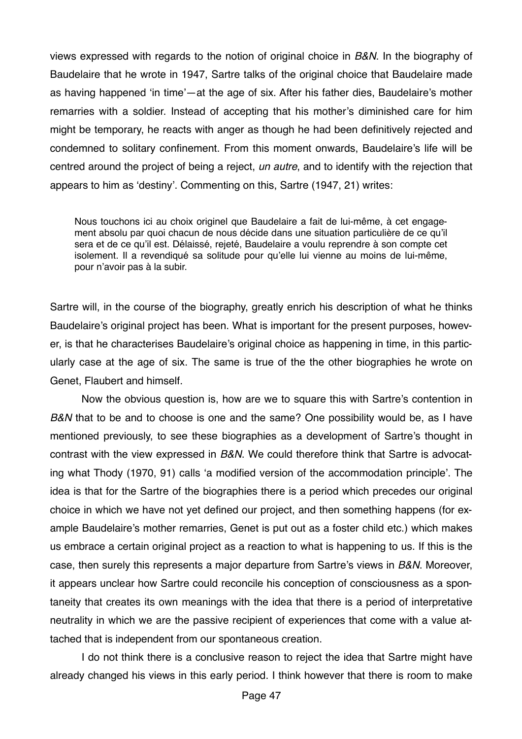views expressed with regards to the notion of original choice in *B&N*. In the biography of Baudelaire that he wrote in 1947, Sartre talks of the original choice that Baudelaire made as having happened 'in time'—at the age of six. After his father dies, Baudelaire's mother remarries with a soldier. Instead of accepting that his mother's diminished care for him might be temporary, he reacts with anger as though he had been definitively rejected and condemned to solitary confinement. From this moment onwards, Baudelaire's life will be centred around the project of being a reject, *un autre*, and to identify with the rejection that appears to him as 'destiny'. Commenting on this, Sartre (1947, 21) writes:

Nous touchons ici au choix originel que Baudelaire a fait de lui-même, à cet engagement absolu par quoi chacun de nous décide dans une situation particulière de ce qu'il sera et de ce qu'il est. Délaissé, rejeté, Baudelaire a voulu reprendre à son compte cet isolement. Il a revendiqué sa solitude pour qu'elle lui vienne au moins de lui-même, pour n'avoir pas à la subir.

Sartre will, in the course of the biography, greatly enrich his description of what he thinks Baudelaire's original project has been. What is important for the present purposes, however, is that he characterises Baudelaire's original choice as happening in time, in this particularly case at the age of six. The same is true of the the other biographies he wrote on Genet, Flaubert and himself.

Now the obvious question is, how are we to square this with Sartre's contention in *B&N* that to be and to choose is one and the same? One possibility would be, as I have mentioned previously, to see these biographies as a development of Sartre's thought in contrast with the view expressed in *B&N*. We could therefore think that Sartre is advocating what Thody (1970, 91) calls 'a modified version of the accommodation principle'. The idea is that for the Sartre of the biographies there is a period which precedes our original choice in which we have not yet defined our project, and then something happens (for example Baudelaire's mother remarries, Genet is put out as a foster child etc.) which makes us embrace a certain original project as a reaction to what is happening to us. If this is the case, then surely this represents a major departure from Sartre's views in *B&N*. Moreover, it appears unclear how Sartre could reconcile his conception of consciousness as a spontaneity that creates its own meanings with the idea that there is a period of interpretative neutrality in which we are the passive recipient of experiences that come with a value attached that is independent from our spontaneous creation.

I do not think there is a conclusive reason to reject the idea that Sartre might have already changed his views in this early period. I think however that there is room to make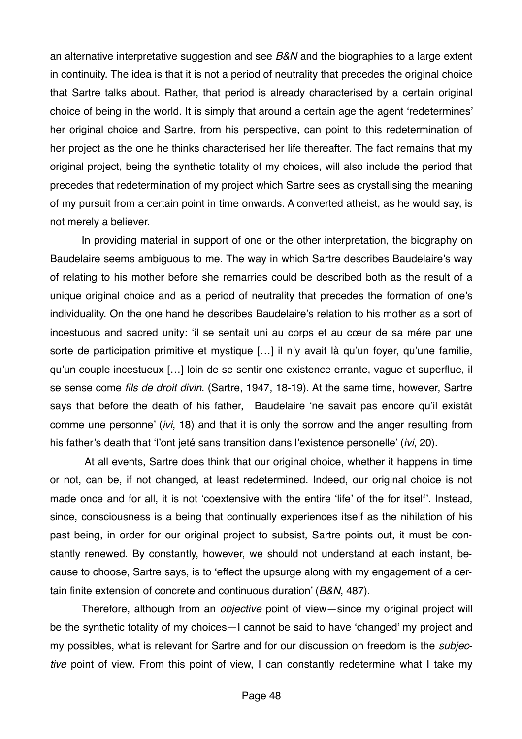an alternative interpretative suggestion and see *B&N* and the biographies to a large extent in continuity. The idea is that it is not a period of neutrality that precedes the original choice that Sartre talks about. Rather, that period is already characterised by a certain original choice of being in the world. It is simply that around a certain age the agent 'redetermines' her original choice and Sartre, from his perspective, can point to this redetermination of her project as the one he thinks characterised her life thereafter. The fact remains that my original project, being the synthetic totality of my choices, will also include the period that precedes that redetermination of my project which Sartre sees as crystallising the meaning of my pursuit from a certain point in time onwards. A converted atheist, as he would say, is not merely a believer.

In providing material in support of one or the other interpretation, the biography on Baudelaire seems ambiguous to me. The way in which Sartre describes Baudelaire's way of relating to his mother before she remarries could be described both as the result of a unique original choice and as a period of neutrality that precedes the formation of one's individuality. On the one hand he describes Baudelaire's relation to his mother as a sort of incestuous and sacred unity: 'il se sentait uni au corps et au cœur de sa mére par une sorte de participation primitive et mystique [...] il n'y avait là qu'un foyer, qu'une familie, qu'un couple incestueux […] loin de se sentir one existence errante, vague et superflue, il se sense come *fils de droit divin*. (Sartre, 1947, 18-19). At the same time, however, Sartre says that before the death of his father, Baudelaire 'ne savait pas encore qu'il existât comme une personne' (*ivi*, 18) and that it is only the sorrow and the anger resulting from his father's death that 'l'ont jeté sans transition dans l'existence personelle' (*ivi*, 20).

 At all events, Sartre does think that our original choice, whether it happens in time or not, can be, if not changed, at least redetermined. Indeed, our original choice is not made once and for all, it is not 'coextensive with the entire 'life' of the for itself'. Instead, since, consciousness is a being that continually experiences itself as the nihilation of his past being, in order for our original project to subsist, Sartre points out, it must be constantly renewed. By constantly, however, we should not understand at each instant, because to choose, Sartre says, is to 'effect the upsurge along with my engagement of a certain finite extension of concrete and continuous duration' (*B&N*, 487).

Therefore, although from an *objective* point of view—since my original project will be the synthetic totality of my choices—I cannot be said to have 'changed' my project and my possibles, what is relevant for Sartre and for our discussion on freedom is the *subjective* point of view. From this point of view, I can constantly redetermine what I take my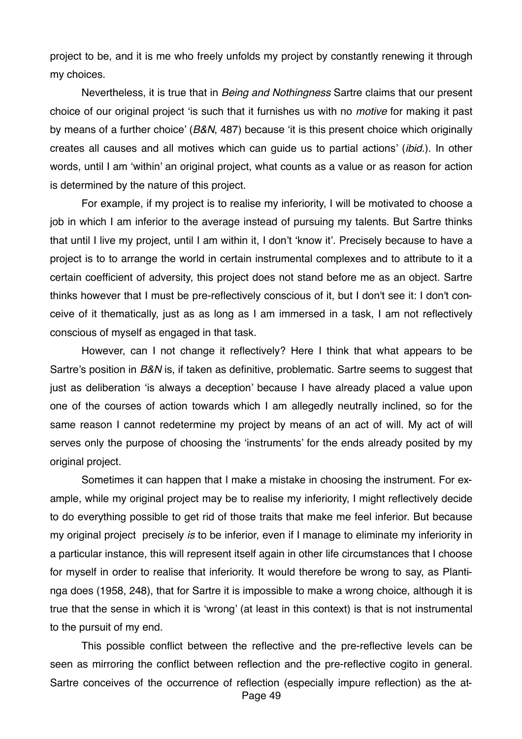project to be, and it is me who freely unfolds my project by constantly renewing it through my choices.

Nevertheless, it is true that in *Being and Nothingness* Sartre claims that our present choice of our original project 'is such that it furnishes us with no *motive* for making it past by means of a further choice' (*B&N*, 487) because 'it is this present choice which originally creates all causes and all motives which can guide us to partial actions' (*ibid.*). In other words, until I am 'within' an original project, what counts as a value or as reason for action is determined by the nature of this project.

For example, if my project is to realise my inferiority, I will be motivated to choose a job in which I am inferior to the average instead of pursuing my talents. But Sartre thinks that until I live my project, until I am within it, I don't 'know it'. Precisely because to have a project is to to arrange the world in certain instrumental complexes and to attribute to it a certain coefficient of adversity, this project does not stand before me as an object. Sartre thinks however that I must be pre-reflectively conscious of it, but I don't see it: I don't conceive of it thematically, just as as long as I am immersed in a task, I am not reflectively conscious of myself as engaged in that task.

However, can I not change it reflectively? Here I think that what appears to be Sartre's position in *B&N* is, if taken as definitive, problematic. Sartre seems to suggest that just as deliberation 'is always a deception' because I have already placed a value upon one of the courses of action towards which I am allegedly neutrally inclined, so for the same reason I cannot redetermine my project by means of an act of will. My act of will serves only the purpose of choosing the 'instruments' for the ends already posited by my original project.

Sometimes it can happen that I make a mistake in choosing the instrument. For example, while my original project may be to realise my inferiority, I might reflectively decide to do everything possible to get rid of those traits that make me feel inferior. But because my original project precisely *is* to be inferior, even if I manage to eliminate my inferiority in a particular instance, this will represent itself again in other life circumstances that I choose for myself in order to realise that inferiority. It would therefore be wrong to say, as Plantinga does (1958, 248), that for Sartre it is impossible to make a wrong choice, although it is true that the sense in which it is 'wrong' (at least in this context) is that is not instrumental to the pursuit of my end.

This possible conflict between the reflective and the pre-reflective levels can be seen as mirroring the conflict between reflection and the pre-reflective cogito in general. Sartre conceives of the occurrence of reflection (especially impure reflection) as the at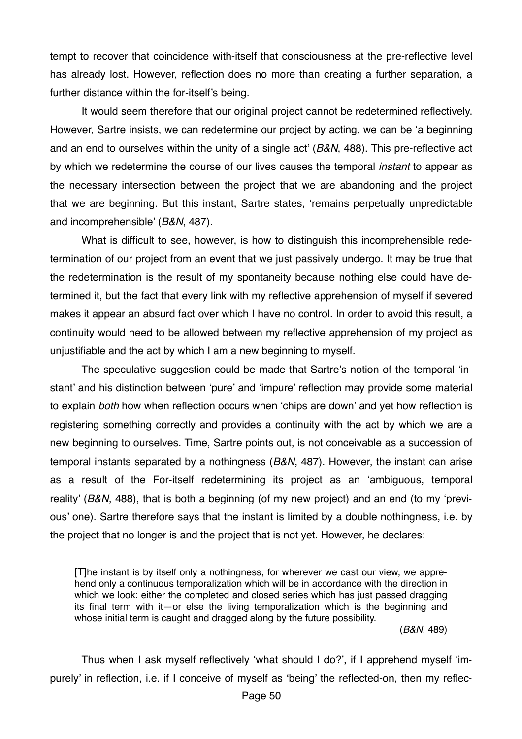tempt to recover that coincidence with-itself that consciousness at the pre-reflective level has already lost. However, reflection does no more than creating a further separation, a further distance within the for-itself's being.

It would seem therefore that our original project cannot be redetermined reflectively. However, Sartre insists, we can redetermine our project by acting, we can be 'a beginning and an end to ourselves within the unity of a single act' (*B&N*, 488). This pre-reflective act by which we redetermine the course of our lives causes the temporal *instant* to appear as the necessary intersection between the project that we are abandoning and the project that we are beginning. But this instant, Sartre states, 'remains perpetually unpredictable and incomprehensible' (*B&N*, 487).

What is difficult to see, however, is how to distinguish this incomprehensible redetermination of our project from an event that we just passively undergo. It may be true that the redetermination is the result of my spontaneity because nothing else could have determined it, but the fact that every link with my reflective apprehension of myself if severed makes it appear an absurd fact over which I have no control. In order to avoid this result, a continuity would need to be allowed between my reflective apprehension of my project as unjustifiable and the act by which I am a new beginning to myself.

The speculative suggestion could be made that Sartre's notion of the temporal 'instant' and his distinction between 'pure' and 'impure' reflection may provide some material to explain *both* how when reflection occurs when 'chips are down' and yet how reflection is registering something correctly and provides a continuity with the act by which we are a new beginning to ourselves. Time, Sartre points out, is not conceivable as a succession of temporal instants separated by a nothingness (*B&N*, 487). However, the instant can arise as a result of the For-itself redetermining its project as an 'ambiguous, temporal reality' (*B&N*, 488), that is both a beginning (of my new project) and an end (to my 'previous' one). Sartre therefore says that the instant is limited by a double nothingness, i.e. by the project that no longer is and the project that is not yet. However, he declares:

[T]he instant is by itself only a nothingness, for wherever we cast our view, we apprehend only a continuous temporalization which will be in accordance with the direction in which we look: either the completed and closed series which has just passed dragging its final term with it—or else the living temporalization which is the beginning and whose initial term is caught and dragged along by the future possibility.

(*B&N*, 489)

Thus when I ask myself reflectively 'what should I do?', if I apprehend myself 'impurely' in reflection, i.e. if I conceive of myself as 'being' the reflected-on, then my reflec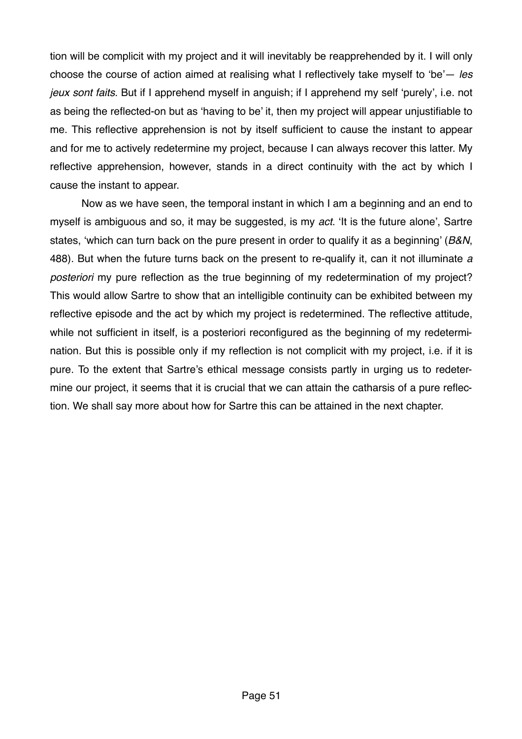tion will be complicit with my project and it will inevitably be reapprehended by it. I will only choose the course of action aimed at realising what I reflectively take myself to 'be'— *les jeux sont faits*. But if I apprehend myself in anguish; if I apprehend my self 'purely', i.e. not as being the reflected-on but as 'having to be' it, then my project will appear unjustifiable to me. This reflective apprehension is not by itself sufficient to cause the instant to appear and for me to actively redetermine my project, because I can always recover this latter. My reflective apprehension, however, stands in a direct continuity with the act by which I cause the instant to appear.

Now as we have seen, the temporal instant in which I am a beginning and an end to myself is ambiguous and so, it may be suggested, is my *act*. 'It is the future alone', Sartre states, 'which can turn back on the pure present in order to qualify it as a beginning' (*B&N*, 488). But when the future turns back on the present to re-qualify it, can it not illuminate *a posteriori* my pure reflection as the true beginning of my redetermination of my project? This would allow Sartre to show that an intelligible continuity can be exhibited between my reflective episode and the act by which my project is redetermined. The reflective attitude, while not sufficient in itself, is a posteriori reconfigured as the beginning of my redetermination. But this is possible only if my reflection is not complicit with my project, i.e. if it is pure. To the extent that Sartre's ethical message consists partly in urging us to redetermine our project, it seems that it is crucial that we can attain the catharsis of a pure reflection. We shall say more about how for Sartre this can be attained in the next chapter.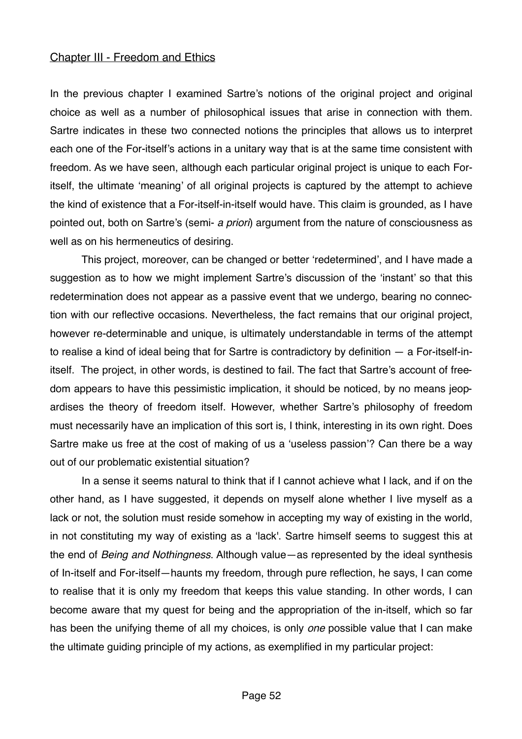### Chapter III - Freedom and Ethics

In the previous chapter I examined Sartre's notions of the original project and original choice as well as a number of philosophical issues that arise in connection with them. Sartre indicates in these two connected notions the principles that allows us to interpret each one of the For-itself's actions in a unitary way that is at the same time consistent with freedom. As we have seen, although each particular original project is unique to each Foritself, the ultimate 'meaning' of all original projects is captured by the attempt to achieve the kind of existence that a For-itself-in-itself would have. This claim is grounded, as I have pointed out, both on Sartre's (semi- *a priori*) argument from the nature of consciousness as well as on his hermeneutics of desiring.

This project, moreover, can be changed or better 'redetermined', and I have made a suggestion as to how we might implement Sartre's discussion of the 'instant' so that this redetermination does not appear as a passive event that we undergo, bearing no connection with our reflective occasions. Nevertheless, the fact remains that our original project, however re-determinable and unique, is ultimately understandable in terms of the attempt to realise a kind of ideal being that for Sartre is contradictory by definition — a For-itself-initself. The project, in other words, is destined to fail. The fact that Sartre's account of freedom appears to have this pessimistic implication, it should be noticed, by no means jeopardises the theory of freedom itself. However, whether Sartre's philosophy of freedom must necessarily have an implication of this sort is, I think, interesting in its own right. Does Sartre make us free at the cost of making of us a 'useless passion'? Can there be a way out of our problematic existential situation?

In a sense it seems natural to think that if I cannot achieve what I lack, and if on the other hand, as I have suggested, it depends on myself alone whether I live myself as a lack or not, the solution must reside somehow in accepting my way of existing in the world, in not constituting my way of existing as a 'lack'. Sartre himself seems to suggest this at the end of *Being and Nothingness*. Although value—as represented by the ideal synthesis of In-itself and For-itself—haunts my freedom, through pure reflection, he says, I can come to realise that it is only my freedom that keeps this value standing. In other words, I can become aware that my quest for being and the appropriation of the in-itself, which so far has been the unifying theme of all my choices, is only *one* possible value that I can make the ultimate guiding principle of my actions, as exemplified in my particular project: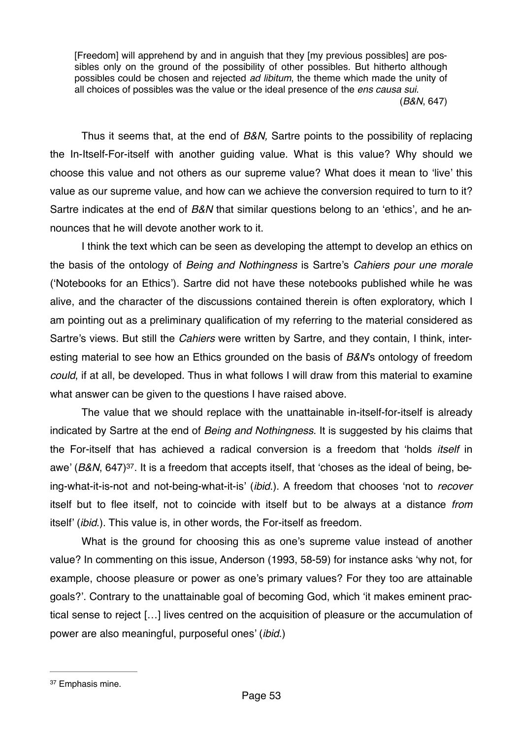[Freedom] will apprehend by and in anguish that they [my previous possibles] are possibles only on the ground of the possibility of other possibles. But hitherto although possibles could be chosen and rejected *ad libitum*, the theme which made the unity of all choices of possibles was the value or the ideal presence of the *ens causa sui*. (*B&N*, 647)

Thus it seems that, at the end of *B&N,* Sartre points to the possibility of replacing the In-Itself-For-itself with another guiding value. What is this value? Why should we choose this value and not others as our supreme value? What does it mean to 'live' this value as our supreme value, and how can we achieve the conversion required to turn to it? Sartre indicates at the end of *B&N* that similar questions belong to an 'ethics', and he announces that he will devote another work to it.

I think the text which can be seen as developing the attempt to develop an ethics on the basis of the ontology of *Being and Nothingness* is Sartre's *Cahiers pour une morale*  ('Notebooks for an Ethics'). Sartre did not have these notebooks published while he was alive, and the character of the discussions contained therein is often exploratory, which I am pointing out as a preliminary qualification of my referring to the material considered as Sartre's views. But still the *Cahiers* were written by Sartre, and they contain, I think, interesting material to see how an Ethics grounded on the basis of *B&N*'s ontology of freedom *could*, if at all, be developed. Thus in what follows I will draw from this material to examine what answer can be given to the questions I have raised above.

<span id="page-52-1"></span>The value that we should replace with the unattainable in-itself-for-itself is already indicated by Sartre at the end of *Being and Nothingness*. It is suggested by his claims that the For-itself that has achieved a radical conversion is a freedom that 'holds *itself* in awe' (*B&N*, 647[\)37](#page-52-0). It is a freedom that accepts itself, that 'choses as the ideal of being, being-what-it-is-not and not-being-what-it-is' (*ibid*.). A freedom that chooses 'not to *recover*  itself but to flee itself, not to coincide with itself but to be always at a distance *from*  itself' (*ibid*.). This value is, in other words, the For-itself as freedom.

What is the ground for choosing this as one's supreme value instead of another value? In commenting on this issue, Anderson (1993, 58-59) for instance asks 'why not, for example, choose pleasure or power as one's primary values? For they too are attainable goals?'. Contrary to the unattainable goal of becoming God, which 'it makes eminent practical sense to reject […] lives centred on the acquisition of pleasure or the accumulation of power are also meaningful, purposeful ones' (*ibid*.)

<span id="page-52-0"></span><sup>&</sup>lt;sup>[37](#page-52-1)</sup> Emphasis mine.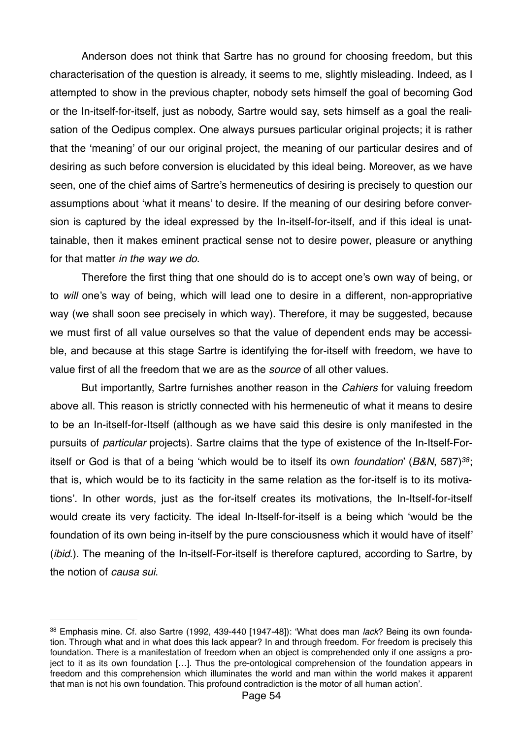Anderson does not think that Sartre has no ground for choosing freedom, but this characterisation of the question is already, it seems to me, slightly misleading. Indeed, as I attempted to show in the previous chapter, nobody sets himself the goal of becoming God or the In-itself-for-itself, just as nobody, Sartre would say, sets himself as a goal the realisation of the Oedipus complex. One always pursues particular original projects; it is rather that the 'meaning' of our our original project, the meaning of our particular desires and of desiring as such before conversion is elucidated by this ideal being. Moreover, as we have seen, one of the chief aims of Sartre's hermeneutics of desiring is precisely to question our assumptions about 'what it means' to desire. If the meaning of our desiring before conversion is captured by the ideal expressed by the In-itself-for-itself, and if this ideal is unattainable, then it makes eminent practical sense not to desire power, pleasure or anything for that matter *in the way we do*.

Therefore the first thing that one should do is to accept one's own way of being, or to *will* one's way of being, which will lead one to desire in a different, non-appropriative way (we shall soon see precisely in which way). Therefore, it may be suggested, because we must first of all value ourselves so that the value of dependent ends may be accessible, and because at this stage Sartre is identifying the for-itself with freedom, we have to value first of all the freedom that we are as the *source* of all other values.

<span id="page-53-1"></span>But importantly, Sartre furnishes another reason in the *Cahiers* for valuing freedom above all. This reason is strictly connected with his hermeneutic of what it means to desire to be an In-itself-for-Itself (although as we have said this desire is only manifested in the pursuits of *particular* projects). Sartre claims that the type of existence of the In-Itself-Foritself or God is that of a being 'which would be to itself its own *foundation'* (*B&N*, 587)<sup>[38](#page-53-0)</sup>; that is, which would be to its facticity in the same relation as the for-itself is to its motivations'. In other words, just as the for-itself creates its motivations, the In-Itself-for-itself would create its very facticity. The ideal In-Itself-for-itself is a being which 'would be the foundation of its own being in-itself by the pure consciousness which it would have of itself' (*ibid*.). The meaning of the In-itself-For-itself is therefore captured, according to Sartre, by the notion of *causa sui*.

<span id="page-53-0"></span><sup>&</sup>lt;sup>[38](#page-53-1)</sup> Emphasis mine. Cf. also Sartre (1992, 439-440 [1947-48]): 'What does man *lack*? Being its own foundation. Through what and in what does this lack appear? In and through freedom. For freedom is precisely this foundation. There is a manifestation of freedom when an object is comprehended only if one assigns a project to it as its own foundation […]. Thus the pre-ontological comprehension of the foundation appears in freedom and this comprehension which illuminates the world and man within the world makes it apparent that man is not his own foundation. This profound contradiction is the motor of all human action'.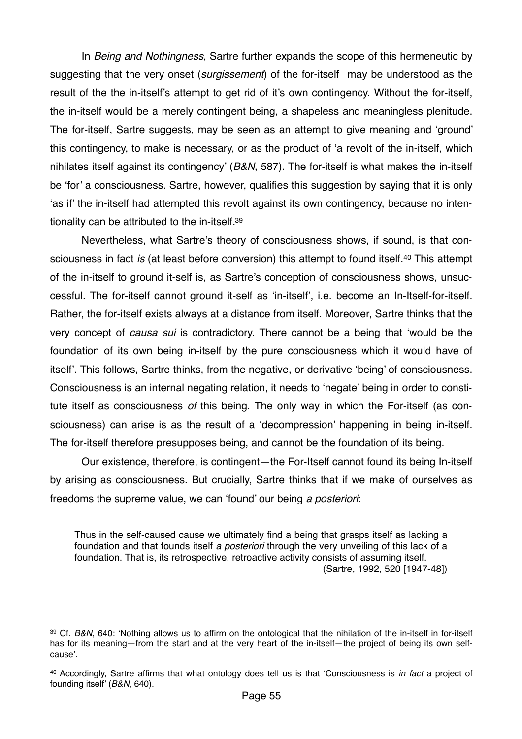In *Being and Nothingness*, Sartre further expands the scope of this hermeneutic by suggesting that the very onset (*surgissement*) of the for-itself may be understood as the result of the the in-itself's attempt to get rid of it's own contingency. Without the for-itself, the in-itself would be a merely contingent being, a shapeless and meaningless plenitude. The for-itself, Sartre suggests, may be seen as an attempt to give meaning and 'ground' this contingency, to make is necessary, or as the product of 'a revolt of the in-itself, which nihilates itself against its contingency' (*B&N*, 587). The for-itself is what makes the in-itself be 'for' a consciousness. Sartre, however, qualifies this suggestion by saying that it is only 'as if' the in-itself had attempted this revolt against its own contingency, because no intentionality can be attributed to the in-itself[.39](#page-54-0)

<span id="page-54-3"></span><span id="page-54-2"></span>Nevertheless, what Sartre's theory of consciousness shows, if sound, is that consciousness in fact *is* (at least before conversion) this attempt to found itself.<sup>[40](#page-54-1)</sup> This attempt of the in-itself to ground it-self is, as Sartre's conception of consciousness shows, unsuccessful. The for-itself cannot ground it-self as 'in-itself', i.e. become an In-Itself-for-itself. Rather, the for-itself exists always at a distance from itself. Moreover, Sartre thinks that the very concept of *causa sui* is contradictory. There cannot be a being that 'would be the foundation of its own being in-itself by the pure consciousness which it would have of itself'. This follows, Sartre thinks, from the negative, or derivative 'being' of consciousness. Consciousness is an internal negating relation, it needs to 'negate' being in order to constitute itself as consciousness *of* this being. The only way in which the For-itself (as consciousness) can arise is as the result of a 'decompression' happening in being in-itself. The for-itself therefore presupposes being, and cannot be the foundation of its being.

Our existence, therefore, is contingent—the For-Itself cannot found its being In-itself by arising as consciousness. But crucially, Sartre thinks that if we make of ourselves as freedoms the supreme value, we can 'found' our being *a posteriori*:

Thus in the self-caused cause we ultimately find a being that grasps itself as lacking a foundation and that founds itself *a posteriori* through the very unveiling of this lack of a foundation. That is, its retrospective, retroactive activity consists of assuming itself. (Sartre, 1992, 520 [1947-48])

<span id="page-54-0"></span>[<sup>39</sup>](#page-54-2) Cf. B&N, 640: 'Nothing allows us to affirm on the ontological that the nihilation of the in-itself in for-itself has for its meaning—from the start and at the very heart of the in-itself—the project of being its own selfcause'.

<span id="page-54-1"></span><sup>&</sup>lt;sup>[40](#page-54-3)</sup> Accordingly, Sartre affirms that what ontology does tell us is that 'Consciousness is *in fact* a project of founding itself' (*B&N*, 640).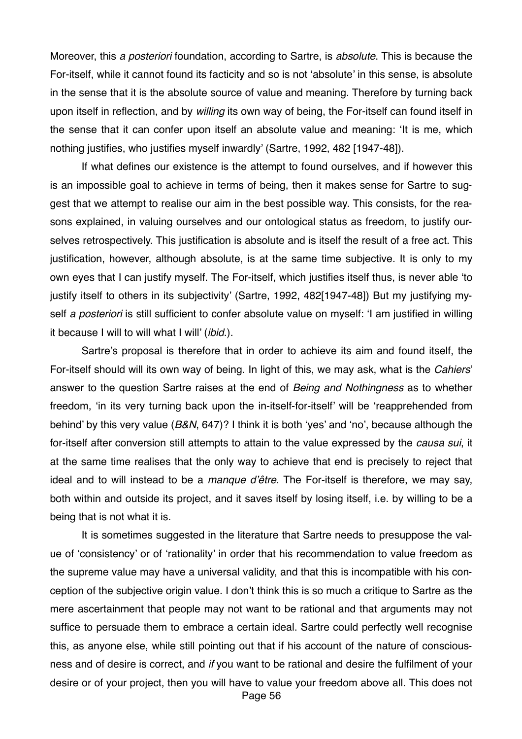Moreover, this *a posteriori* foundation, according to Sartre, is *absolute*. This is because the For-itself, while it cannot found its facticity and so is not 'absolute' in this sense, is absolute in the sense that it is the absolute source of value and meaning. Therefore by turning back upon itself in reflection, and by *willing* its own way of being, the For-itself can found itself in the sense that it can confer upon itself an absolute value and meaning: 'It is me, which nothing justifies, who justifies myself inwardly' (Sartre, 1992, 482 [1947-48]).

If what defines our existence is the attempt to found ourselves, and if however this is an impossible goal to achieve in terms of being, then it makes sense for Sartre to suggest that we attempt to realise our aim in the best possible way. This consists, for the reasons explained, in valuing ourselves and our ontological status as freedom, to justify ourselves retrospectively. This justification is absolute and is itself the result of a free act. This justification, however, although absolute, is at the same time subjective. It is only to my own eyes that I can justify myself. The For-itself, which justifies itself thus, is never able 'to justify itself to others in its subjectivity' (Sartre, 1992, 482[1947-48]) But my justifying myself *a posteriori* is still sufficient to confer absolute value on myself: 'I am justified in willing it because I will to will what I will' (*ibid*.).

Sartre's proposal is therefore that in order to achieve its aim and found itself, the For-itself should will its own way of being. In light of this, we may ask, what is the *Cahiers*' answer to the question Sartre raises at the end of *Being and Nothingness* as to whether freedom, 'in its very turning back upon the in-itself-for-itself' will be 'reapprehended from behind' by this very value (*B&N*, 647)? I think it is both 'yes' and 'no', because although the for-itself after conversion still attempts to attain to the value expressed by the *causa sui*, it at the same time realises that the only way to achieve that end is precisely to reject that ideal and to will instead to be a *manque d'être*. The For-itself is therefore, we may say, both within and outside its project, and it saves itself by losing itself, i.e. by willing to be a being that is not what it is.

It is sometimes suggested in the literature that Sartre needs to presuppose the value of 'consistency' or of 'rationality' in order that his recommendation to value freedom as the supreme value may have a universal validity, and that this is incompatible with his conception of the subjective origin value. I don't think this is so much a critique to Sartre as the mere ascertainment that people may not want to be rational and that arguments may not suffice to persuade them to embrace a certain ideal. Sartre could perfectly well recognise this, as anyone else, while still pointing out that if his account of the nature of consciousness and of desire is correct, and *if* you want to be rational and desire the fulfilment of your desire or of your project, then you will have to value your freedom above all. This does not Page 56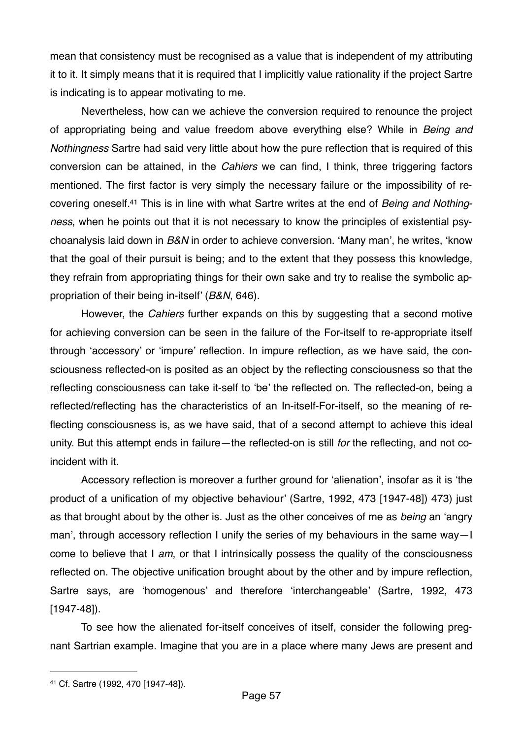mean that consistency must be recognised as a value that is independent of my attributing it to it. It simply means that it is required that I implicitly value rationality if the project Sartre is indicating is to appear motivating to me.

<span id="page-56-1"></span>Nevertheless, how can we achieve the conversion required to renounce the project of appropriating being and value freedom above everything else? While in *Being and Nothingness* Sartre had said very little about how the pure reflection that is required of this conversion can be attained, in the *Cahiers* we can find, I think, three triggering factors mentioned. The first factor is very simply the necessary failure or the impossibility of recovering oneself[.41](#page-56-0) This is in line with what Sartre writes at the end of *Being and Nothingness*, when he points out that it is not necessary to know the principles of existential psychoanalysis laid down in *B&N* in order to achieve conversion. 'Many man', he writes, 'know that the goal of their pursuit is being; and to the extent that they possess this knowledge, they refrain from appropriating things for their own sake and try to realise the symbolic appropriation of their being in-itself' (*B&N*, 646).

However, the *Cahiers* further expands on this by suggesting that a second motive for achieving conversion can be seen in the failure of the For-itself to re-appropriate itself through 'accessory' or 'impure' reflection. In impure reflection, as we have said, the consciousness reflected-on is posited as an object by the reflecting consciousness so that the reflecting consciousness can take it-self to 'be' the reflected on. The reflected-on, being a reflected/reflecting has the characteristics of an In-itself-For-itself, so the meaning of reflecting consciousness is, as we have said, that of a second attempt to achieve this ideal unity. But this attempt ends in failure—the reflected-on is still *for* the reflecting, and not coincident with it.

Accessory reflection is moreover a further ground for 'alienation', insofar as it is 'the product of a unification of my objective behaviour' (Sartre, 1992, 473 [1947-48]) 473) just as that brought about by the other is. Just as the other conceives of me as *being* an 'angry man', through accessory reflection I unify the series of my behaviours in the same way—I come to believe that I *am*, or that I intrinsically possess the quality of the consciousness reflected on. The objective unification brought about by the other and by impure reflection, Sartre says, are 'homogenous' and therefore 'interchangeable' (Sartre, 1992, 473 [1947-48]).

To see how the alienated for-itself conceives of itself, consider the following pregnant Sartrian example. Imagine that you are in a place where many Jews are present and

<span id="page-56-0"></span>[<sup>41</sup>](#page-56-1) Cf. Sartre (1992, 470 [1947-48]).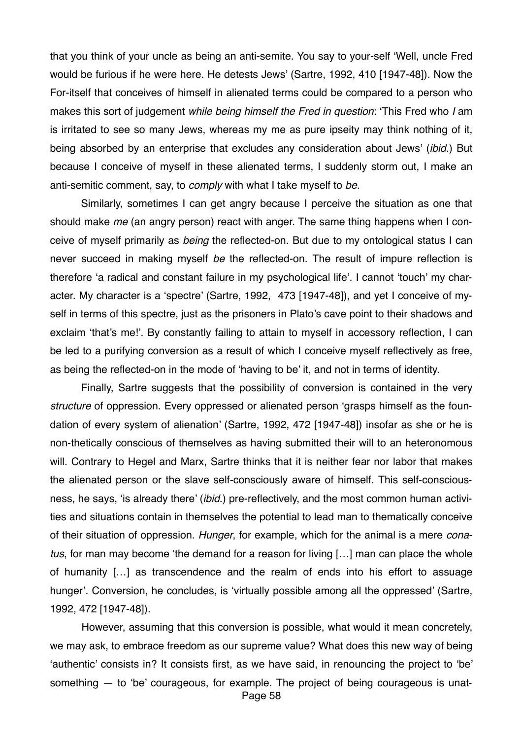that you think of your uncle as being an anti-semite. You say to your-self 'Well, uncle Fred would be furious if he were here. He detests Jews' (Sartre, 1992, 410 [1947-48]). Now the For-itself that conceives of himself in alienated terms could be compared to a person who makes this sort of judgement *while being himself the Fred in question*: 'This Fred who *I* am is irritated to see so many Jews, whereas my me as pure ipseity may think nothing of it, being absorbed by an enterprise that excludes any consideration about Jews' (*ibid*.) But because I conceive of myself in these alienated terms, I suddenly storm out, I make an anti-semitic comment, say, to *comply* with what I take myself to *be*.

Similarly, sometimes I can get angry because I perceive the situation as one that should make *me* (an angry person) react with anger. The same thing happens when I conceive of myself primarily as *being* the reflected-on. But due to my ontological status I can never succeed in making myself *be* the reflected-on. The result of impure reflection is therefore 'a radical and constant failure in my psychological life'. I cannot 'touch' my character. My character is a 'spectre' (Sartre, 1992, 473 [1947-48]), and yet I conceive of myself in terms of this spectre, just as the prisoners in Plato's cave point to their shadows and exclaim 'that's me!'. By constantly failing to attain to myself in accessory reflection, I can be led to a purifying conversion as a result of which I conceive myself reflectively as free, as being the reflected-on in the mode of 'having to be' it, and not in terms of identity.

Finally, Sartre suggests that the possibility of conversion is contained in the very *structure* of oppression. Every oppressed or alienated person 'grasps himself as the foundation of every system of alienation' (Sartre, 1992, 472 [1947-48]) insofar as she or he is non-thetically conscious of themselves as having submitted their will to an heteronomous will. Contrary to Hegel and Marx, Sartre thinks that it is neither fear nor labor that makes the alienated person or the slave self-consciously aware of himself. This self-consciousness, he says, 'is already there' (*ibid*.) pre-reflectively, and the most common human activities and situations contain in themselves the potential to lead man to thematically conceive of their situation of oppression. *Hunger*, for example, which for the animal is a mere *conatus*, for man may become 'the demand for a reason for living […] man can place the whole of humanity […] as transcendence and the realm of ends into his effort to assuage hunger'. Conversion, he concludes, is 'virtually possible among all the oppressed' (Sartre, 1992, 472 [1947-48]).

However, assuming that this conversion is possible, what would it mean concretely, we may ask, to embrace freedom as our supreme value? What does this new way of being 'authentic' consists in? It consists first, as we have said, in renouncing the project to 'be' something — to 'be' courageous, for example. The project of being courageous is unat-Page 58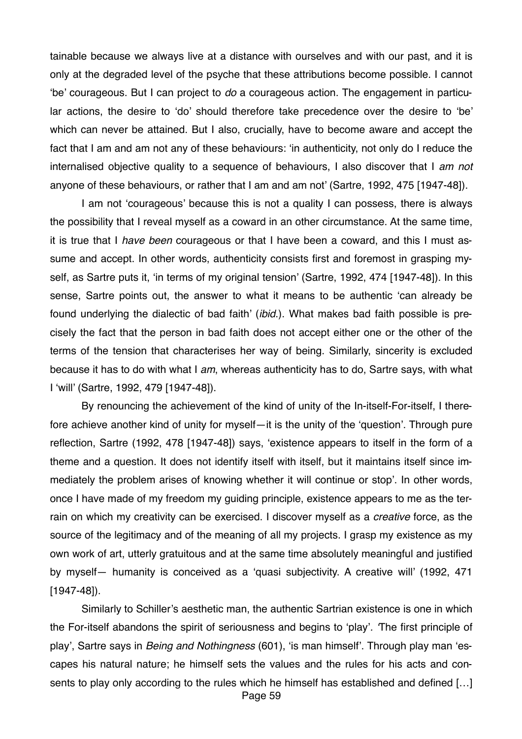tainable because we always live at a distance with ourselves and with our past, and it is only at the degraded level of the psyche that these attributions become possible. I cannot 'be' courageous. But I can project to *do* a courageous action. The engagement in particular actions, the desire to 'do' should therefore take precedence over the desire to 'be' which can never be attained. But I also, crucially, have to become aware and accept the fact that I am and am not any of these behaviours: 'in authenticity, not only do I reduce the internalised objective quality to a sequence of behaviours, I also discover that I *am not*  anyone of these behaviours, or rather that I am and am not' (Sartre, 1992, 475 [1947-48]).

I am not 'courageous' because this is not a quality I can possess, there is always the possibility that I reveal myself as a coward in an other circumstance. At the same time, it is true that I *have been* courageous or that I have been a coward, and this I must assume and accept. In other words, authenticity consists first and foremost in grasping myself, as Sartre puts it, 'in terms of my original tension' (Sartre, 1992, 474 [1947-48]). In this sense, Sartre points out, the answer to what it means to be authentic 'can already be found underlying the dialectic of bad faith' (*ibid*.). What makes bad faith possible is precisely the fact that the person in bad faith does not accept either one or the other of the terms of the tension that characterises her way of being. Similarly, sincerity is excluded because it has to do with what I *am*, whereas authenticity has to do, Sartre says, with what I 'will' (Sartre, 1992, 479 [1947-48]).

By renouncing the achievement of the kind of unity of the In-itself-For-itself, I therefore achieve another kind of unity for myself—it is the unity of the 'question'. Through pure reflection, Sartre (1992, 478 [1947-48]) says, 'existence appears to itself in the form of a theme and a question. It does not identify itself with itself, but it maintains itself since immediately the problem arises of knowing whether it will continue or stop'. In other words, once I have made of my freedom my guiding principle, existence appears to me as the terrain on which my creativity can be exercised. I discover myself as a *creative* force, as the source of the legitimacy and of the meaning of all my projects. I grasp my existence as my own work of art, utterly gratuitous and at the same time absolutely meaningful and justified by myself— humanity is conceived as a 'quasi subjectivity. A creative will' (1992, 471 [1947-48]).

Similarly to Schiller's aesthetic man, the authentic Sartrian existence is one in which the For-itself abandons the spirit of seriousness and begins to 'play'*. '*The first principle of play', Sartre says in *Being and Nothingness* (601), 'is man himself'. Through play man 'escapes his natural nature; he himself sets the values and the rules for his acts and consents to play only according to the rules which he himself has established and defined […] Page 59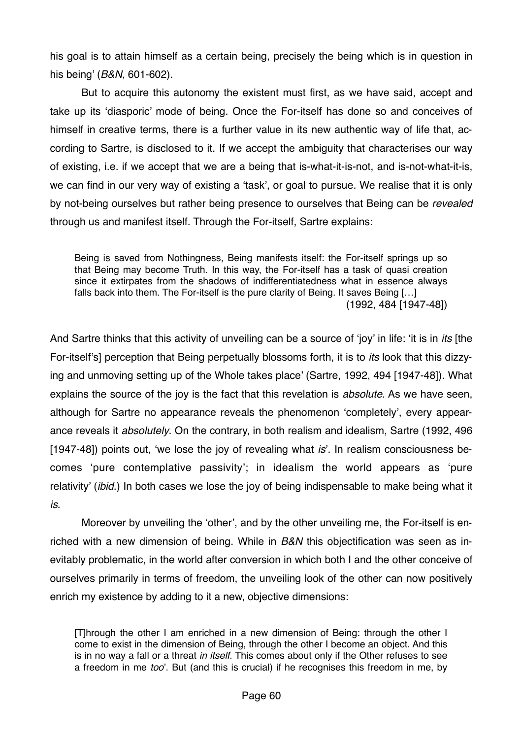his goal is to attain himself as a certain being, precisely the being which is in question in his being' (*B&N*, 601-602).

But to acquire this autonomy the existent must first, as we have said, accept and take up its 'diasporic' mode of being. Once the For-itself has done so and conceives of himself in creative terms, there is a further value in its new authentic way of life that, according to Sartre, is disclosed to it. If we accept the ambiguity that characterises our way of existing, i.e. if we accept that we are a being that is-what-it-is-not, and is-not-what-it-is, we can find in our very way of existing a 'task', or goal to pursue. We realise that it is only by not-being ourselves but rather being presence to ourselves that Being can be *revealed* through us and manifest itself. Through the For-itself, Sartre explains:

Being is saved from Nothingness, Being manifests itself: the For-itself springs up so that Being may become Truth. In this way, the For-itself has a task of quasi creation since it extirpates from the shadows of indifferentiatedness what in essence always falls back into them. The For-itself is the pure clarity of Being. It saves Being […] (1992, 484 [1947-48])

And Sartre thinks that this activity of unveiling can be a source of 'joy' in life: 'it is in *its* [the For-itself's] perception that Being perpetually blossoms forth, it is to *its* look that this dizzying and unmoving setting up of the Whole takes place' (Sartre, 1992, 494 [1947-48]). What explains the source of the joy is the fact that this revelation is *absolute*. As we have seen, although for Sartre no appearance reveals the phenomenon 'completely', every appearance reveals it *absolutely*. On the contrary, in both realism and idealism, Sartre (1992, 496 [1947-48]) points out, 'we lose the joy of revealing what *is*'. In realism consciousness becomes 'pure contemplative passivity'; in idealism the world appears as 'pure relativity' (*ibid*.) In both cases we lose the joy of being indispensable to make being what it *is*.

Moreover by unveiling the 'other', and by the other unveiling me, the For-itself is enriched with a new dimension of being. While in *B&N* this objectification was seen as inevitably problematic, in the world after conversion in which both I and the other conceive of ourselves primarily in terms of freedom, the unveiling look of the other can now positively enrich my existence by adding to it a new, objective dimensions:

[T]hrough the other I am enriched in a new dimension of Being: through the other I come to exist in the dimension of Being, through the other I become an object. And this is in no way a fall or a threat *in itself*. This comes about only if the Other refuses to see a freedom in me *too*'. But (and this is crucial) if he recognises this freedom in me, by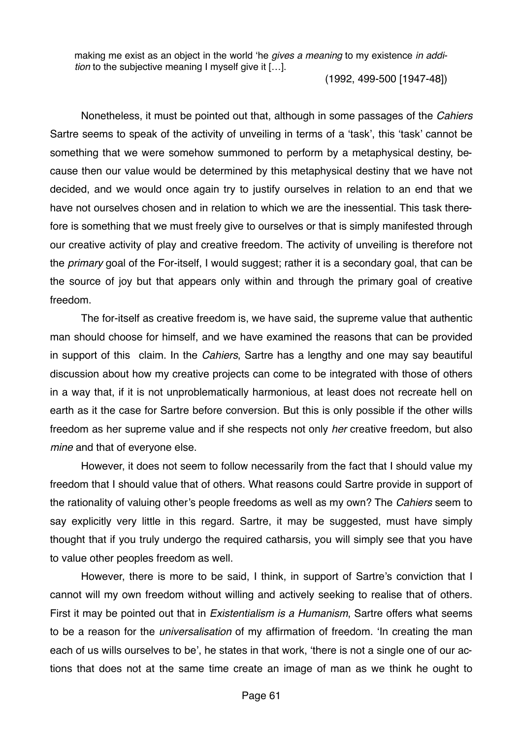making me exist as an object in the world 'he *gives a meaning* to my existence *in addition* to the subjective meaning I myself give it […].

(1992, 499-500 [1947-48])

Nonetheless, it must be pointed out that, although in some passages of the *Cahiers*  Sartre seems to speak of the activity of unveiling in terms of a 'task', this 'task' cannot be something that we were somehow summoned to perform by a metaphysical destiny, because then our value would be determined by this metaphysical destiny that we have not decided, and we would once again try to justify ourselves in relation to an end that we have not ourselves chosen and in relation to which we are the inessential. This task therefore is something that we must freely give to ourselves or that is simply manifested through our creative activity of play and creative freedom. The activity of unveiling is therefore not the *primary* goal of the For-itself, I would suggest; rather it is a secondary goal, that can be the source of joy but that appears only within and through the primary goal of creative freedom.

The for-itself as creative freedom is, we have said, the supreme value that authentic man should choose for himself, and we have examined the reasons that can be provided in support of this claim. In the *Cahiers*, Sartre has a lengthy and one may say beautiful discussion about how my creative projects can come to be integrated with those of others in a way that, if it is not unproblematically harmonious, at least does not recreate hell on earth as it the case for Sartre before conversion. But this is only possible if the other wills freedom as her supreme value and if she respects not only *her* creative freedom, but also *mine* and that of everyone else.

However, it does not seem to follow necessarily from the fact that I should value my freedom that I should value that of others. What reasons could Sartre provide in support of the rationality of valuing other's people freedoms as well as my own? The *Cahiers* seem to say explicitly very little in this regard. Sartre, it may be suggested, must have simply thought that if you truly undergo the required catharsis, you will simply see that you have to value other peoples freedom as well.

However, there is more to be said, I think, in support of Sartre's conviction that I cannot will my own freedom without willing and actively seeking to realise that of others. First it may be pointed out that in *Existentialism is a Humanism*, Sartre offers what seems to be a reason for the *universalisation* of my affirmation of freedom. 'In creating the man each of us wills ourselves to be', he states in that work, 'there is not a single one of our actions that does not at the same time create an image of man as we think he ought to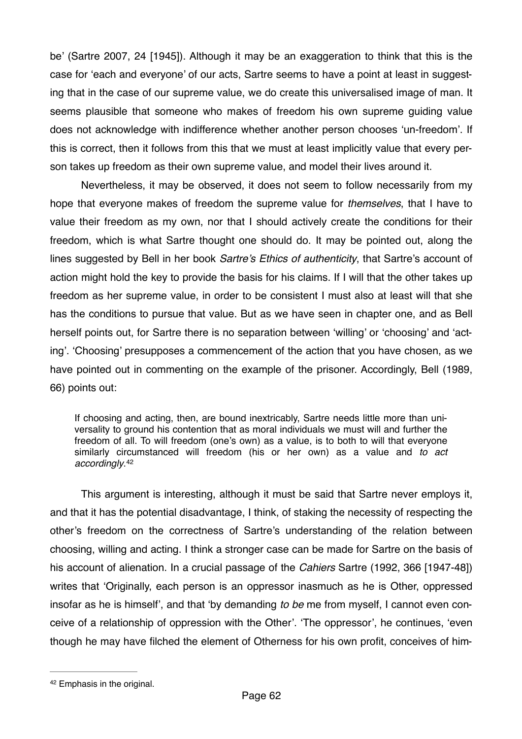be' (Sartre 2007, 24 [1945]). Although it may be an exaggeration to think that this is the case for 'each and everyone' of our acts, Sartre seems to have a point at least in suggesting that in the case of our supreme value, we do create this universalised image of man. It seems plausible that someone who makes of freedom his own supreme guiding value does not acknowledge with indifference whether another person chooses 'un-freedom'. If this is correct, then it follows from this that we must at least implicitly value that every person takes up freedom as their own supreme value, and model their lives around it.

Nevertheless, it may be observed, it does not seem to follow necessarily from my hope that everyone makes of freedom the supreme value for *themselves*, that I have to value their freedom as my own, nor that I should actively create the conditions for their freedom, which is what Sartre thought one should do. It may be pointed out, along the lines suggested by Bell in her book *Sartre's Ethics of authenticity*, that Sartre's account of action might hold the key to provide the basis for his claims. If I will that the other takes up freedom as her supreme value, in order to be consistent I must also at least will that she has the conditions to pursue that value. But as we have seen in chapter one, and as Bell herself points out, for Sartre there is no separation between 'willing' or 'choosing' and 'acting'. 'Choosing' presupposes a commencement of the action that you have chosen, as we have pointed out in commenting on the example of the prisoner. Accordingly, Bell (1989, 66) points out:

<span id="page-61-1"></span>If choosing and acting, then, are bound inextricably, Sartre needs little more than universality to ground his contention that as moral individuals we must will and further the freedom of all. To will freedom (one's own) as a value, is to both to will that everyone similarly circumstanced will freedom (his or her own) as a value and *to act accordingly*.[42](#page-61-0)

This argument is interesting, although it must be said that Sartre never employs it, and that it has the potential disadvantage, I think, of staking the necessity of respecting the other's freedom on the correctness of Sartre's understanding of the relation between choosing, willing and acting. I think a stronger case can be made for Sartre on the basis of his account of alienation. In a crucial passage of the *Cahiers* Sartre (1992, 366 [1947-48]) writes that 'Originally, each person is an oppressor inasmuch as he is Other, oppressed insofar as he is himself', and that 'by demanding *to be* me from myself, I cannot even conceive of a relationship of oppression with the Other'. 'The oppressor', he continues, 'even though he may have filched the element of Otherness for his own profit, conceives of him-

<span id="page-61-0"></span>[<sup>42</sup>](#page-61-1) Emphasis in the original.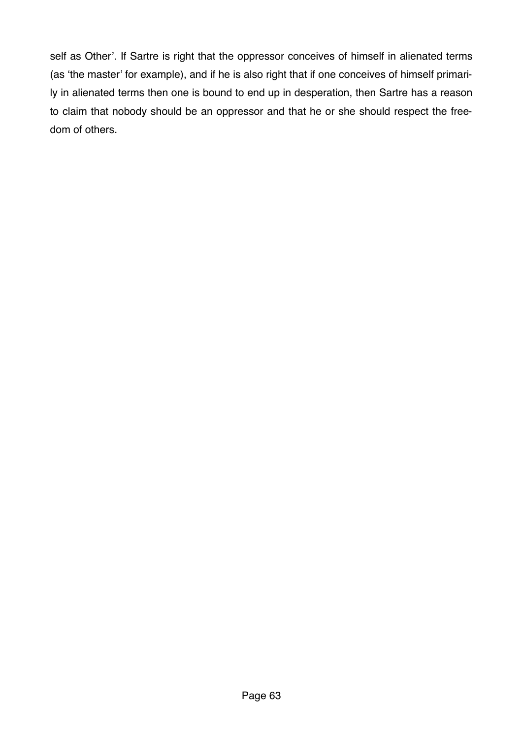self as Other'. If Sartre is right that the oppressor conceives of himself in alienated terms (as 'the master' for example), and if he is also right that if one conceives of himself primarily in alienated terms then one is bound to end up in desperation, then Sartre has a reason to claim that nobody should be an oppressor and that he or she should respect the freedom of others.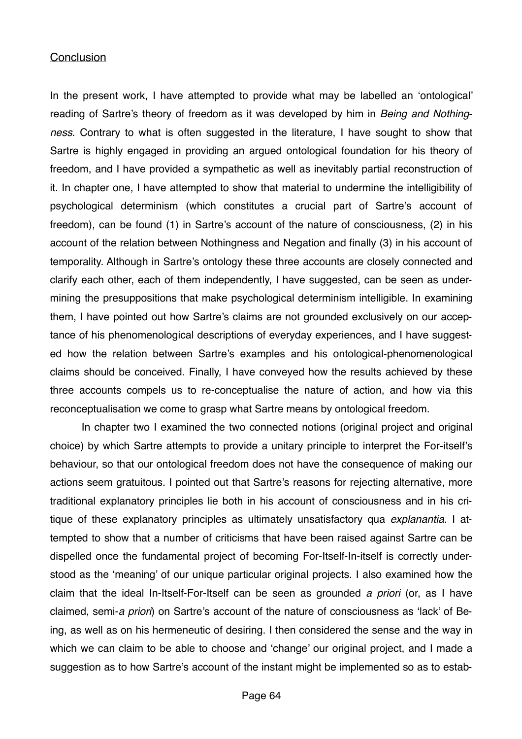#### **Conclusion**

In the present work, I have attempted to provide what may be labelled an 'ontological' reading of Sartre's theory of freedom as it was developed by him in *Being and Nothingness*. Contrary to what is often suggested in the literature, I have sought to show that Sartre is highly engaged in providing an argued ontological foundation for his theory of freedom, and I have provided a sympathetic as well as inevitably partial reconstruction of it. In chapter one, I have attempted to show that material to undermine the intelligibility of psychological determinism (which constitutes a crucial part of Sartre's account of freedom), can be found (1) in Sartre's account of the nature of consciousness, (2) in his account of the relation between Nothingness and Negation and finally (3) in his account of temporality. Although in Sartre's ontology these three accounts are closely connected and clarify each other, each of them independently, I have suggested, can be seen as undermining the presuppositions that make psychological determinism intelligible. In examining them, I have pointed out how Sartre's claims are not grounded exclusively on our acceptance of his phenomenological descriptions of everyday experiences, and I have suggested how the relation between Sartre's examples and his ontological-phenomenological claims should be conceived. Finally, I have conveyed how the results achieved by these three accounts compels us to re-conceptualise the nature of action, and how via this reconceptualisation we come to grasp what Sartre means by ontological freedom.

In chapter two I examined the two connected notions (original project and original choice) by which Sartre attempts to provide a unitary principle to interpret the For-itself's behaviour, so that our ontological freedom does not have the consequence of making our actions seem gratuitous. I pointed out that Sartre's reasons for rejecting alternative, more traditional explanatory principles lie both in his account of consciousness and in his critique of these explanatory principles as ultimately unsatisfactory qua *explanantia*. I attempted to show that a number of criticisms that have been raised against Sartre can be dispelled once the fundamental project of becoming For-Itself-In-itself is correctly understood as the 'meaning' of our unique particular original projects. I also examined how the claim that the ideal In-Itself-For-Itself can be seen as grounded *a priori* (or, as I have claimed, semi-*a priori*) on Sartre's account of the nature of consciousness as 'lack' of Being, as well as on his hermeneutic of desiring. I then considered the sense and the way in which we can claim to be able to choose and 'change' our original project, and I made a suggestion as to how Sartre's account of the instant might be implemented so as to estab-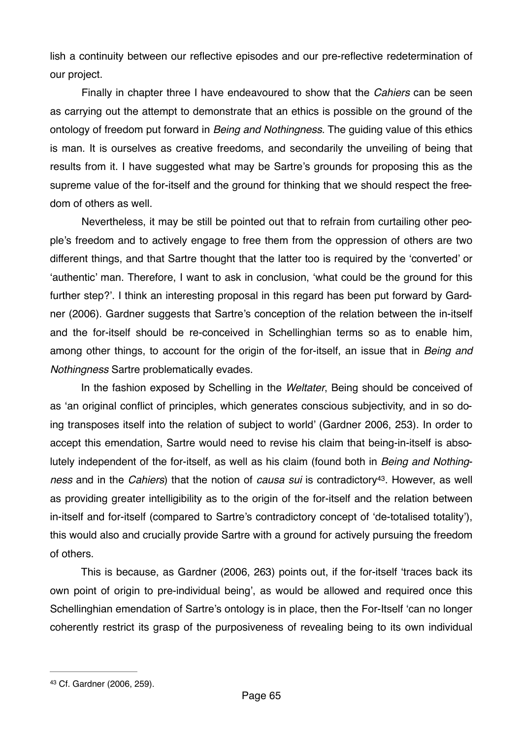lish a continuity between our reflective episodes and our pre-reflective redetermination of our project.

Finally in chapter three I have endeavoured to show that the *Cahiers* can be seen as carrying out the attempt to demonstrate that an ethics is possible on the ground of the ontology of freedom put forward in *Being and Nothingness*. The guiding value of this ethics is man. It is ourselves as creative freedoms, and secondarily the unveiling of being that results from it. I have suggested what may be Sartre's grounds for proposing this as the supreme value of the for-itself and the ground for thinking that we should respect the freedom of others as well.

Nevertheless, it may be still be pointed out that to refrain from curtailing other people's freedom and to actively engage to free them from the oppression of others are two different things, and that Sartre thought that the latter too is required by the 'converted' or 'authentic' man. Therefore, I want to ask in conclusion, 'what could be the ground for this further step?'. I think an interesting proposal in this regard has been put forward by Gardner (2006). Gardner suggests that Sartre's conception of the relation between the in-itself and the for-itself should be re-conceived in Schellinghian terms so as to enable him, among other things, to account for the origin of the for-itself, an issue that in *Being and Nothingness* Sartre problematically evades.

In the fashion exposed by Schelling in the *Weltater*, Being should be conceived of as 'an original conflict of principles, which generates conscious subjectivity, and in so doing transposes itself into the relation of subject to world' (Gardner 2006, 253). In order to accept this emendation, Sartre would need to revise his claim that being-in-itself is absolutely independent of the for-itself, as well as his claim (found both in *Being and Nothingness* and in the *Cahiers*) that the notion of *causa sui* is contradictory<sup>43</sup>[.](#page-64-0) However, as well as providing greater intelligibility as to the origin of the for-itself and the relation between in-itself and for-itself (compared to Sartre's contradictory concept of 'de-totalised totality'), this would also and crucially provide Sartre with a ground for actively pursuing the freedom of others.

<span id="page-64-1"></span>This is because, as Gardner (2006, 263) points out, if the for-itself 'traces back its own point of origin to pre-individual being', as would be allowed and required once this Schellinghian emendation of Sartre's ontology is in place, then the For-Itself 'can no longer coherently restrict its grasp of the purposiveness of revealing being to its own individual

<span id="page-64-0"></span>[<sup>43</sup>](#page-64-1) Cf. Gardner (2006, 259).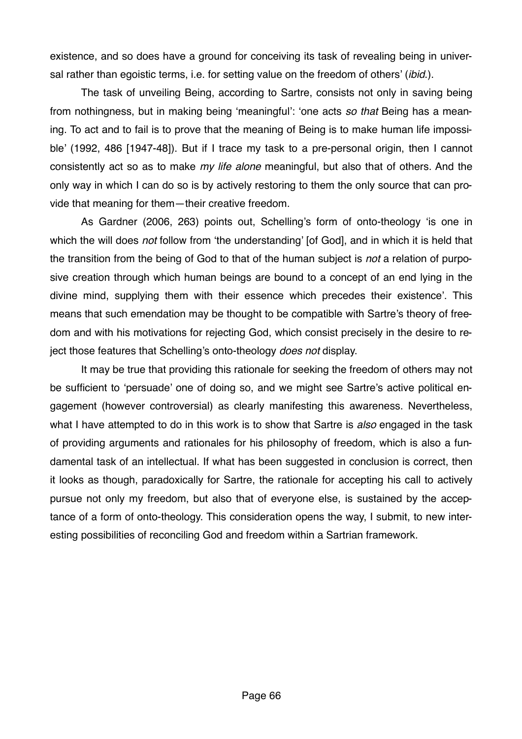existence, and so does have a ground for conceiving its task of revealing being in universal rather than egoistic terms, i.e. for setting value on the freedom of others' (*ibid*.).

The task of unveiling Being, according to Sartre, consists not only in saving being from nothingness, but in making being 'meaningful': 'one acts *so that* Being has a meaning. To act and to fail is to prove that the meaning of Being is to make human life impossible' (1992, 486 [1947-48]). But if I trace my task to a pre-personal origin, then I cannot consistently act so as to make *my life alone* meaningful, but also that of others. And the only way in which I can do so is by actively restoring to them the only source that can provide that meaning for them—their creative freedom.

As Gardner (2006, 263) points out, Schelling's form of onto-theology 'is one in which the will does *not* follow from 'the understanding' [of God], and in which it is held that the transition from the being of God to that of the human subject is *not* a relation of purposive creation through which human beings are bound to a concept of an end lying in the divine mind, supplying them with their essence which precedes their existence'. This means that such emendation may be thought to be compatible with Sartre's theory of freedom and with his motivations for rejecting God, which consist precisely in the desire to reject those features that Schelling's onto-theology *does not* display.

It may be true that providing this rationale for seeking the freedom of others may not be sufficient to 'persuade' one of doing so, and we might see Sartre's active political engagement (however controversial) as clearly manifesting this awareness. Nevertheless, what I have attempted to do in this work is to show that Sartre is *also* engaged in the task of providing arguments and rationales for his philosophy of freedom, which is also a fundamental task of an intellectual. If what has been suggested in conclusion is correct, then it looks as though, paradoxically for Sartre, the rationale for accepting his call to actively pursue not only my freedom, but also that of everyone else, is sustained by the acceptance of a form of onto-theology. This consideration opens the way, I submit, to new interesting possibilities of reconciling God and freedom within a Sartrian framework.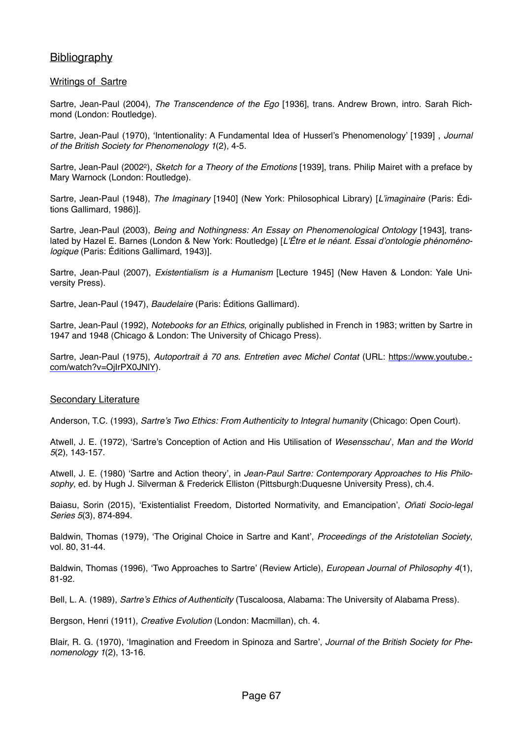## **Bibliography**

#### Writings of Sartre

Sartre, Jean-Paul (2004), *The Transcendence of the Ego* [1936], trans. Andrew Brown, intro. Sarah Richmond (London: Routledge).

Sartre, Jean-Paul (1970), 'Intentionality: A Fundamental Idea of Husserl's Phenomenology' [1939] , *Journal of the British Society for Phenomenology 1*(2), 4-5.

Sartre, Jean-Paul (20022), *Sketch for a Theory of the Emotions* [1939], trans. Philip Mairet with a preface by Mary Warnock (London: Routledge).

Sartre, Jean-Paul (1948), *The Imaginary* [1940] (New York: Philosophical Library) [*L'imaginaire* (Paris: Éditions Gallimard, 1986)].

Sartre, Jean-Paul (2003), *Being and Nothingness: An Essay on Phenomenological Ontology* [1943], translated by Hazel E. Barnes (London & New York: Routledge) [*L'Être et le néant. Essai d'ontologie phénoménologique* (Paris: Éditions Gallimard, 1943)].

Sartre, Jean-Paul (2007), *Existentialism is a Humanism* [Lecture 1945] (New Haven & London: Yale University Press).

Sartre, Jean-Paul (1947), *Baudelaire* (Paris: Éditions Gallimard).

Sartre, Jean-Paul (1992), *Notebooks for an Ethics*, originally published in French in 1983; written by Sartre in 1947 and 1948 (Chicago & London: The University of Chicago Press).

Sartre, Jean-Paul (1975), *[Autoportrait à 70 ans. Entretien avec Michel Contat](https://www.youtube.com/watch?v=OjIrPX0JNlY)* (URL: https://www.youtube. com/watch?v=OjIrPX0JNlY).

#### Secondary Literature

Anderson, T.C. (1993), *Sartre's Two Ethics: From Authenticity to Integral humanity* (Chicago: Open Court).

Atwell, J. E. (1972), 'Sartre's Conception of Action and His Utilisation of *Wesensschau*', *Man and the World 5*(2), 143-157.

Atwell, J. E. (1980) 'Sartre and Action theory', in *Jean-Paul Sartre: Contemporary Approaches to His Philosophy*, ed. by Hugh J. Silverman & Frederick Elliston (Pittsburgh:Duquesne University Press), ch.4.

Baiasu, Sorin (2015), 'Existentialist Freedom, Distorted Normativity, and Emancipation', *Oñati Socio-legal Series 5*(3), 874-894.

Baldwin, Thomas (1979), 'The Original Choice in Sartre and Kant', *Proceedings of the Aristotelian Society*, vol. 80, 31-44.

Baldwin, Thomas (1996), 'Two Approaches to Sartre' (Review Article), *European Journal of Philosophy 4*(1), 81-92.

Bell, L. A. (1989), *Sartre's Ethics of Authenticity* (Tuscaloosa, Alabama: The University of Alabama Press).

Bergson, Henri (1911), *Creative Evolution* (London: Macmillan), ch. 4.

Blair, R. G. (1970), 'Imagination and Freedom in Spinoza and Sartre', *Journal of the British Society for Phenomenology 1*(2), 13-16.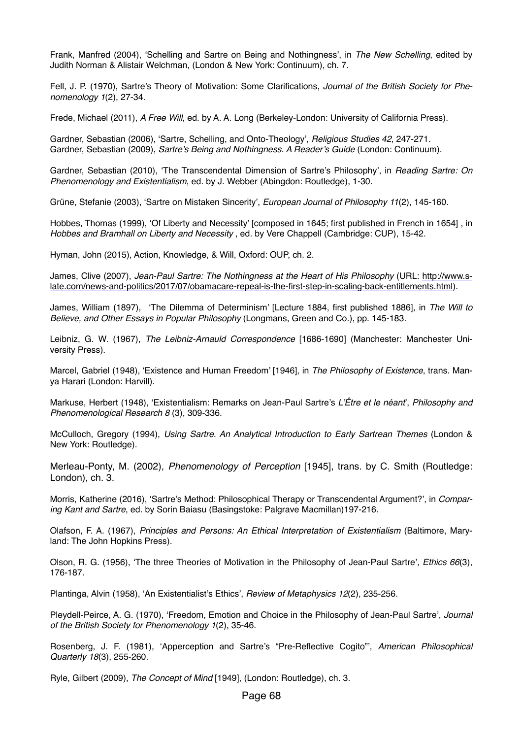Frank, Manfred (2004), 'Schelling and Sartre on Being and Nothingness', in *The New Schelling*, edited by Judith Norman & Alistair Welchman, (London & New York: Continuum), ch. 7.

Fell, J. P. (1970), Sartre's Theory of Motivation: Some Clarifications, *Journal of the British Society for Phenomenology 1*(2), 27-34.

Frede, Michael (2011), *A Free Will*, ed. by A. A. Long (Berkeley-London: University of California Press).

Gardner, Sebastian (2006), 'Sartre, Schelling, and Onto-Theology', *Religious Studies 42*, 247-271. Gardner, Sebastian (2009), *Sartre's Being and Nothingness. A Reader's Guide* (London: Continuum).

Gardner, Sebastian (2010), 'The Transcendental Dimension of Sartre's Philosophy', in *Reading Sartre: On Phenomenology and Existentialism*, ed. by J. Webber (Abingdon: Routledge), 1-30.

Grüne, Stefanie (2003), 'Sartre on Mistaken Sincerity', *European Journal of Philosophy 11*(2), 145-160.

Hobbes, Thomas (1999), 'Of Liberty and Necessity' [composed in 1645; first published in French in 1654] , in *Hobbes and Bramhall on Liberty and Necessity* , ed. by Vere Chappell (Cambridge: CUP), 15-42.

Hyman, John (2015), Action, Knowledge, & Will, Oxford: OUP, ch. 2.

James, Clive (2007), *Jean-Paul Sartre: The Nothingness at the Heart of His Philosophy* (URL: http://www.s[late.com/news-and-politics/2017/07/obamacare-repeal-is-the-first-step-in-scaling-back-entitlements.html\).](http://www.slate.com/news-and-politics/2017/07/obamacare-repeal-is-the-first-step-in-scaling-back-entitlements.html)

James, William (1897), 'The Dilemma of Determinism' [Lecture 1884, first published 1886], in *The Will to Believe, and Other Essays in Popular Philosophy* (Longmans, Green and Co.), pp. 145-183.

Leibniz, G. W. (1967), *The Leibniz-Arnauld Correspondence* [1686-1690] (Manchester: Manchester University Press).

Marcel, Gabriel (1948), 'Existence and Human Freedom' [1946], in *The Philosophy of Existence*, trans. Manya Harari (London: Harvill).

Markuse, Herbert (1948), 'Existentialism: Remarks on Jean-Paul Sartre's *L'Être et le néant*', *Philosophy and Phenomenological Research 8* (3), 309-336.

McCulloch, Gregory (1994), *Using Sartre. An Analytical Introduction to Early Sartrean Themes* (London & New York: Routledge).

Merleau-Ponty, M. (2002), *Phenomenology of Perception* [1945], trans. by C. Smith (Routledge: London), ch. 3.

Morris, Katherine (2016), 'Sartre's Method: Philosophical Therapy or Transcendental Argument?', in *Comparing Kant and Sartre*, ed. by Sorin Baiasu (Basingstoke: Palgrave Macmillan)197-216.

Olafson, F. A. (1967), *Principles and Persons: An Ethical Interpretation of Existentialism* (Baltimore, Maryland: The John Hopkins Press).

Olson, R. G. (1956), 'The three Theories of Motivation in the Philosophy of Jean-Paul Sartre', *Ethics 66*(3), 176-187.

Plantinga, Alvin (1958), 'An Existentialist's Ethics', *Review of Metaphysics 12*(2), 235-256.

Pleydell-Peirce, A. G. (1970), 'Freedom, Emotion and Choice in the Philosophy of Jean-Paul Sartre', *Journal of the British Society for Phenomenology 1*(2), 35-46.

Rosenberg, J. F. (1981), 'Apperception and Sartre's "Pre-Reflective Cogito"', *American Philosophical Quarterly 18*(3), 255-260.

Ryle, Gilbert (2009), *The Concept of Mind* [1949], (London: Routledge), ch. 3.